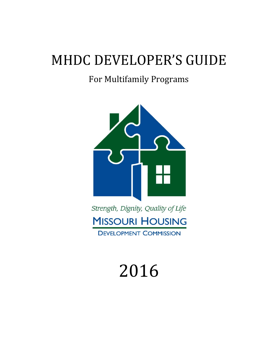# MHDC DEVELOPER'S GUIDE

## For Multifamily Programs



# 2016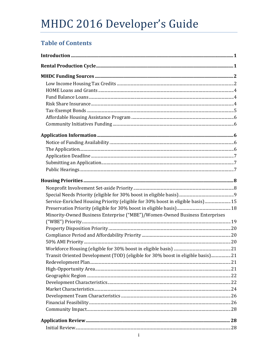## **Table of Contents**

| Service-Enriched Housing Priority (eligible for 30% boost in eligible basis) 15 |  |
|---------------------------------------------------------------------------------|--|
|                                                                                 |  |
| Minority-Owned Business Enterprise ("MBE")/Women-Owned Business Enterprises     |  |
|                                                                                 |  |
|                                                                                 |  |
|                                                                                 |  |
|                                                                                 |  |
|                                                                                 |  |
| Transit Oriented Development (TOD) (eligible for 30% boost in eligible basis)21 |  |
|                                                                                 |  |
|                                                                                 |  |
|                                                                                 |  |
|                                                                                 |  |
|                                                                                 |  |
|                                                                                 |  |
|                                                                                 |  |
|                                                                                 |  |
|                                                                                 |  |
|                                                                                 |  |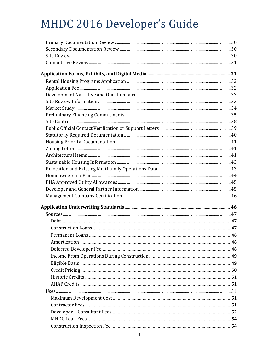| Amortization. |  |
|---------------|--|
|               |  |
|               |  |
|               |  |
|               |  |
|               |  |
|               |  |
|               |  |
|               |  |
|               |  |
|               |  |
|               |  |
|               |  |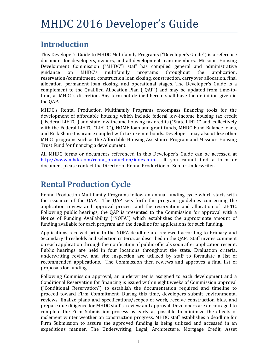## **Introduction**

This Developer's Guide to MHDC Multifamily Programs ("Developer's Guide") is a reference document for developers, owners, and all development team members. Missouri Housing Development Commission ("MHDC") staff has compiled general and administrative guidance on MHDC's multifamily programs throughout the application, reservation/commitment, construction loan closing, construction, carryover allocation, final allocation, permanent loan closing, and operational stages. The Developer's Guide is a complement to the Qualified Allocation Plan ("QAP") and may be updated from time-totime, at MHDC's discretion. Any term not defined herein shall have the definition given in the QAP.

MHDC's Rental Production Multifamily Programs encompass financing tools for the development of affordable housing which include federal low-income housing tax credit ("Federal LIHTC") and state low-income housing tax credits ("State LIHTC" and, collectively with the Federal LIHTC, "LIHTC"), HOME loan and grant funds, MHDC Fund Balance loans, and Risk Share Insurance coupled with tax exempt bonds. Developers may also utilize other MHDC programs such as the Affordable Housing Assistance Program and Missouri Housing Trust Fund for financing a development.

All MHDC forms or documents referenced in this Developer's Guide can be accessed at http://www.mhdc.com/rental\_production/index.htm. If you cannot find a form or document please contact the Director of Rental Production or Senior Underwriter.

## **Rental Production Cycle**

Rental Production Multifamily Programs follow an annual funding cycle which starts with the issuance of the OAP. The OAP sets forth the program guidelines concerning the application review and approval process and the reservation and allocation of LIHTC. Following public hearings, the QAP is presented to the Commission for approval with a Notice of Funding Availability ("NOFA") which establishes the approximate amount of funding available for each program and the deadline for applications for such funding.

Applications received prior to the NOFA deadline are reviewed according to Primary and Secondary thresholds and selection criteria, as described in the OAP. Staff invites comment on each application through the notification of public officials soon after application receipt. Public hearings are held in four locations throughout the state. Evaluation criteria, underwriting review, and site inspection are utilized by staff to formulate a list of recommended applications. The Commission then reviews and approves a final list of proposals for funding.

Following Commission approval, an underwriter is assigned to each development and a Conditional Reservation for financing is issued within eight weeks of Commission approval ("Conditional Reservation") to establish the documentation required and timeline to proceed toward Firm Commitment. During this time, developers submit environmental reviews, finalize plans and specifications/scopes of work, receive construction bids, and prepare due diligence for MHDC staff's review and approval. Developers are encouraged to complete the Firm Submission process as early as possible to minimize the effects of inclement winter weather on construction progress. MHDC staff establishes a deadline for Firm Submission to assure the approved funding is being utilized and accessed in an expeditious manner. The Underwriting, Legal, Architecture, Mortgage Credit, Asset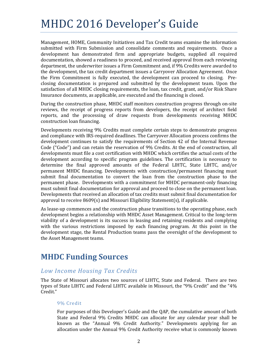Management, HOME, Community Initiatives and Tax Credit teams examine the information submitted with Firm Submission and consolidate comments and requirements. Once a development has demonstrated firm and appropriate budgets, supplied all required documentation, showed a readiness to proceed, and received approval from each reviewing department, the underwriter issues a Firm Commitment and, if 9% Credits were awarded to the development, the tax credit department issues a Carryover Allocation Agreement. Once the Firm Commitment is fully executed, the development can proceed to closing. Preclosing documentation is prepared and submitted by the development team. Upon the satisfaction of all MHDC closing requirements, the loan, tax credit, grant, and/or Risk Share Insurance documents, as applicable, are executed and the financing is closed.

During the construction phase, MHDC staff monitors construction progress through on-site reviews, the receipt of progress reports from developers, the receipt of architect field reports, and the processing of draw requests from developments receiving MHDC construction loan financing.

Developments receiving 9% Credits must complete certain steps to demonstrate progress and compliance with IRS-required deadlines. The Carryover Allocation process confirms the development continues to satisfy the requirements of Section 42 of the Internal Revenue Code ("Code") and can retain the reservation of 9% Credits. At the end of construction, all developments must file a cost certification with MHDC which certifies the actual costs of the development according to specific program guidelines. The certification is necessary to determine the final approved amounts of the Federal LIHTC, State LIHTC, and/or permanent MHDC financing. Developments with construction/permanent financing must submit final documentation to convert the loan from the construction phase to the permanent phase. Developments with a commitment for MHDC permanent-only financing must submit final documentation for approval and proceed to close on the permanent loan. Developments that received an allocation of tax credits must submit final documentation for approval to receive  $8609(s)$  and Missouri Eligibility Statement(s), if applicable.

As lease-up commences and the construction phase transitions to the operating phase, each development begins a relationship with MHDC Asset Management. Critical to the long-term viability of a development is its success in leasing and retaining residents and complying with the various restrictions imposed by each financing program. At this point in the development stage, the Rental Production teams pass the oversight of the development to the Asset Management teams.

## **MHDC Funding Sources**

### *Low Income Housing Tax Credits*

The State of Missouri allocates two sources of LIHTC, State and Federal. There are two types of State LIHTC and Federal LIHTC available in Missouri, the "9% Credit" and the "4% Credit." 

### 9% Credit

For purposes of this Developer's Guide and the OAP, the cumulative amount of both State and Federal 9% Credits MHDC can allocate for any calendar year shall be known as the "Annual 9% Credit Authority." Developments applying for an allocation under the Annual 9% Credit Authority receive what is commonly known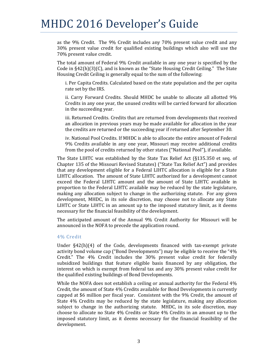as the  $9\%$  Credit. The  $9\%$  Credit includes any  $70\%$  present value credit and any 30% present value credit for qualified existing buildings which also will use the 70% present value credit.

The total amount of Federal 9% Credit available in any one year is specified by the Code in  $\S42(h)(3)(C)$ , and is known as the "State Housing Credit Ceiling." The State Housing Credit Ceiling is generally equal to the sum of the following:

i. Per Capita Credits. Calculated based on the state population and the per capita rate set by the IRS.

ii. Carry Forward Credits. Should MHDC be unable to allocate all allotted 9% Credits in any one year, the unused credits will be carried forward for allocation in the succeeding year.

iii. Returned Credits. Credits that are returned from developments that received an allocation in previous years may be made available for allocation in the year the credits are returned or the succeeding year if returned after September 30.

iv. National Pool Credits. If MHDC is able to allocate the entire amount of Federal 9% Credits available in any one year, Missouri may receive additional credits from the pool of credits returned by other states ("National Pool"), if available.

The State LIHTC was established by the State Tax Relief Act (§135.350 et seq. of Chapter 135 of the Missouri Revised Statutes) ("State Tax Relief Act") and provides that any development eligible for a Federal LIHTC allocation is eligible for a State LIHTC allocation. The amount of State LIHTC authorized for a development cannot exceed the Federal LIHTC amount and the amount of State LIHTC available in proportion to the Federal LIHTC available may be reduced by the state legislature, making any allocation subject to change in the authorizing statute. For any given development, MHDC, in its sole discretion, may choose not to allocate any State LIHTC or State LIHTC in an amount up to the imposed statutory limit, as it deems necessary for the financial feasibility of the development.

The anticipated amount of the Annual 9% Credit Authority for Missouri will be announced in the NOFA to precede the application round.

#### 4% Credit

Under  $\S42(h)(4)$  of the Code, developments financed with tax-exempt private activity bond volume cap ("Bond Developments") may be eligible to receive the "4% Credit." The 4% Credit includes the 30% present value credit for federally subsidized buildings that feature eligible basis financed by any obligation, the interest on which is exempt from federal tax and any 30% present value credit for the qualified existing buildings of Bond Developments.

While the NOFA does not establish a ceiling or annual authority for the Federal  $4\%$ Credit, the amount of State 4% Credits available for Bond Developments is currently capped at \$6 million per fiscal year. Consistent with the  $9\%$  Credit, the amount of State 4% Credits may be reduced by the state legislature, making any allocation subject to change in the authorizing statute. MHDC, in its sole discretion, may choose to allocate no State 4% Credits or State 4% Credits in an amount up to the imposed statutory limit, as it deems necessary for the financial feasibility of the development.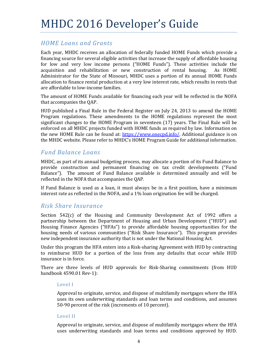### *HOME Loans and Grants*

Each year, MHDC receives an allocation of federally funded HOME Funds which provide a financing source for several eligible activities that increase the supply of affordable housing for low and very low income persons ("HOME Funds"). These activities include the acquisition and rehabilitation or new construction of rental housing. As HOME Administrator for the State of Missouri, MHDC uses a portion of its annual HOME Funds allocation to finance rental production at a very low interest rate, which results in rents that are affordable to low-income families.

The amount of HOME Funds available for financing each year will be reflected in the NOFA that accompanies the QAP.

HUD published a Final Rule in the Federal Register on July 24, 2013 to amend the HOME Program regulations. These amendments to the HOME regulations represent the most significant changes to the HOME Program in seventeen  $(17)$  years. The Final Rule will be enforced on all MHDC projects funded with HOME funds as required by law. Information on the new HOME Rule can be found at: https://www.onecpd.info/. Additional guidance is on the MHDC website. Please refer to MHDC's HOME Program Guide for additional information.

### *Fund Balance Loans*

MHDC, as part of its annual budgeting process, may allocate a portion of its Fund Balance to provide construction and permanent financing on tax credit developments ("Fund Balance"). The amount of Fund Balance available is determined annually and will be reflected in the NOFA that accompanies the OAP.

If Fund Balance is used as a loan, it must always be in a first position, have a minimum interest rate as reflected in the NOFA, and a  $1\%$  loan origination fee will be charged.

### *Risk Share Insurance*

Section  $542(c)$  of the Housing and Community Development Act of 1992 offers a partnership between the Department of Housing and Urban Development ("HUD") and Housing Finance Agencies ("HFAs") to provide affordable housing opportunities for the housing needs of various communities ("Risk Share Insurance"). This program provides new independent insurance authority that is not under the National Housing Act.

Under this program the HFA enters into a Risk-sharing Agreement with HUD by contracting to reimburse HUD for a portion of the loss from any defaults that occur while HUD insurance is in force.

There are three levels of HUD approvals for Risk-Sharing commitments (from HUD handbook 4590.01 Rev-1):

### Level I

Approval to originate, service, and dispose of multifamily mortgages where the HFA uses its own underwriting standards and loan terms and conditions, and assumes 50-90 percent of the risk (increments of 10 percent).

### Level II

Approval to originate, service, and dispose of multifamily mortgages where the HFA uses underwriting standards and loan terms and conditions approved by HUD.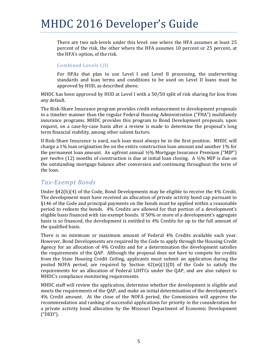There are two sub-levels under this level: one where the HFA assumes at least 25 percent of the risk, the other where the HFA assumes 10 percent or 25 percent, at the HFA's option, of the risk.

#### Combined Levels I/II

For HFAs that plan to use Level I and Level II processing, the underwriting standards and loan terms and conditions to be used on Level II loans must be approved by HUD, as described above.

MHDC has been approved by HUD at Level I with a  $50/50$  split of risk sharing for loss from any default. 

The Risk-Share Insurance program provides credit enhancement to development proposals in a timelier manner than the regular Federal Housing Administration ("FHA") multifamily insurance programs. MHDC provides this program to Bond Development proposals, upon request, on a case-by-case basis after a review is made to determine the proposal's long term financial viability, among other salient factors.

If Risk-Share Insurance is used, such loan must always be in the first position. MHDC will charge a  $1\%$  loan origination fee on the entire construction loan amount and another  $1\%$  for the permanent loan amount. An upfront annual  $\frac{1}{2}\%$  Mortgage Insurance Premium ("MIP") per twelve  $(12)$  months of construction is due at initial loan closing. A  $\frac{1}{2}\%$  MIP is due on the outstanding mortgage balance after conversion and continuing throughout the term of the loan.

### *Tax‐Exempt Bonds*

Under  $\S42(h)(4)$  of the Code, Bond Developments may be eligible to receive the  $4\%$  Credit. The development must have received an allocation of private activity bond cap pursuant to  $§146$  of the Code and principal payments on the bonds must be applied within a reasonable period to redeem the bonds. 4% Credits are allowed for that portion of a development's eligible basis financed with tax-exempt bonds. If 50% or more of a development's aggregate basis is so financed, the development is entitled to 4% Credits for up to the full amount of the qualified basis.

There is no minimum or maximum amount of Federal 4% Credits available each year. However, Bond Developments are required by the Code to apply through the Housing Credit Agency for an allocation of  $4\%$  Credits and for a determination the development satisfies the requirements of the QAP. Although the proposal does not have to compete for credits from the State Housing Credit Ceiling, applicants must submit an application during the posted NOFA period, are required by Section  $42(m)(1)(D)$  of the Code to satisfy the requirements for an allocation of Federal LIHTCs under the QAP, and are also subject to MHDC's compliance monitoring requirements.

MHDC staff will review the application, determine whether the development is eligible and meets the requirements of the QAP, and make an initial determination of the development's 4% Credit amount. At the close of the NOFA period, the Commission will approve the recommendation and ranking of successful applications for priority in the consideration for a private activity bond allocation by the Missouri Department of Economic Development ("DED").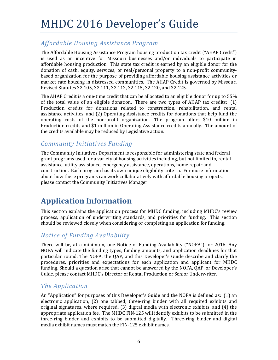## *Affordable Housing Assistance Program*

The Affordable Housing Assistance Program housing production tax credit ("AHAP Credit") is used as an incentive for Missouri businesses and/or individuals to participate in affordable housing production. This state tax credit is earned by an eligible donor for the donation of cash, equity, services, or real/personal property to a non-profit communitybased organization for the purpose of providing affordable housing assistance activities or market rate housing in distressed communities. The AHAP Credit is governed by Missouri Revised Statutes 32.105, 32.111, 32.112, 32.115, 32.120, and 32.125.

The AHAP Credit is a one-time credit that can be allocated to an eligible donor for up to  $55\%$ of the total value of an eligible donation. There are two types of  $A HAP$  tax credits:  $(1)$ Production credits for donations related to construction, rehabilitation, and rental assistance activities, and (2) Operating Assistance credits for donations that help fund the operating costs of the non-profit organization. The program offers \$10 million in Production credits and \$1 million in Operating Assistance credits annually. The amount of the credits available may be reduced by Legislative action.

### *Community Initiatives Funding*

The Community Initiatives Department is responsible for administering state and federal grant programs used for a variety of housing activities including, but not limited to, rental assistance, utility assistance, emergency assistance, operations, home repair and construction. Each program has its own unique eligibility criteria. For more information about how these programs can work collaboratively with affordable housing projects, please contact the Community Initiatives Manager.

## **Application Information**

This section explains the application process for MHDC funding, including MHDC's review process, application of underwriting standards, and priorities for funding. This section should be reviewed closely when considering or completing an application for funding.

### *Notice of Funding Availability*

There will be, at a minimum, one Notice of Funding Availability ("NOFA") for 2016. Any NOFA will indicate the funding types, funding amounts, and application deadlines for that particular round. The NOFA, the QAP, and this Developer's Guide describe and clarify the procedures, priorities and expectations for each application and applicant for MHDC funding. Should a question arise that cannot be answered by the NOFA, QAP, or Developer's Guide, please contact MHDC's Director of Rental Production or Senior Underwriter.

### *The Application*

An "Application" for purposes of this Developer's Guide and the NOFA is defined as: (1) an electronic application, (2) one tabbed, three-ring binder with all required exhibits and original signatures, where required,  $(3)$  digital media with electronic exhibits, and  $(4)$  the appropriate application fee. The MHDC FIN-125 will identify exhibits to be submitted in the three-ring binder and exhibits to be submitted digitally. Three-ring binder and digital media exhibit names must match the FIN-125 exhibit names.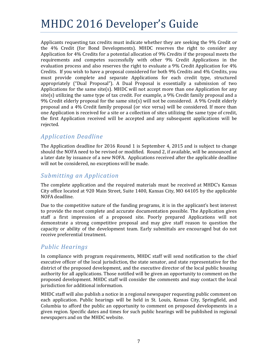Applicants requesting tax credits must indicate whether they are seeking the 9% Credit or the 4% Credit (for Bond Developments). MHDC reserves the right to consider any Application for  $4\%$  Credits for a potential allocation of 9% Credits if the proposal meets the requirements and competes successfully with other 9% Credit Applications in the evaluation process and also reserves the right to evaluate a 9% Credit Application for  $4\%$ Credits. If you wish to have a proposal considered for both 9% Credits and 4% Credits, you must provide complete and separate Applications for each credit type, structured appropriately  $("Dual Proposal").$  A Dual Proposal is essentially a submission of two Applications for the same site(s). MHDC will not accept more than one Application for any site(s) utilizing the same type of tax credit. For example, a  $9\%$  Credit family proposal and a  $9\%$  Credit elderly proposal for the same site(s) will not be considered. A 9% Credit elderly proposal and a 4% Credit family proposal (or vice versa) will be considered. If more than one Application is received for a site or a collection of sites utilizing the same type of credit, the first Application received will be accepted and any subsequent applications will be rejected. 

### *Application Deadline*

The Application deadline for 2016 Round 1 is September 4, 2015 and is subject to change should the NOFA need to be revised or modified. Round 2, if available, will be announced at a later date by issuance of a new NOFA. Applications received after the applicable deadline will not be considered, no exceptions will be made.

### *Submitting an Application*

The complete application and the required materials must be received at MHDC's Kansas City office located at 920 Main Street, Suite  $1400$ , Kansas City, MO 64105 by the applicable NOFA deadline. 

Due to the competitive nature of the funding programs, it is in the applicant's best interest to provide the most complete and accurate documentation possible. The Application gives staff a first impression of a proposed site. Poorly prepared Applications will not demonstrate a strong competitive proposal and may give staff reason to question the capacity or ability of the development team. Early submittals are encouraged but do not receive preferential treatment.

### *Public Hearings*

In compliance with program requirements, MHDC staff will send notification to the chief executive officer of the local jurisdiction, the state senator, and state representative for the district of the proposed development, and the executive director of the local public housing authority for all applications. Those notified will be given an opportunity to comment on the proposed development. MHDC staff will consider the comments and may contact the local jurisdiction for additional information.

MHDC staff will also publish a notice in a regional newspaper requesting public comment on each application. Public hearings will be held in St. Louis, Kansas City, Springfield, and Columbia to afford the public an opportunity to comment on proposed developments in a given region. Specific dates and times for such public hearings will be published in regional newspapers and on the MHDC website.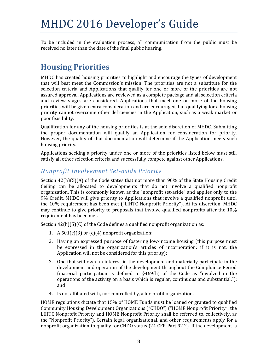To be included in the evaluation process, all communication from the public must be received no later than the date of the final public hearing.

## **Housing Priorities**

MHDC has created housing priorities to highlight and encourage the types of development that will best meet the Commission's mission. The priorities are not a substitute for the selection criteria and Applications that qualify for one or more of the priorities are not assured approval. Applications are reviewed as a complete package and all selection criteria and review stages are considered. Applications that meet one or more of the housing priorities will be given extra consideration and are encouraged, but qualifying for a housing priority cannot overcome other deficiencies in the Application, such as a weak market or poor feasibility.

Qualification for any of the housing priorities is at the sole discretion of MHDC. Submitting the proper documentation will qualify an Application for consideration for priority. However, the quality of that documentation will determine if the Application meets such housing priority.

Applications seeking a priority under one or more of the priorities listed below must still satisfy all other selection criteria and successfully compete against other Applications.

### *Nonprofit Involvement Set‐aside Priority*

Section  $42(h)(5)(A)$  of the Code states that not more than 90% of the State Housing Credit Ceiling can be allocated to developments that do not involve a qualified nonprofit organization. This is commonly known as the "nonprofit set-aside" and applies only to the 9% Credit. MHDC will give priority to Applications that involve a qualified nonprofit until the 10% requirement has been met ("LIHTC Nonprofit Priority"). At its discretion, MHDC may continue to give priority to proposals that involve qualified nonprofits after the 10% requirement has been met.

Section  $42(h)(5)(C)$  of the Code defines a qualified nonprofit organization as:

- 1. A  $501(c)(3)$  or  $(c)(4)$  nonprofit organization;
- 2. Having an expressed purpose of fostering low-income housing (this purpose must be expressed in the organization's articles of incorporation; if it is not, the Application will not be considered for this priority);
- 3. One that will own an interest in the development and materially participate in the development and operation of the development throughout the Compliance Period (material participation is defined in  $§469(h)$  of the Code as "involved in the operations of the activity on a basis which is regular, continuous and substantial."); and
- 4. Is not affiliated with, nor controlled by, a for-profit organization.

HOME regulations dictate that  $15\%$  of HOME Funds must be loaned or granted to qualified Community Housing Development Organizations ("CHDO") ("HOME Nonprofit Priority"; the LIHTC Nonprofit Priority and HOME Nonprofit Priority shall be referred to, collectively, as the "Nonprofit Priority"). Certain legal, organizational, and other requirements apply for a nonprofit organization to qualify for CHDO status (24 CFR Part 92.2). If the development is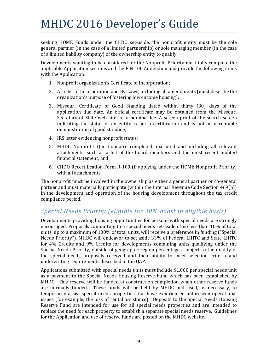seeking HOME Funds under the CHDO set-aside, the nonprofit entity must be the sole general partner (in the case of a limited partnership) or sole managing member (in the case of a limited liability company) of the ownership entity to qualify.

Developments wanting to be considered for the Nonprofit Priority must fully complete the applicable Application sections and the FIN 100 Addendum and provide the following items with the Application:

- 1. Nonprofit organization's Certificate of Incorporation;
- 2. Articles of Incorporation and By-Laws, including all amendments (must describe the organization's purpose of fostering low-income housing);
- 3. Missouri Certificate of Good Standing dated within thirty (30) days of the application due date. An official certificate may be obtained from the Missouri Secretary of State web site for a nominal fee. A screen print of the search screen indicating the status of an entity is not a certification and is not an acceptable demonstration of good standing;
- 4. IRS letter evidencing nonprofit status:
- 5. MHDC Nonprofit Questionnaire completed, executed and including all relevant attachments, such as a list of the board members and the most recent audited financial statement: and
- 6. CHDO Recertification Form R-100 (if applying under the HOME Nonprofit Priority) with all attachments.

The nonprofit must be involved in the ownership as either a general partner or co-general partner and must materially participate (within the Internal Revenue Code Section 469(h)) in the development and operation of the housing development throughout the tax credit compliance period.

### *Special Needs Priority (eligible for 30% boost in eligible basis)*

Developments providing housing opportunities for persons with special needs are strongly encouraged. Proposals committing to a special needs set-aside of no less than 10% of total units, up to a maximum of 100% of total units, will receive a preference in funding ("Special Needs Priority"). MHDC will endeavor to set aside 33% of Federal LIHTC and State LIHTC for  $4\%$  Credits and  $9\%$  Credits for developments containing units qualifying under the Special Needs Priority, outside of geographic region percentages, subject to the quality of the special needs proposals received and their ability to meet selection criteria and underwriting requirements described in the QAP.

Applications submitted with special needs units must include \$1,000 per special needs unit as a payment to the Special Needs Housing Reserve Fund which has been established by MHDC. This reserve will be funded at construction completion when other reserve funds are normally funded. These funds will be held by MHDC and used, as necessary, to temporarily assist special needs properties that have experienced unforeseen operational issues (for example, the loss of rental assistance). Deposits to the Special Needs Housing Reserve Fund are intended for use for all special needs properties and are intended to replace the need for each property to establish a separate special needs reserve. Guidelines for the Application and use of reserve funds are posted on the MHDC website.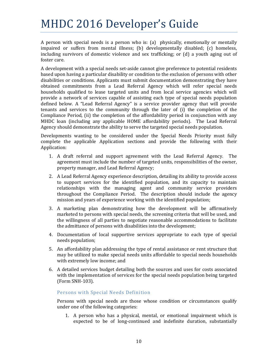A person with special needs is a person who is:  $(a)$  physically, emotionally or mentally impaired or suffers from mental illness; (b) developmentally disabled; (c) homeless, including survivors of domestic violence and sex trafficking; or  $(d)$  a youth aging out of foster care.

A development with a special needs set-aside cannot give preference to potential residents based upon having a particular disability or condition to the exclusion of persons with other disabilities or conditions. Applicants must submit documentation demonstrating they have obtained commitments from a Lead Referral Agency which will refer special needs households qualified to lease targeted units and from local service agencies which will provide a network of services capable of assisting each type of special needs population defined below. A "Lead Referral Agency" is a service provider agency that will provide tenants and services to the community through the later of (i) the completion of the Compliance Period, (ii) the completion of the affordability period in conjunction with any MHDC loan (including any applicable HOME affordability periods). The Lead Referral Agency should demonstrate the ability to serve the targeted special needs population.

Developments wanting to be considered under the Special Needs Priority must fully complete the applicable Application sections and provide the following with their Application: 

- 1. A draft referral and support agreement with the Lead Referral Agency. The agreement must include the number of targeted units, responsibilities of the owner, property manager, and Lead Referral Agency;
- 2. A Lead Referral Agency experience description, detailing its ability to provide access to support services for the identified population, and its capacity to maintain relationships with the managing agent and community service providers throughout the Compliance Period. The description should include the agency mission and years of experience working with the identified population;
- 3. A marketing plan demonstrating how the development will be affirmatively marketed to persons with special needs, the screening criteria that will be used, and the willingness of all parties to negotiate reasonable accommodations to facilitate the admittance of persons with disabilities into the development;
- 4. Documentation of local supportive services appropriate to each type of special needs population;
- 5. An affordability plan addressing the type of rental assistance or rent structure that may be utilized to make special needs units affordable to special needs households with extremely low income; and
- 6. A detailed services budget detailing both the sources and uses for costs associated with the implementation of services for the special needs population being targeted (Form SNH‐103).

### Persons with Special Needs Definition

Persons with special needs are those whose condition or circumstances qualify under one of the following categories:

1. A person who has a physical, mental, or emotional impairment which is expected to be of long-continued and indefinite duration, substantially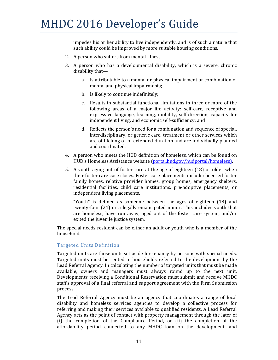impedes his or her ability to live independently, and is of such a nature that such ability could be improved by more suitable housing conditions.

- 2. A person who suffers from mental illness.
- 3. A person who has a developmental disability, which is a severe, chronic disability that
	- a. Is attributable to a mental or physical impairment or combination of mental and physical impairments;
	- b. Is likely to continue indefinitely;
	- c. Results in substantial functional limitations in three or more of the following areas of a major life activity: self-care, receptive and expressive language, learning, mobility, self-direction, capacity for independent living, and economic self-sufficiency; and
	- d. Reflects the person's need for a combination and sequence of special, interdisciplinary, or generic care, treatment or other services which are of lifelong or of extended duration and are individually planned and coordinated.
- 4. A person who meets the HUD definition of homeless, which can be found on HUD's Homeless Assistance website (portal.hud.gov/hudportal/homeless).
- 5. A youth aging out of foster care at the age of eighteen (18) or older when their foster care case closes. Foster care placements include: licensed foster family homes, relative provider homes, group homes, emergency shelters, residential facilities, child care institutions, pre-adoptive placements, or independent living placements.

"Youth" is defined as someone between the ages of eighteen (18) and twenty-four (24) or a legally emancipated minor. This includes youth that are homeless, have run away, aged out of the foster care system, and/or exited the juvenile justice system.

The special needs resident can be either an adult or youth who is a member of the household. 

#### Targeted Units Definition

Targeted units are those units set aside for tenancy by persons with special needs. Targeted units must be rented to households referred to the development by the Lead Referral Agency. In calculating the number of targeted units that must be made available, owners and managers must always round up to the next unit. Developments receiving a Conditional Reservation must submit and receive MHDC staff's approval of a final referral and support agreement with the Firm Submission process. 

The Lead Referral Agency must be an agency that coordinates a range of local disability and homeless services agencies to develop a collective process for referring and making their services available to qualified residents. A Lead Referral Agency acts as the point of contact with property management through the later of (i) the completion of the Compliance Period, or (ii) the completion of the affordability period connected to any MHDC loan on the development, and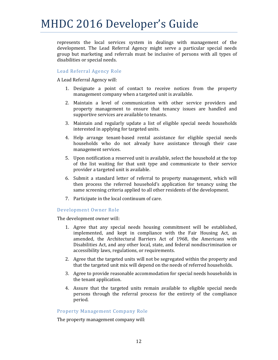represents the local services system in dealings with management of the development. The Lead Referral Agency might serve a particular special needs group but marketing and referrals must be inclusive of persons with all types of disabilities or special needs.

### Lead Referral Agency Role

A Lead Referral Agency will: 

- 1. Designate a point of contact to receive notices from the property management company when a targeted unit is available.
- 2. Maintain a level of communication with other service providers and property management to ensure that tenancy issues are handled and supportive services are available to tenants.
- 3. Maintain and regularly update a list of eligible special needs households interested in applying for targeted units.
- 4. Help arrange tenant-based rental assistance for eligible special needs households who do not already have assistance through their case management services.
- 5. Upon notification a reserved unit is available, select the household at the top of the list waiting for that unit type and communicate to their service provider a targeted unit is available.
- 6. Submit a standard letter of referral to property management, which will then process the referred household's application for tenancy using the same screening criteria applied to all other residents of the development.
- 7. Participate in the local continuum of care.

### Development Owner Role

The development owner will:

- 1. Agree that any special needs housing commitment will be established, implemented, and kept in compliance with the Fair Housing Act, as amended, the Architectural Barriers Act of 1968, the Americans with Disabilities Act, and any other local, state, and federal nondiscrimination or accessibility laws, regulations, or requirements.
- 2. Agree that the targeted units will not be segregated within the property and that the targeted unit mix will depend on the needs of referred households.
- 3. Agree to provide reasonable accommodation for special needs households in the tenant application.
- 4. Assure that the targeted units remain available to eligible special needs persons through the referral process for the entirety of the compliance period.

### Property Management Company Role

The property management company will: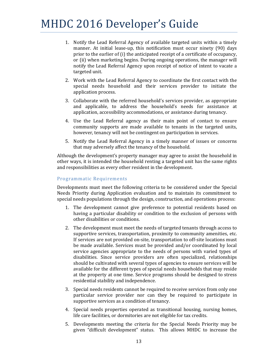- 1. Notify the Lead Referral Agency of available targeted units within a timely manner. At initial lease-up, this notification must occur ninety (90) days prior to the earlier of  $(i)$  the anticipated receipt of a certificate of occupancy, or (ii) when marketing begins. During ongoing operations, the manager will notify the Lead Referral Agency upon receipt of notice of intent to vacate a targeted unit.
- 2. Work with the Lead Referral Agency to coordinate the first contact with the special needs household and their services provider to initiate the application process.
- 3. Collaborate with the referred household's services provider, as appropriate and applicable, to address the household's needs for assistance at application, accessibility accommodations, or assistance during tenancy.
- 4. Use the Lead Referral agency as their main point of contact to ensure community supports are made available to tenants in the targeted units, however, tenancy will not be contingent on participation in services.
- 5. Notify the Lead Referral Agency in a timely manner of issues or concerns that may adversely affect the tenancy of the household.

Although the development's property manager may agree to assist the household in other ways, it is intended the household renting a targeted unit has the same rights and responsibilities as every other resident in the development.

#### Programmatic Requirements

Developments must meet the following criteria to be considered under the Special Needs Priority during Application evaluation and to maintain its commitment to special needs populations through the design, construction, and operations process:

- 1. The development cannot give preference to potential residents based on having a particular disability or condition to the exclusion of persons with other disabilities or conditions.
- 2. The development must meet the needs of targeted tenants through access to supportive services, transportation, proximity to community amenities, etc. If services are not provided on-site, transportation to off-site locations must be made available. Services must be provided and/or coordinated by local service agencies appropriate to the needs of persons with varied types of disabilities. Since service providers are often specialized, relationships should be cultivated with several types of agencies to ensure services will be available for the different types of special needs households that may reside at the property at one time. Service programs should be designed to stress residential stability and independence.
- 3. Special needs residents cannot be required to receive services from only one particular service provider nor can they be required to participate in supportive services as a condition of tenancy.
- 4. Special needs properties operated as transitional housing, nursing homes, life care facilities, or dormitories are not eligible for tax credits.
- 5. Developments meeting the criteria for the Special Needs Priority may be given "difficult development" status. This allows MHDC to increase the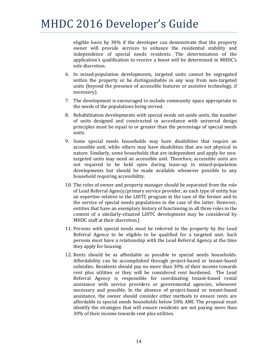eligible basis by 30% if the developer can demonstrate that the property owner will provide services to enhance the residential stability and independence of special needs residents. The determination of the application's qualification to receive a boost will be determined in MHDC's sole discretion.

- 6. In mixed-population developments, targeted units cannot be segregated within the property or be distinguishable in any way from non-targeted units (beyond the presence of accessible features or assistive technology, if necessary).
- 7. The development is encouraged to include community space appropriate to the needs of the populations being served.
- 8. Rehabilitation developments with special needs set-aside units, the number of units designed and constructed in accordance with universal design principles must be equal to or greater than the percentage of special needs units.
- 9. Some special needs households may have disabilities that require an accessible unit, while others may have disabilities that are not physical in nature. Similarly, some households that are independent and apply for nontargeted units may need an accessible unit. Therefore, accessible units are not required to be held open during lease-up in mixed-population developments but should be made available whenever possible to any household requiring accessibility.
- 10. The roles of owner and property manager should be separated from the role of Lead Referral Agency/primary service provider, as each type of entity has an expertise relative to the LIHTC program in the case of the former and to the service of special needs populations in the case of the latter. However, entities that have an exemplary history of functioning in all three roles in the context of a similarly-situated LIHTC development may be considered by MHDC staff at their discretion.]
- 11. Persons with special needs must be referred to the property by the Lead Referral Agency to be eligible to be qualified for a targeted unit. Such persons must have a relationship with the Lead Referral Agency at the time they apply for housing.
- 12. Rents should be as affordable as possible to special needs households. Affordability can be accomplished through project-based or tenant-based subsidies. Residents should pay no more than 30% of their income towards rent plus utilities or they will be considered rent burdened. The Lead Referral Agency is responsible for coordinating tenant-based rental assistance with service providers or governmental agencies, whenever necessary and possible. In the absence of project-based or tenant-based assistance, the owner should consider other methods to ensure rents are affordable to special needs households below 50% AMI. The proposal must identify the strategies that will ensure residents are not paying more than 30% of their income towards rent plus utilities.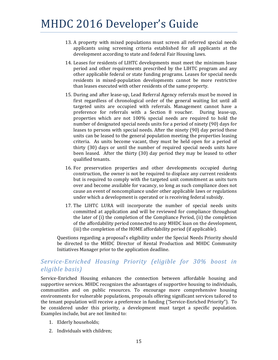- 13. A property with mixed populations must screen all referred special needs applicants using screening criteria established for all applicants at the development according to state and federal Fair Housing laws.
- 14. Leases for residents of LIHTC developments must meet the minimum lease period and other requirements prescribed by the LIHTC program and any other applicable federal or state funding programs. Leases for special needs residents in mixed-population developments cannot be more restrictive than leases executed with other residents of the same property.
- 15. During and after lease-up, Lead Referral Agency referrals must be moved in first regardless of chronological order of the general waiting list until all targeted units are occupied with referrals. Management cannot have a preference for referrals with a Section 8 voucher. During lease-up, properties which are not 100% special needs are required to hold the number of designated special needs units for a period of ninety (90) days for leases to persons with special needs. After the ninety (90) day period these units can be leased to the general population meeting the properties leasing criteria. As units become vacant, they must be held open for a period of thirty (30) days or until the number of required special needs units have been leased. After the thirty (30) day period they may be leased to other qualified tenants.
- 16. For preservation properties and other developments occupied during construction, the owner is not be required to displace any current residents but is required to comply with the targeted unit commitment as units turn over and become available for vacancy, so long as such compliance does not cause an event of noncompliance under other applicable laws or regulations under which a development is operated or is receiving federal subsidy.
- 17. The LIHTC LURA will incorporate the number of special needs units committed at application and will be reviewed for compliance throughout the later of  $(i)$  the completion of the Compliance Period,  $(ii)$  the completion of the affordability period connected to any MHDC loan on the development. (iii) the completion of the HOME affordability period (if applicable).

Questions regarding a proposal's eligibility under the Special Needs Priority should be directed to the MHDC Director of Rental Production and MHDC Community Initiatives Manager prior to the application deadline.

### *Service‐Enriched Housing Priority (eligible for 30% boost in eligible basis)*

Service-Enriched Housing enhances the connection between affordable housing and supportive services. MHDC recognizes the advantages of supportive housing to individuals, communities and on public resources. To encourage more comprehensive housing environments for vulnerable populations, proposals offering significant services tailored to the tenant population will receive a preference in funding ("Service-Enriched Priority"). To be considered under this priority, a development must target a specific population. Examples include, but are not limited to:

- 1. Elderly households;
- 2. Individuals with children: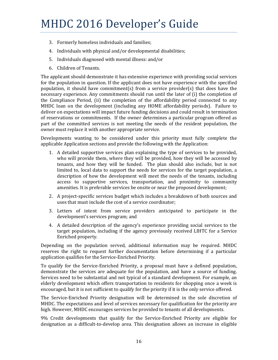- 3. Formerly homeless individuals and families;
- 4. Individuals with physical and/or developmental disabilities;
- 5. Individuals diagnosed with mental illness: and/or
- 6. Children of Tenants.

The applicant should demonstrate it has extensive experience with providing social services for the population in question. If the applicant does not have experience with the specified population, it should have commitment(s) from a service provider(s) that does have the necessary experience. Any commitments should run until the later of (i) the completion of the Compliance Period, (ii) the completion of the affordability period connected to any MHDC loan on the development (including any HOME affordability periods). Failure to deliver on expectations will impact future funding decisions and could result in termination of reservations or commitments. If the owner determines a particular program offered as part of the committed services is not meeting the needs of the resident population, the owner must replace it with another appropriate service.

Developments wanting to be considered under this priority must fully complete the applicable Application sections and provide the following with the Application:

- 1. A detailed supportive services plan explaining the type of services to be provided, who will provide them, where they will be provided, how they will be accessed by tenants, and how they will be funded. The plan should also include, but is not limited to, local data to support the needs for services for the target population, a description of how the development will meet the needs of the tenants, including access to supportive services, transportation, and proximity to community amenities. It is preferable services be onsite or near the proposed development;
- 2. A project-specific services budget which includes a breakdown of both sources and uses that must include the cost of a service coordinator;
- 3. Letters of intent from service providers anticipated to participate in the development's services program; and
- 4. A detailed description of the agency's experience providing social services to the target population, including if the agency previously received LIHTC for a Service Enriched property.

Depending on the population served, additional information may be required. MHDC reserves the right to request further documentation before determining if a particular application qualifies for the Service-Enriched Priority.

To qualify for the Service-Enriched Priority, a proposal must have a defined population, demonstrate the services are adequate for the population, and have a source of funding. Services need to be substantial and not typical of a standard development. For example, an elderly development which offers transportation to residents for shopping once a week is encouraged, but it is not sufficient to qualify for the priority if it is the only service offered.

The Service-Enriched Priority designation will be determined in the sole discretion of MHDC. The expectations and level of services necessary for qualification for the priority are high. However, MHDC encourages services be provided to tenants of all developments.

9% Credit developments that qualify for the Service-Enriched Priority are eligible for designation as a difficult-to-develop area. This designation allows an increase in eligible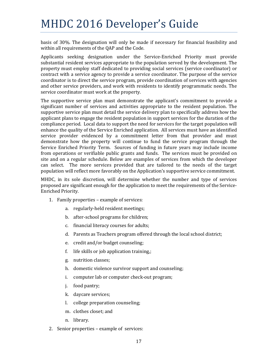basis of 30%. The designation will only be made if necessary for financial feasibility and within all requirements of the OAP and the Code.

Applicants seeking designation under the Service-Enriched Priority must provide substantial resident services appropriate to the population served by the development. The property must employ staff dedicated to providing social services (service coordinator) or contract with a service agency to provide a service coordinator. The purpose of the service coordinator is to direct the service program, provide coordination of services with agencies and other service providers, and work with residents to identify programmatic needs. The service coordinator must work at the property.

The supportive service plan must demonstrate the applicant's commitment to provide a significant number of services and activities appropriate to the resident population. The supportive service plan must detail the service delivery plan to specifically address how the applicant plans to engage the resident population in support services for the duration of the compliance period. Local data to support the need for services for the target population will enhance the quality of the Service Enriched application. All services must have an identified service provider evidenced by a commitment letter from that provider and must demonstrate how the property will continue to fund the service program through the Service Enriched Priority Term. Sources of funding in future years may include income from operations or verifiable public grants and funds. The services must be provided on site and on a regular schedule. Below are examples of services from which the developer can select. The more services provided that are tailored to the needs of the target population will reflect more favorably on the Application's supportive service commitment.

MHDC, in its sole discretion, will determine whether the number and type of services proposed are significant enough for the application to meet the requirements of the Service-Enriched Priority. 

- 1. Family properties example of services:
	- a. regularly-held resident meetings;
	- b. after-school programs for children;
	- c. financial literacy courses for adults;
	- d. Parents as Teachers program offered through the local school district;
	- e. credit and/or budget counseling;
	- f. life skills or job application training,;
	- g. nutrition classes;
	- h. domestic violence survivor support and counseling;
	- i. computer lab or computer check-out program;
	- j. food pantry;
	- k. daycare services;
	- l. college preparation counseling;
	- m. clothes closet; and
	- n. library.
- 2. Senior properties example of services: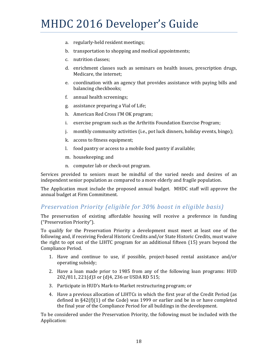- a. regularly-held resident meetings;
- b. transportation to shopping and medical appointments;
- c. nutrition classes;
- d. enrichment classes such as seminars on health issues, prescription drugs, Medicare, the internet;
- e. coordination with an agency that provides assistance with paying bills and balancing checkbooks;
- f. annual health screenings;
- g. assistance preparing a Vial of Life;
- h. American Red Cross I'M OK program;
- i. exercise program such as the Arthritis Foundation Exercise Program;
- j. monthly community activities (i.e., pot luck dinners, holiday events, bingo);
- k. access to fitness equipment;
- l. food pantry or access to a mobile food pantry if available;
- m. housekeeping; and
- n. computer lab or check-out program.

Services provided to seniors must be mindful of the varied needs and desires of an independent senior population as compared to a more elderly and fragile population.

The Application must include the proposed annual budget. MHDC staff will approve the annual budget at Firm Commitment.

### *Preservation Priority (eligible for 30% boost in eligible basis)*

The preservation of existing affordable housing will receive a preference in funding ("Preservation Priority"). 

To qualify for the Preservation Priority a development must meet at least one of the following and, if receiving Federal Historic Credits and/or State Historic Credits, must waive the right to opt out of the LIHTC program for an additional fifteen  $(15)$  years beyond the Compliance Period. 

- 1. Have and continue to use, if possible, project-based rental assistance and/or operating subsidy;
- 2. Have a loan made prior to 1985 from any of the following loan programs: HUD 202/811, 221(d)3 or (d)4, 236 or USDA RD 515;
- 3. Participate in HUD's Mark-to-Market restructuring program; or
- 4. Have a previous allocation of LIHTCs in which the first year of the Credit Period (as defined in  $§42(f)(1)$  of the Code) was 1999 or earlier and be in or have completed the final year of the Compliance Period for all buildings in the development.

To be considered under the Preservation Priority, the following must be included with the Application: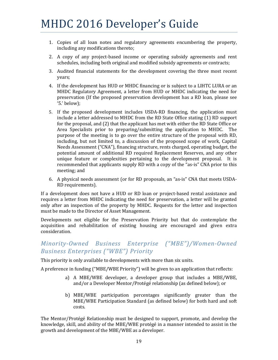- 1. Copies of all loan notes and regulatory agreements encumbering the property, including any modifications thereto;
- 2. A copy of any project-based income or operating subsidy agreements and rent schedules, including both original and modified subsidy agreements or contracts;
- 3. Audited financial statements for the development covering the three most recent years;
- 4. If the development has HUD or MHDC financing or is subject to a LIHTC LURA or an MHDC Regulatory Agreement, a letter from HUD or MHDC indicating the need for preservation (If the proposed preservation development has a RD loan, please see '5.' below);
- 5. If the proposed development includes USDA-RD financing, the application must include a letter addressed to MHDC from the RD State Office stating (1) RD support for the proposal, and  $(2)$  that the applicant has met with either the RD State Office or Area Specialists prior to preparing/submitting the application to MHDC. The purpose of the meeting is to go over the entire structure of the proposal with RD, including, but not limited to, a discussion of the proposed scope of work, Capital Needs Assessment ("CNA"), financing structure, rents charged, operating budget, the potential amount of additional RD required Replacement Reserves, and any other unique feature or complexities pertaining to the development proposal. It is recommended that applicants supply RD with a copy of the "as-is" CNA prior to this meeting; and
- 6. A physical needs assessment (or for RD proposals, an "as-is" CNA that meets USDA-RD requirements).

If a development does not have a HUD or RD loan or project-based rental assistance and requires a letter from MHDC indicating the need for preservation, a letter will be granted only after an inspection of the property by MHDC. Requests for the letter and inspection must be made to the Director of Asset Management.

Developments not eligible for the Preservation Priority but that do contemplate the acquisition and rehabilitation of existing housing are encouraged and given extra consideration. 

### *Minority‐Owned Business Enterprise ("MBE")/Women‐Owned Business Enterprises ("WBE") Priority*

This priority is only available to developments with more than six units.

A preference in funding ("MBE/WBE Priority") will be given to an application that reflects:

- a) A MBE/WBE developer, a developer group that includes a MBE/WBE, and/or a Developer Mentor/Protégé relationship (as defined below); or
- b) MBE/WBE participation percentages significantly greater than the MBE/WBE Participation Standard (as defined below) for both hard and soft costs.

The Mentor/Protégé Relationship must be designed to support, promote, and develop the knowledge, skill, and ability of the MBE/WBE protégé in a manner intended to assist in the growth and development of the MBE/WBE as a developer.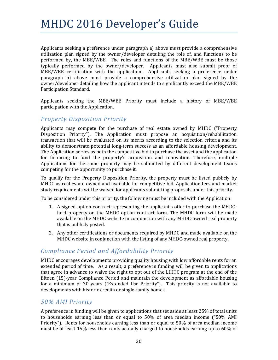Applicants seeking a preference under paragraph a) above must provide a comprehensive utilization plan signed by the owner/developer detailing the role of, and functions to be performed by, the MBE/WBE. The roles and functions of the MBE/WBE must be those typically performed by the owner/developer. Applicants must also submit proof of MBE/WBE certification with the application. Applicants seeking a preference under paragraph b) above must provide a comprehensive utilization plan signed by the owner/developer detailing how the applicant intends to significantly exceed the MBE/WBE Participation Standard.

Applicants seeking the MBE/WBE Priority must include a history of MBE/WBE participation with the Application.

### *Property Disposition Priority*

Applicants may compete for the purchase of real estate owned by MHDC ("Property Disposition Priority"). The Application must propose an acquisition/rehabilitation transaction that will be evaluated on its merits according to the selection criteria and its ability to demonstrate potential long-term success as an affordable housing development. The Application serves as both the competitive bid to purchase the asset and the application for financing to fund the property's acquisition and renovation. Therefore, multiple Applications for the same property may be submitted by different development teams competing for the opportunity to purchase it.

To qualify for the Property Disposition Priority, the property must be listed publicly by MHDC as real estate owned and available for competitive bid. Application fees and market study requirements will be waived for applicants submitting proposals under this priority.

To be considered under this priority, the following must be included with the Application:

- 1. A signed option contract representing the applicant's offer to purchase the MHDCheld property on the MHDC option contract form. The MHDC form will be made available on the MHDC website in conjunction with any MHDC-owned real property that is publicly posted.
- 2. Any other certifications or documents required by MHDC and made available on the MHDC website in conjunction with the listing of any MHDC-owned real property.

### *Compliance Period and Affordability Priority*

MHDC encourages developments providing quality housing with low affordable rents for an extended period of time. As a result, a preference in funding will be given to applications that agree in advance to waive the right to opt out of the LIHTC program at the end of the fifteen  $(15)$ -year Compliance Period and maintain the development as affordable housing for a minimum of 30 years ("Extended Use Priority"). This priority is not available to developments with historic credits or single-family homes.

### *50% AMI Priority*

A preference in funding will be given to applications that set aside at least 25% of total units to households earning less than or equal to  $50\%$  of area median income  $(^{6}50\%$  AMI Priority"). Rents for households earning less than or equal to  $50\%$  of area median income must be at least  $15\%$  less than rents actually charged to households earning up to 60% of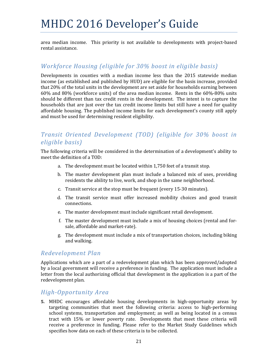area median income. This priority is not available to developments with project-based rental assistance.

### *Workforce Housing (eligible for 30% boost in eligible basis)*

Developments in counties with a median income less than the 2015 statewide median income (as established and published by HUD) are eligible for the basis increase, provided that 20% of the total units in the development are set aside for households earning between  $60\%$  and  $80\%$  (workforce units) of the area median income. Rents in the  $60\%$ -80% units should be different than tax credit rents in the development. The intent is to capture the households that are just over the tax credit income limits but still have a need for quality affordable housing. The published income limits for each development's county still apply and must be used for determining resident eligibility.

### *Transit Oriented Development (TOD) (eligible for 30% boost in eligible basis)*

The following criteria will be considered in the determination of a development's ability to meet the definition of a TOD:

- a. The development must be located within 1,750 feet of a transit stop.
- b. The master development plan must include a balanced mix of uses, providing residents the ability to live, work, and shop in the same neighborhood.
- c. Transit service at the stop must be frequent (every 15-30 minutes).
- d. The transit service must offer increased mobility choices and good transit connections.
- e. The master development must include significant retail development.
- f. The master development must include a mix of housing choices (rental and forsale, affordable and market-rate).
- g. The development must include a mix of transportation choices, including biking and walking.

### *Redevelopment Plan*

Applications which are a part of a redevelopment plan which has been approved/adopted by a local government will receive a preference in funding. The application must include a letter from the local authorizing official that development in the application is a part of the redevelopment plan.

### *High‐Opportunity Area*

**5.** MHDC encourages affordable housing developments in high-opportunity areas by targeting communities that meet the following criteria: access to high-performing school systems, transportation and employment; as well as being located in a census tract with 15% or lower poverty rate. Developments that meet these criteria will receive a preference in funding. Please refer to the Market Study Guidelines which specifies how data on each of these criteria is to be collected.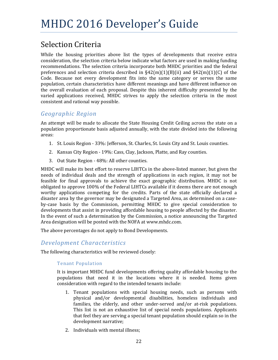## Selection Criteria

While the housing priorities above list the types of developments that receive extra consideration, the selection criteria below indicate what factors are used in making funding recommendations. The selection criteria incorporate both MHDC priorities and the federal preferences and selection criteria described in  $\S42(m)(1)(B)(ii)$  and  $\S42(m)(1)(C)$  of the Code. Because not every development fits into the same category or serves the same population, certain characteristics have different meanings and have different influence on the overall evaluation of each proposal. Despite this inherent difficulty presented by the varied applications received, MHDC strives to apply the selection criteria in the most consistent and rational way possible.

### *Geographic Region*

An attempt will be made to allocate the State Housing Credit Ceiling across the state on a population proportionate basis adjusted annually, with the state divided into the following areas: 

- 1. St. Louis Region 33%: Jefferson, St. Charles, St. Louis City and St. Louis counties.
- 2. Kansas City Region 19%: Cass, Clay, Jackson, Platte, and Ray counties.
- 3. Out State Region 48%: All other counties.

MHDC will make its best effort to reserve LIHTCs in the above-listed manner, but given the needs of individual deals and the strength of applications in each region, it may not be feasible for final approvals to achieve the exact geographic distribution. MHDC is not obligated to approve 100% of the Federal LIHTCs available if it deems there are not enough worthy applications competing for the credits. Parts of the state officially declared a disaster area by the governor may be designated a Targeted Area, as determined on a caseby-case basis by the Commission, permitting MHDC to give special consideration to developments that assist in providing affordable housing to people affected by the disaster. In the event of such a determination by the Commission, a notice announcing the Targeted Area designation will be posted with the NOFA at www.mhdc.com.

The above percentages do not apply to Bond Developments.

### *Development Characteristics*

The following characteristics will be reviewed closely:

### Tenant Population

It is important MHDC fund developments offering quality affordable housing to the populations that need it in the locations where it is needed. Items given consideration with regard to the intended tenants include:

- 1. Tenant populations with special housing needs, such as persons with physical and/or developmental disabilities, homeless individuals and families, the elderly, and other under-served and/or at-risk populations. This list is not an exhaustive list of special needs populations. Applicants that feel they are serving a special tenant population should explain so in the development narrative;
- 2. Individuals with mental illness: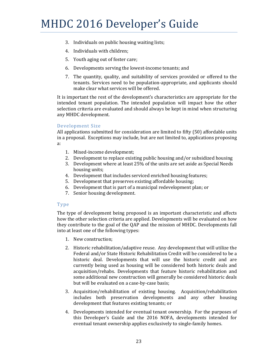- 3. Individuals on public housing waiting lists;
- 4. Individuals with children;
- 5. Youth aging out of foster care;
- 6. Developments serving the lowest-income tenants; and
- 7. The quantity, quality, and suitability of services provided or offered to the tenants. Services need to be population-appropriate, and applicants should make clear what services will be offered.

It is important the rest of the development's characteristics are appropriate for the intended tenant population. The intended population will impact how the other selection criteria are evaluated and should always be kept in mind when structuring any MHDC development.

#### Development Size

All applications submitted for consideration are limited to fifty  $(50)$  affordable units in a proposal. Exceptions may include, but are not limited to, applications proposing a: 

- 1. Mixed-income development;
- 2. Development to replace existing public housing and/or subsidized housing
- 3. Development where at least 25% of the units are set aside as Special Needs housing units;
- 4. Development that includes serviced enriched housing features;
- 5. Development that preserves existing affordable housing;
- 6. Development that is part of a municipal redevelopment plan; or
- 7. Senior housing development.

#### Type

The type of development being proposed is an important characteristic and affects how the other selection criteria are applied. Developments will be evaluated on how they contribute to the goal of the QAP and the mission of MHDC. Developments fall into at least one of the following types:

- 1. New construction;
- 2. Historic rehabilitation/adaptive reuse. Any development that will utilize the Federal and/or State Historic Rehabilitation Credit will be considered to be a historic deal. Developments that will use the historic credit and are currently being used as housing will be considered both historic deals and acquisition/rehabs. Developments that feature historic rehabilitation and some additional new construction will generally be considered historic deals but will be evaluated on a case-by-case basis;
- 3. Acquisition/rehabilitation of existing housing. Acquisition/rehabilitation includes both preservation developments and any other housing development that features existing tenants; or
- 4. Developments intended for eventual tenant ownership. For the purposes of this Developer's Guide and the 2016 NOFA, developments intended for eventual tenant ownership applies exclusively to single-family homes.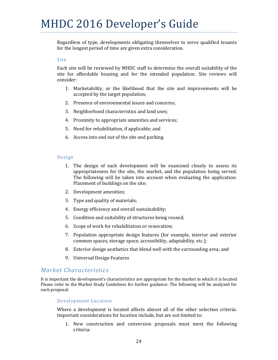Regardless of type, developments obligating themselves to serve qualified tenants for the longest period of time are given extra consideration.

#### Site

Each site will be reviewed by MHDC staff to determine the overall suitability of the site for affordable housing and for the intended population. Site reviews will consider: 

- 1. Marketability, or the likelihood that the site and improvements will be accepted by the target population;
- 2. Presence of environmental issues and concerns;
- 3. Neighborhood characteristics and land uses;
- 4. Proximity to appropriate amenities and services;
- 5. Need for rehabilitation, if applicable; and
- 6. Access into and out of the site and parking.

#### Design

- 1. The design of each development will be examined closely to assess its appropriateness for the site, the market, and the population being served. The following will be taken into account when evaluating the application: Placement of buildings on the site;
- 2. Development amenities;
- 3. Type and quality of materials;
- 4. Energy efficiency and overall sustainability;
- 5. Condition and suitability of structures being reused;
- 6. Scope of work for rehabilitation or renovation;
- 7. Population appropriate design features (for example, interior and exterior common spaces, storage space, accessibility, adaptability, etc.);
- 8. Exterior design aesthetics that blend well with the surrounding area; and
- 9. Universal Design Features

### *Market Characteristics*

It is important the development's characteristics are appropriate for the market in which it is located Please refer to the Market Study Guidelines for further guidance. The following will be analyzed for each proposal:

#### Development Location

Where a development is located affects almost all of the other selection criteria. Important considerations for location include, but are not limited to:

1. New construction and conversion proposals must meet the following criteria: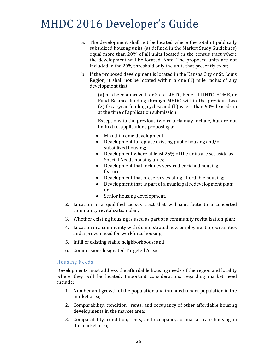- a. The development shall not be located where the total of publically subsidized housing units (as defined in the Market Study Guidelines) equal more than 20% of all units located in the census tract where the development will be located. Note: The proposed units are not included in the 20% threshold only the units that presently exist;
- b. If the proposed development is located in the Kansas City or St. Louis Region, it shall not be located within a one  $(1)$  mile radius of any development that:

(a) has been approved for State LIHTC, Federal LIHTC, HOME, or Fund Balance funding through MHDC within the previous two  $(2)$  fiscal-year funding cycles; and  $(b)$  is less than 90% leased-up at the time of application submission.

Exceptions to the previous two criteria may include, but are not limited to, applications proposing a:

- Mixed-income development;
- Development to replace existing public housing and/or subsidized housing;
- Development where at least  $25%$  of the units are set aside as Special Needs housing units;
- Development that includes serviced enriched housing features;
- Development that preserves existing affordable housing;
- $\bullet$  Development that is part of a municipal redevelopment plan; or
- Senior housing development.
- 2. Location in a qualified census tract that will contribute to a concerted community revitalization plan;
- 3. Whether existing housing is used as part of a community revitalization plan;
- 4. Location in a community with demonstrated new employment opportunities and a proven need for workforce housing;
- 5. Infill of existing stable neighborhoods; and
- 6. Commission-designated Targeted Areas.

### Housing Needs

Developments must address the affordable housing needs of the region and locality where they will be located. Important considerations regarding market need include: 

- 1. Number and growth of the population and intended tenant population in the market area:
- 2. Comparability, condition, rents, and occupancy of other affordable housing developments in the market area;
- 3. Comparability, condition, rents, and occupancy, of market rate housing in the market area: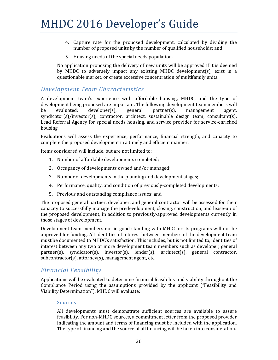- 4. Capture rate for the proposed development, calculated by dividing the number of proposed units by the number of qualified households; and
- 5. Housing needs of the special needs population.

No application proposing the delivery of new units will be approved if it is deemed by MHDC to adversely impact any existing MHDC development(s), exist in a questionable market, or create excessive concentration of multifamily units.

### *Development Team Characteristics*

A development team's experience with affordable housing, MHDC, and the type of development being proposed are important. The following development team members will be evaluated: developer(s), general partner(s), management agent,  $syndication(s)/investor(s), contractor, architecture, sustainable design team, consultant(s),$ Lead Referral Agency for special needs housing, and service provider for service-enriched housing. 

Evaluations will assess the experience, performance, financial strength, and capacity to complete the proposed development in a timely and efficient manner.

Items considered will include, but are not limited to:

- 1. Number of affordable developments completed;
- 2. Occupancy of developments owned and/or managed;
- 3. Number of developments in the planning and development stages;
- 4. Performance, quality, and condition of previously-completed developments;
- 5. Previous and outstanding compliance issues; and

The proposed general partner, developer, and general contractor will be assessed for their capacity to successfully manage the predevelopment, closing, construction, and lease-up of the proposed development, in addition to previously-approved developments currently in those stages of development.

Development team members not in good standing with MHDC or its programs will not be approved for funding. All identities of interest between members of the development team must be documented to MHDC's satisfaction. This includes, but is not limited to, identities of interest between any two or more development team members such as developer, general  $partner(s)$ , syndicator(s), investor(s), lender(s), architect(s), general contractor,  $subcontractor(s)$ ,  $attorney(s)$ ,  $management$  agent, etc.

### *Financial Feasibility*

Applications will be evaluated to determine financial feasibility and viability throughout the Compliance Period using the assumptions provided by the applicant ("Feasibility and Viability Determination"). MHDC will evaluate:

#### Sources

All developments must demonstrate sufficient sources are available to assure feasibility. For non-MHDC sources, a commitment letter from the proposed provider indicating the amount and terms of financing must be included with the application. The type of financing and the source of all financing will be taken into consideration.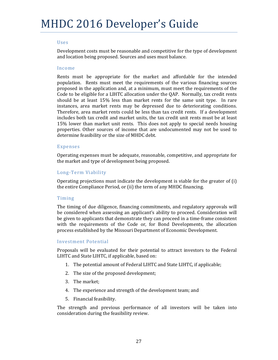#### Uses

Development costs must be reasonable and competitive for the type of development and location being proposed. Sources and uses must balance.

#### Income

Rents must be appropriate for the market and affordable for the intended population. Rents must meet the requirements of the various financing sources proposed in the application and, at a minimum, must meet the requirements of the Code to be eligible for a LIHTC allocation under the QAP. Normally, tax credit rents should be at least  $15\%$  less than market rents for the same unit type. In rare instances, area market rents may be depressed due to deteriorating conditions. Therefore, area market rents could be less than tax credit rents. If a development includes both tax credit and market units, the tax credit unit rents must be at least 15% lower than market unit rents. This does not apply to special needs housing properties. Other sources of income that are undocumented may not be used to determine feasibility or the size of MHDC debt.

#### Expenses

Operating expenses must be adequate, reasonable, competitive, and appropriate for the market and type of development being proposed.

### Long‐Term Viability

Operating projections must indicate the development is viable for the greater of  $(i)$ the entire Compliance Period, or (ii) the term of any MHDC financing.

#### Timing

The timing of due diligence, financing commitments, and regulatory approvals will be considered when assessing an applicant's ability to proceed. Consideration will be given to applicants that demonstrate they can proceed in a time-frame consistent with the requirements of the Code or, for Bond Developments, the allocation process established by the Missouri Department of Economic Development.

#### Investment Potential

Proposals will be evaluated for their potential to attract investors to the Federal LIHTC and State LIHTC, if applicable, based on:

- 1. The potential amount of Federal LIHTC and State LIHTC, if applicable;
- 2. The size of the proposed development;
- 3. The market:
- 4. The experience and strength of the development team; and
- 5. Financial feasibility.

The strength and previous performance of all investors will be taken into consideration during the feasibility review.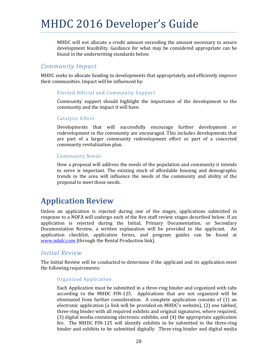MHDC will not allocate a credit amount exceeding the amount necessary to assure development feasibility. Guidance for what may be considered appropriate can be found in the underwriting standards below.

### *Community Impact*

MHDC seeks to allocate funding to developments that appropriately and efficiently improve their communities. Impact will be influenced by:

### Elected Official and Community Support

Community support should highlight the importance of the development to the community and the impact it will have.

#### Catalytic Effect

Developments that will successfully encourage further development or redevelopment in the community are encouraged. This includes developments that are part of a larger community redevelopment effort or part of a concerted community revitalization plan.

### Community Needs

How a proposal will address the needs of the population and community it intends to serve is important. The existing stock of affordable housing and demographic trends in the area will influence the needs of the community and ability of the proposal to meet those needs.

## **Application Review**

Unless an application is rejected during one of the stages, applications submitted in response to a NOFA will undergo each of the five staff review stages described below. If an application is rejected during the Initial, Primary Documentation, or Secondary Documentation Review, a written explanation will be provided to the applicant. An application checklist, application forms, and program guides can be found at www.mhdc.com (through the Rental Production link).

### *Initial Review*

The Initial Review will be conducted to determine if the applicant and its application meet the following requirements:

### Organized Application

Each Application must be submitted in a three-ring binder and organized with tabs according to the MHDC FIN-125. Applications that are not organized will be eliminated from further consideration. A complete application consists of  $(1)$  an electronic application (a link will be provided on MHDC's website), (2) one tabbed, three-ring binder with all required exhibits and original signatures, where required,  $(3)$  digital media containing electronic exhibits, and  $(4)$  the appropriate application fee. The MHDC FIN-125 will identify exhibits to be submitted in the three-ring binder and exhibits to be submitted digitally. Three-ring binder and digital media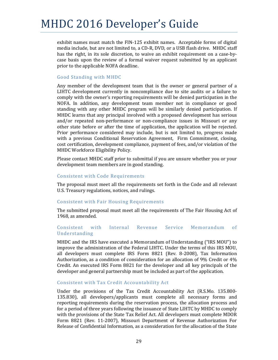exhibit names must match the FIN-125 exhibit names. Acceptable forms of digital media include, but are not limited to, a CD-R, DVD, or a USB flash drive. MHDC staff has the right, in its sole discretion, to waive an exhibit requirement on a case-bycase basis upon the review of a formal waiver request submitted by an applicant prior to the applicable NOFA deadline.

#### Good Standing with MHDC

Any member of the development team that is the owner or general partner of a LIHTC development currently in noncompliance due to site audits or a failure to comply with the owner's reporting requirements will be denied participation in the NOFA. In addition, any development team member not in compliance or good standing with any other MHDC program will be similarly denied participation. If MHDC learns that any principal involved with a proposed development has serious and/or repeated non-performance or non-compliance issues in Missouri or any other state before or after the time of application, the application will be rejected. Prior performance considered may include, but is not limited to, progress made with a previous Conditional Reservation Agreement, Firm Commitment, closing, cost certification, development compliance, payment of fees, and/or violation of the MHDC Workforce Eligibility Policy.

Please contact MHDC staff prior to submittal if you are unsure whether you or your development team members are in good standing.

#### Consistent with Code Requirements

The proposal must meet all the requirements set forth in the Code and all relevant U.S. Treasury regulations, notices, and rulings.

#### Consistent with Fair Housing Requirements

The submitted proposal must meet all the requirements of The Fair Housing Act of 1968, as amended.

#### Consistent with Internal Revenue Service Memorandum of Understanding

MHDC and the IRS have executed a Memorandum of Understanding ("IRS MOU") to improve the administration of the Federal LIHTC. Under the terms of this IRS MOU, all developers must complete IRS Form 8821 (Rev. 8-2008), Tax Information Authorization, as a condition of consideration for an allocation of 9% Credit or  $4\%$ Credit. An executed IRS Form 8821 for the developer and all key principals of the developer and general partnership must be included as part of the application.

#### Consistent with Tax Credit Accountability Act

Under the provisions of the Tax Credit Accountability Act  $(R.S.Mo. 135.800-$ 135.830), all developers/applicants must complete all necessary forms and reporting requirements during the reservation process, the allocation process and for a period of three years following the issuance of State LIHTC by MHDC to comply with the provisions of the State Tax Relief Act. All developers must complete MDOR Form 8821 (Rev. 11-2007), Missouri Department of Revenue Authorization For Release of Confidential Information, as a consideration for the allocation of the State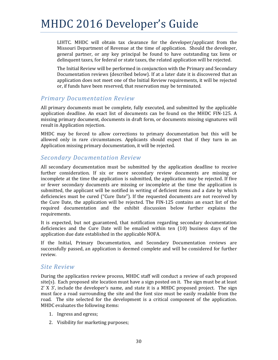LIHTC. MHDC will obtain tax clearance for the developer/applicant from the Missouri Department of Revenue at the time of application. Should the developer, general partner, or any key principal be found to have outstanding tax liens or delinquent taxes, for federal or state taxes, the related application will be rejected.

The Initial Review will be performed in conjunction with the Primary and Secondary Documentation reviews (described below). If at a later date it is discovered that an application does not meet one of the Initial Review requirements, it will be rejected or, if funds have been reserved, that reservation may be terminated.

### *Primary Documentation Review*

All primary documents must be complete, fully executed, and submitted by the applicable application deadline. An exact list of documents can be found on the MHDC FIN-125. A missing primary document, documents in draft form, or documents missing signatures will result in Application rejection.

MHDC may be forced to allow corrections to primary documentation but this will be allowed only in rare circumstances. Applicants should expect that if they turn in an Application missing primary documentation, it will be rejected.

### *Secondary Documentation Review*

All secondary documentation must be submitted by the application deadline to receive further consideration. If six or more secondary review documents are missing or incomplete at the time the application is submitted, the application may be rejected. If five or fewer secondary documents are missing or incomplete at the time the application is submitted, the applicant will be notified in writing of deficient items and a date by which deficiencies must be cured ("Cure Date"). If the requested documents are not received by the Cure Date, the application will be rejected. The  $FIN-125$  contains an exact list of the required documentation and the exhibit discussion below further explains the requirements. 

It is expected, but not guaranteed, that notification regarding secondary documentation deficiencies and the Cure Date will be emailed within ten (10) business days of the application due date established in the applicable NOFA.

If the Initial, Primary Documentation, and Secondary Documentation reviews are successfully passed, an application is deemed complete and will be considered for further review. 

### *Site Review*

During the application review process, MHDC staff will conduct a review of each proposed site(s). Each proposed site location must have a sign posted on it. The sign must be at least  $2'$  X  $3'$ , include the developer's name, and state it is a MHDC proposed project. The sign must face a road surrounding the site and the font size must be easily readable from the road. The site selected for the development is a critical component of the application. MHDC evaluates the following items:

- 1. Ingress and egress;
- 2. Visibility for marketing purposes;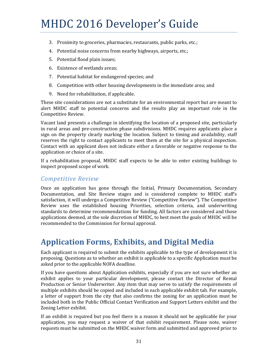- 3. Proximity to groceries, pharmacies, restaurants, public parks, etc.;
- 4. Potential noise concerns from nearby highways, airports, etc.;
- 5. Potential flood plain issues;
- 6. Existence of wetlands areas;
- 7. Potential habitat for endangered species; and
- 8. Competition with other housing developments in the immediate area; and
- 9. Need for rehabilitation, if applicable.

These site considerations are not a substitute for an environmental report but are meant to alert MHDC staff to potential concerns and the results play an important role in the Competitive Review.

Vacant land presents a challenge in identifying the location of a proposed site, particularly in rural areas and pre-construction phase subdivisions. MHDC requires applicants place a sign on the property clearly marking the location. Subject to timing and availability, staff reserves the right to contact applicants to meet them at the site for a physical inspection. Contact with an applicant does not indicate either a favorable or negative response to the application or choice of a site.

If a rehabilitation proposal, MHDC staff expects to be able to enter existing buildings to inspect proposed scope of work.

### *Competitive Review*

Once an application has gone through the Initial, Primary Documentation, Secondary Documentation, and Site Review stages and is considered complete to MHDC staff's satisfaction, it will undergo a Competitive Review ("Competitive Review"). The Competitive Review uses the established housing Priorities, selection criteria, and underwriting standards to determine recommendations for funding. All factors are considered and those applications deemed, at the sole discretion of MHDC, to best meet the goals of MHDC will be recommended to the Commission for formal approval.

## **Application Forms, Exhibits, and Digital Media**

Each applicant is required to submit the exhibits applicable to the type of development it is proposing. Questions as to whether an exhibit is applicable to a specific Application must be asked prior to the applicable NOFA deadline.

If you have questions about Application exhibits, especially if you are not sure whether an exhibit applies to your particular development, please contact the Director of Rental Production or Senior Underwriter. Any item that may serve to satisfy the requirements of multiple exhibits should be copied and included in each applicable exhibit tab. For example, a letter of support from the city that also confirms the zoning for an application must be included both in the Public Official Contact Verification and Support Letters exhibit and the Zoning Letter exhibit.

If an exhibit is required but you feel there is a reason it should not be applicable for your application, you may request a waiver of that exhibit requirement. Please note, waiver requests must be submitted on the MHDC waiver form and submitted and approved prior to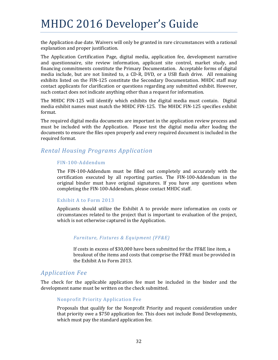the Application due date. Waivers will only be granted in rare circumstances with a rational explanation and proper justification.

The Application Certification Page, digital media, application fee, development narrative and questionnaire, site review information, applicant site control, market study, and financing commitments constitute the Primary Documentation. Acceptable forms of digital media include, but are not limited to, a CD-R, DVD, or a USB flash drive. All remaining exhibits listed on the FIN-125 constitute the Secondary Documentation. MHDC staff may contact applicants for clarification or questions regarding any submitted exhibit. However, such contact does not indicate anything other than a request for information.

The MHDC FIN-125 will identify which exhibits the digital media must contain. Digital media exhibit names must match the MHDC FIN-125. The MHDC FIN-125 specifies exhibit format. 

The required digital media documents are important in the application review process and must be included with the Application. Please test the digital media after loading the documents to ensure the files open properly and every required document is included in the required format.

## *Rental Housing Programs Application*

#### FIN‐100‐Addendum

The FIN-100-Addendum must be filled out completely and accurately with the certification executed by all reporting parties. The FIN-100-Addendum in the original binder must have original signatures. If you have any questions when completing the FIN-100-Addendum, please contact MHDC staff.

#### Exhibit A to Form 2013

Applicants should utilize the Exhibit A to provide more information on costs or circumstances related to the project that is important to evaluation of the project, which is not otherwise captured in the Application.

#### *Furniture, Fixtures & Equipment (FF&E)*

If costs in excess of \$30,000 have been submitted for the FF&E line item, a breakout of the items and costs that comprise the FF&E must be provided in the Exhibit A to Form 2013.

### *Application Fee*

The check for the applicable application fee must be included in the binder and the development name must be written on the check submitted.

#### Nonprofit Priority Application Fee

Proposals that qualify for the Nonprofit Priority and request consideration under that priority owe a \$750 application fee. This does not include Bond Developments, which must pay the standard application fee.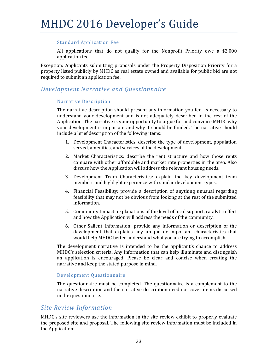#### Standard Application Fee

All applications that do not qualify for the Nonprofit Priority owe a  $$2,000$ application fee.

Exception: Applicants submitting proposals under the Property Disposition Priority for a property listed publicly by MHDC as real estate owned and available for public bid are not required to submit an application fee.

### *Development Narrative and Questionnaire*

#### Narrative Description

The narrative description should present any information you feel is necessary to understand your development and is not adequately described in the rest of the Application. The narrative is your opportunity to argue for and convince MHDC why your development is important and why it should be funded. The narrative should include a brief description of the following items:

- 1. Development Characteristics: describe the type of development, population served, amenities, and services of the development.
- 2. Market Characteristics: describe the rent structure and how those rents compare with other affordable and market rate properties in the area. Also discuss how the Application will address the relevant housing needs.
- 3. Development Team Characteristics: explain the key development team members and highlight experience with similar development types.
- 4. Financial Feasibility: provide a description of anything unusual regarding feasibility that may not be obvious from looking at the rest of the submitted information.
- 5. Community Impact: explanations of the level of local support, catalytic effect and how the Application will address the needs of the community.
- 6. Other Salient Information: provide any information or description of the development that explains any unique or important characteristics that would help MHDC better understand what you are trying to accomplish.

The development narrative is intended to be the applicant's chance to address MHDC's selection criteria. Any information that can help illuminate and distinguish an application is encouraged. Please be clear and concise when creating the narrative and keep the stated purpose in mind.

#### Development Questionnaire

The questionnaire must be completed. The questionnaire is a complement to the narrative description and the narrative description need not cover items discussed in the questionnaire.

### *Site Review Information*

MHDC's site reviewers use the information in the site review exhibit to properly evaluate the proposed site and proposal. The following site review information must be included in the Application: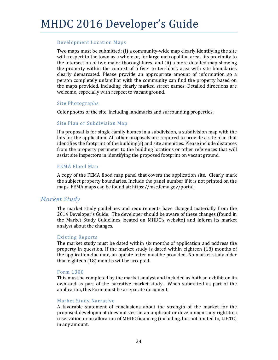#### Development Location Maps

Two maps must be submitted:  $(i)$  a community-wide map clearly identifying the site with respect to the town as a whole or, for large metropolitan areas, its proximity to the intersection of two major thoroughfares; and (ii) a more detailed map showing the property within the context of a five- to ten-block area with site boundaries clearly demarcated. Please provide an appropriate amount of information so a person completely unfamiliar with the community can find the property based on the maps provided, including clearly marked street names. Detailed directions are welcome, especially with respect to vacant ground.

#### Site Photographs

Color photos of the site, including landmarks and surrounding properties.

#### Site Plan or Subdivision Map

If a proposal is for single-family homes in a subdivision, a subdivision map with the lots for the application. All other proposals are required to provide a site plan that identifies the footprint of the building(s) and site amenities. Please include distances from the property perimeter to the building locations or other references that will assist site inspectors in identifying the proposed footprint on vacant ground.

#### FEMA Flood Map

A copy of the FEMA flood map panel that covers the application site. Clearly mark the subject property boundaries. Include the panel number if it is not printed on the maps. FEMA maps can be found at: https://msc.fema.gov/portal.

### *Market Study*

The market study guidelines and requirements have changed materially from the 2014 Developer's Guide. The developer should be aware of these changes (found in the Market Study Guidelines located on MHDC's website) and inform its market analyst about the changes.

#### Existing Reports

The market study must be dated within six months of application and address the property in question. If the market study is dated within eighteen  $(18)$  months of the application due date, an update letter must be provided. No market study older than eighteen  $(18)$  months will be accepted.

#### Form 1300

This must be completed by the market analyst and included as both an exhibit on its own and as part of the narrative market study. When submitted as part of the application, this Form must be a separate document.

#### Market Study Narrative

A favorable statement of conclusions about the strength of the market for the proposed development does not vest in an applicant or development any right to a reservation or an allocation of MHDC financing (including, but not limited to, LIHTC) in any amount.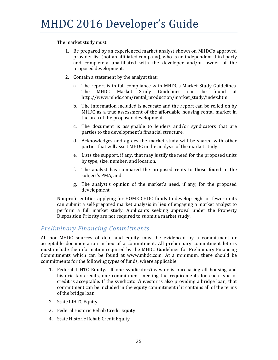The market study must:

- 1. Be prepared by an experienced market analyst shown on MHDC's approved provider list (not an affiliated company), who is an independent third party and completely unaffiliated with the developer and/or owner of the proposed development.
- 2. Contain a statement by the analyst that:
	- a. The report is in full compliance with MHDC's Market Study Guidelines. The MHDC Market Study Guidelines can be found at http://www.mhdc.com/rental\_production/market\_study/index.htm.
	- b. The information included is accurate and the report can be relied on by MHDC as a true assessment of the affordable housing rental market in the area of the proposed development.
	- c. The document is assignable to lenders and/or syndicators that are parties to the development's financial structure.
	- d. Acknowledges and agrees the market study will be shared with other parties that will assist MHDC in the analysis of the market study.
	- e. Lists the support, if any, that may justify the need for the proposed units by type, size, number, and location.
	- f. The analyst has compared the proposed rents to those found in the subject's PMA, and
	- g. The analyst's opinion of the market's need, if any, for the proposed development.

Nonprofit entities applying for HOME CHDO funds to develop eight or fewer units can submit a self-prepared market analysis in lieu of engaging a market analyst to perform a full market study. Applicants seeking approval under the Property Disposition Priority are not required to submit a market study.

## *Preliminary Financing Commitments*

All non-MHDC sources of debt and equity must be evidenced by a commitment or acceptable documentation in lieu of a commitment. All preliminary commitment letters must include the information required by the MHDC Guidelines for Preliminary Financing Commitments which can be found at www.mhdc.com. At a minimum, there should be commitments for the following types of funds, where applicable:

- 1. Federal LIHTC Equity. If one syndicator/investor is purchasing all housing and historic tax credits, one commitment meeting the requirements for each type of credit is acceptable. If the syndicator/investor is also providing a bridge loan, that commitment can be included in the equity commitment if it contains all of the terms of the bridge loan.
- 2. State LIHTC Equity
- 3. Federal Historic Rehab Credit Equity
- 4. State Historic Rehab Credit Equity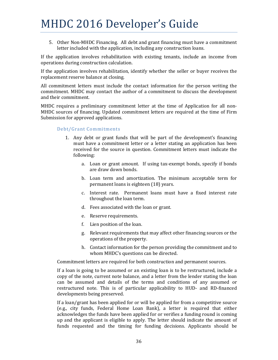5. Other Non-MHDC Financing. All debt and grant financing must have a commitment letter included with the application, including any construction loans.

If the application involves rehabilitation with existing tenants, include an income from operations during construction calculation.

If the application involves rehabilitation, identify whether the seller or buyer receives the replacement reserve balance at closing.

All commitment letters must include the contact information for the person writing the commitment. MHDC may contact the author of a commitment to discuss the development and their commitment.

MHDC requires a preliminary commitment letter at the time of Application for all non-MHDC sources of financing. Updated commitment letters are required at the time of Firm Submission for approved applications.

#### Debt/Grant Commitments

- 1. Any debt or grant funds that will be part of the development's financing must have a commitment letter or a letter stating an application has been received for the source in question. Commitment letters must indicate the following:
	- a. Loan or grant amount. If using tax-exempt bonds, specify if bonds are draw down bonds.
	- b. Loan term and amortization. The minimum acceptable term for permanent loans is eighteen (18) years.
	- c. Interest rate. Permanent loans must have a fixed interest rate throughout the loan term.
	- d. Fees associated with the loan or grant.
	- e. Reserve requirements.
	- f. Lien position of the loan.
	- g. Relevant requirements that may affect other financing sources or the operations of the property.
	- h. Contact information for the person providing the commitment and to whom MHDC's questions can be directed.

Commitment letters are required for both construction and permanent sources.

If a loan is going to be assumed or an existing loan is to be restructured, include a copy of the note, current note balance, and a letter from the lender stating the loan can be assumed and details of the terms and conditions of any assumed or restructured note. This is of particular applicability to HUD- and RD-financed developments being preserved.

If a loan/grant has been applied for or will be applied for from a competitive source (e.g., city funds, Federal Home Loan Bank), a letter is required that either acknowledges the funds have been applied for or verifies a funding round is coming up and the applicant is eligible to apply. The letter should indicate the amount of funds requested and the timing for funding decisions. Applicants should be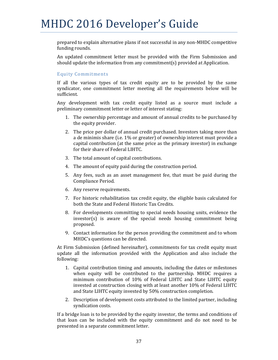prepared to explain alternative plans if not successful in any non-MHDC competitive funding rounds.

An updated commitment letter must be provided with the Firm Submission and should update the information from any commitment(s) provided at Application.

#### Equity Commitments

If all the various types of tax credit equity are to be provided by the same syndicator, one commitment letter meeting all the requirements below will be sufficient. 

Any development with tax credit equity listed as a source must include a preliminary commitment letter or letter of interest stating:

- 1. The ownership percentage and amount of annual credits to be purchased by the equity provider.
- 2. The price per dollar of annual credit purchased. Investors taking more than a de minimis share (i.e. 1% or greater) of ownership interest must provide a capital contribution (at the same price as the primary investor) in exchange for their share of Federal LIHTC.
- 3. The total amount of capital contributions.
- 4. The amount of equity paid during the construction period.
- 5. Any fees, such as an asset management fee, that must be paid during the Compliance Period.
- 6. Any reserve requirements.
- 7. For historic rehabilitation tax credit equity, the eligible basis calculated for both the State and Federal Historic Tax Credits.
- 8. For developments committing to special needs housing units, evidence the  $investor(s)$  is aware of the special needs housing commitment being proposed.
- 9. Contact information for the person providing the commitment and to whom MHDC's questions can be directed.

At Firm Submission (defined hereinafter), commitments for tax credit equity must update all the information provided with the Application and also include the following: 

- 1. Capital contribution timing and amounts, including the dates or milestones when equity will be contributed to the partnership. MHDC requires a minimum contribution of 10% of Federal LIHTC and State LIHTC equity invested at construction closing with at least another 10% of Federal LIHTC and State LIHTC equity invested by 50% construction completion.
- 2. Description of development costs attributed to the limited partner, including syndication costs.

If a bridge loan is to be provided by the equity investor, the terms and conditions of that loan can be included with the equity commitment and do not need to be presented in a separate commitment letter.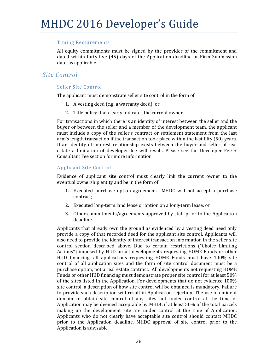#### Timing Requirements

All equity commitments must be signed by the provider of the commitment and dated within forty-five  $(45)$  days of the Application deadline or Firm Submission date, as applicable.

## *Site Control*

#### Seller Site Control

The applicant must demonstrate seller site control in the form of:

- 1. A vesting deed (e.g. a warranty deed); or
- 2. Title policy that clearly indicates the current owner.

For transactions in which there is an identity of interest between the seller and the buyer or between the seller and a member of the development team, the applicant must include a copy of the seller's contract or settlement statement from the last arm's length transaction if the transaction took place within the last fifty  $(50)$  years. If an identity of interest relationship exists between the buyer and seller of real estate a limitation of developer fee will result. Please see the Developer Fee  $+$ Consultant Fee section for more information.

#### Applicant Site Control

Evidence of applicant site control must clearly link the current owner to the eventual ownership entity and be in the form of:

- 1. Executed purchase option agreement. MHDC will not accept a purchase contract;
- 2. Executed long-term land lease or option on a long-term lease; or
- 3. Other commitments/agreements approved by staff prior to the Application deadline.

Applicants that already own the ground as evidenced by a vesting deed need only provide a copy of that recorded deed for the applicant site control. Applicants will also need to provide the identity of interest transaction information in the seller site control section described above. Due to certain restrictions ("Choice Limiting Actions") imposed by HUD on all developments requesting HOME Funds or other HUD financing, all applications requesting HOME Funds must have 100% site control of all application sites and the form of site control document must be a purchase option, not a real estate contract. All developments not requesting HOME Funds or other HUD financing must demonstrate proper site control for at least 50% of the sites listed in the Application. For developments that do not evidence  $100\%$ site control, a description of how site control will be obtained is mandatory. Failure to provide such description will result in Application rejection. The use of eminent domain to obtain site control of any sites not under control at the time of Application may be deemed acceptable by MHDC if at least  $50\%$  of the total parcels making up the development site are under control at the time of Application. Applicants who do not clearly have acceptable site control should contact MHDC prior to the Application deadline. MHDC approval of site control prior to the Application is advisable.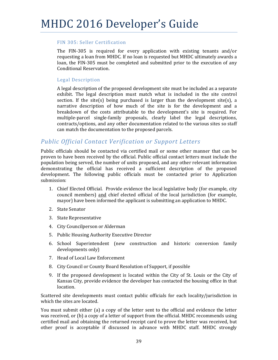#### FIN 305: Seller Certification

The FIN-305 is required for every application with existing tenants and/or requesting a loan from MHDC. If no loan is requested but MHDC ultimately awards a loan, the FIN-305 must be completed and submitted prior to the execution of any Conditional Reservation.

#### Legal Description

A legal description of the proposed development site must be included as a separate exhibit. The legal description must match what is included in the site control section. If the site(s) being purchased is larger than the development site(s), a narrative description of how much of the site is for the development and a breakdown of the costs attributable to the development's site is required. For multiple-parcel single-family proposals, clearly label the legal descriptions, contracts/options, and any other documentation related to the various sites so staff can match the documentation to the proposed parcels.

## *Public Official Contact Verification or Support Letters*

Public officials should be contacted via certified mail or some other manner that can be proven to have been received by the official. Public official contact letters must include the population being served, the number of units proposed, and any other relevant information demonstrating the official has received a sufficient description of the proposed development. The following public officials must be contacted prior to Application submission: 

- 1. Chief Elected Official. Provide evidence the local legislative body (for example, city council members) and chief elected official of the local jurisdiction (for example, mayor) have been informed the applicant is submitting an application to MHDC.
- 2. State Senator
- 3. State Representative
- 4. City Councilperson or Alderman
- 5. Public Housing Authority Executive Director
- 6. School Superintendent (new construction and historic conversion family developments only)
- 7. Head of Local Law Enforcement
- 8. City Council or County Board Resolution of Support, if possible
- 9. If the proposed development is located within the City of St. Louis or the City of Kansas City, provide evidence the developer has contacted the housing office in that location.

Scattered site developments must contact public officials for each locality/jurisdiction in which the sites are located.

You must submit either (a) a copy of the letter sent to the official and evidence the letter was received, or (b) a copy of a letter of support from the official. MHDC recommends using certified mail and obtaining the returned receipt card to prove the letter was received, but other proof is acceptable if discussed in advance with MHDC staff. MHDC strongly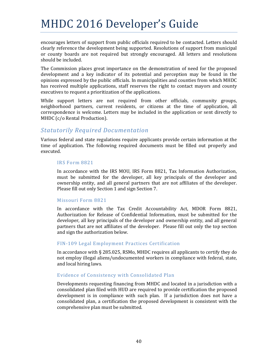encourages letters of support from public officials required to be contacted. Letters should clearly reference the development being supported. Resolutions of support from municipal or county boards are not required but strongly encouraged. All letters and resolutions should be included.

The Commission places great importance on the demonstration of need for the proposed development and a key indicator of its potential and perception may be found in the opinions expressed by the public officials. In municipalities and counties from which MHDC has received multiple applications, staff reserves the right to contact mayors and county executives to request a prioritization of the applications.

While support letters are not required from other officials, community groups, neighborhood partners, current residents, or citizens at the time of application, all correspondence is welcome. Letters may be included in the application or sent directly to MHDC (c/o Rental Production).

### *Statutorily Required Documentation*

Various federal and state regulations require applicants provide certain information at the time of application. The following required documents must be filled out properly and executed. 

#### IRS Form 8821

In accordance with the IRS MOU, IRS Form 8821, Tax Information Authorization, must be submitted for the developer, all key principals of the developer and ownership entity, and all general partners that are not affiliates of the developer. Please fill out only Section 1 and sign Section 7.

#### Missouri Form 8821

In accordance with the Tax Credit Accountability Act, MDOR Form 8821, Authorization for Release of Confidential Information, must be submitted for the developer, all key principals of the developer and ownership entity, and all general partners that are not affiliates of the developer. Please fill out only the top section and sign the authorization below.

#### FIN-109 Legal Employment Practices Certification

In accordance with  $\S$  285.025, RSMo, MHDC requires all applicants to certify they do not employ illegal aliens/undocumented workers in compliance with federal, state, and local hiring laws.

#### Evidence of Consistency with Consolidated Plan

Developments requesting financing from MHDC and located in a jurisdiction with a consolidated plan filed with HUD are required to provide certification the proposed development is in compliance with such plan. If a jurisdiction does not have a consolidated plan, a certification the proposed development is consistent with the comprehensive plan must be submitted.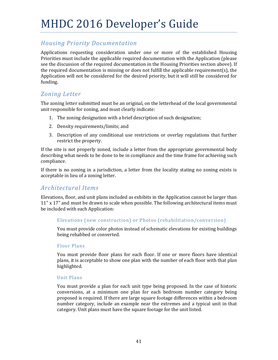## *Housing Priority Documentation*

Applications requesting consideration under one or more of the established Housing Priorities must include the applicable required documentation with the Application (please see the discussion of the required documentation in the Housing Priorities section above). If the required documentation is missing or does not fulfill the applicable requirement(s), the Application will not be considered for the desired priority, but it will still be considered for funding. 

## *Zoning Letter*

The zoning letter submitted must be an original, on the letterhead of the local governmental unit responsible for zoning, and must clearly indicate:

- 1. The zoning designation with a brief description of such designation;
- 2. Density requirements/limits; and
- 3. Description of any conditional use restrictions or overlay regulations that further restrict the property.

If the site is not properly zoned, include a letter from the appropriate governmental body describing what needs to be done to be in compliance and the time frame for achieving such compliance. 

If there is no zoning in a jurisdiction, a letter from the locality stating no zoning exists is acceptable in lieu of a zoning letter.

## *Architectural Items*

Elevations, floor, and unit plans included as exhibits in the Application cannot be larger than  $11''$  x 17" and must be drawn to scale when possible. The following architectural items must be included with each Application:

#### Elevations (new construction) or Photos (rehabilitation/conversion)

You must provide color photos instead of schematic elevations for existing buildings being rehabbed or converted.

#### Floor Plans

You must provide floor plans for each floor. If one or more floors have identical plans, it is acceptable to show one plan with the number of each floor with that plan highlighted. 

#### Unit Plans

You must provide a plan for each unit type being proposed. In the case of historic conversions, at a minimum one plan for each bedroom number category being proposed is required. If there are large square footage differences within a bedroom number category, include an example near the extremes and a typical unit in that category. Unit plans must have the square footage for the unit listed.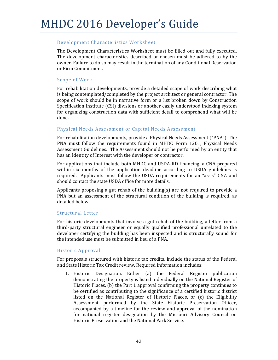#### Development Characteristics Worksheet

The Development Characteristics Worksheet must be filled out and fully executed. The development characteristics described or chosen must be adhered to by the owner. Failure to do so may result in the termination of any Conditional Reservation or Firm Commitment. 

#### Scope of Work

For rehabilitation developments, provide a detailed scope of work describing what is being contemplated/completed by the project architect or general contractor. The scope of work should be in narrative form or a list broken down by Construction Specification Institute (CSI) divisions or another easily understood indexing system for organizing construction data with sufficient detail to comprehend what will be done. 

#### Physical Needs Assessment or Capital Needs Assessment

For rehabilitation developments, provide a Physical Needs Assessment ("PNA"). The PNA must follow the requirements found in MHDC Form 1201, Physical Needs Assessment Guidelines. The Assessment should not be performed by an entity that has an Identity of Interest with the developer or contractor.

For applications that include both MHDC and USDA-RD financing, a CNA prepared within six months of the application deadline according to USDA guidelines is required. Applicants must follow the USDA requirements for an "as-is" CNA and should contact the state USDA office for more details.

Applicants proposing a gut rehab of the building(s) are not required to provide a PNA but an assessment of the structural condition of the building is required, as detailed below.

#### Structural Letter

For historic developments that involve a gut rehab of the building, a letter from a third-party structural engineer or equally qualified professional unrelated to the developer certifying the building has been inspected and is structurally sound for the intended use must be submitted in lieu of a PNA.

#### Historic Approval

For proposals structured with historic tax credits, include the status of the Federal and State Historic Tax Credit review. Required information includes:

1. Historic Designation. Either (a) the Federal Register publication demonstrating the property is listed individually on the National Register of Historic Places, (b) the Part 1 approval confirming the property continues to be certified as contributing to the significance of a certified historic district listed on the National Register of Historic Places, or (c) the Eligibility Assessment performed by the State Historic Preservation Officer, accompanied by a timeline for the review and approval of the nomination for national register designation by the Missouri Advisory Council on Historic Preservation and the National Park Service.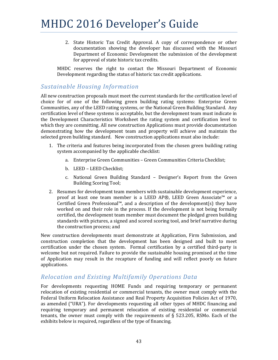2. State Historic Tax Credit Approval. A copy of correspondence or other documentation showing the developer has discussed with the Missouri Department of Economic Development the submission of the development for approval of state historic tax credits.

MHDC reserves the right to contact the Missouri Department of Economic Development regarding the status of historic tax credit applications.

## *Sustainable Housing Information*

All new construction proposals must meet the current standards for the certification level of choice for of one of the following green building rating systems: Enterprise Green Communities, any of the LEED rating systems, or the National Green Building Standard. Any certification level of these systems is acceptable, but the development team must indicate in the Development Characteristics Worksheet the rating system and certification level to which they are committing. All new construction Applications must provide documentation demonstrating how the development team and property will achieve and maintain the selected green building standard. New construction applications must also include:

- 1. The criteria and features being incorporated from the chosen green building rating system accompanied by the applicable checklist:
	- a. Enterprise Green Communities Green Communities Criteria Checklist;
	- b. LEED LEED Checklist:
	- c. National Green Building Standard Designer's Report from the Green Building Scoring Tool;
- 2. Resumes for development team members with sustainable development experience, proof at least one team member is a LEED AP®, LEED Green Associate™ or a Certified Green Professional™, and a description of the development(s) they have worked on and their role in the process. If the development is not being formally certified, the development team member must document the pledged green building standards with pictures, a signed and scored scoring tool, and brief narrative during the construction process; and

New construction developments must demonstrate at Application, Firm Submission, and construction completion that the development has been designed and built to meet certification under the chosen system. Formal certification by a certified third-party is welcome but not required. Failure to provide the sustainable housing promised at the time of Application may result in the recapture of funding and will reflect poorly on future applications. 

### *Relocation and Existing Multifamily Operations Data*

For developments requesting HOME Funds and requiring temporary or permanent relocation of existing residential or commercial tenants, the owner must comply with the Federal Uniform Relocation Assistance and Real Property Acquisition Policies Act of 1970, as amended ("URA"). For developments requesting all other types of MHDC financing and requiring temporary and permanent relocation of existing residential or commercial tenants, the owner must comply with the requirements of  $\S$  523.205, RSMo. Each of the exhibits below is required, regardless of the type of financing.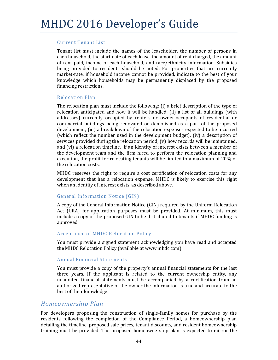#### Current Tenant List

Tenant list must include the names of the leaseholder, the number of persons in each household, the start date of each lease, the amount of rent charged, the amount of rent paid, income of each household, and race/ethnicity information. Subsidies being provided to residents should be noted. For properties that are currently market-rate, if household income cannot be provided, indicate to the best of your knowledge which households may be permanently displaced by the proposed financing restrictions.

#### Relocation Plan

The relocation plan must include the following:  $(i)$  a brief description of the type of relocation anticipated and how it will be handled, (ii) a list of all buildings (with addresses) currently occupied by renters or owner-occupants of residential or commercial buildings being renovated or demolished as a part of the proposed development, (iii) a breakdown of the relocation expenses expected to be incurred (which reflect the number used in the development budget), (iv) a description of services provided during the relocation period,  $(v)$  how records will be maintained, and (vi) a relocation timeline. If an identity of interest exists between a member of the development team and the firm hired to perform the relocation planning and execution, the profit for relocating tenants will be limited to a maximum of 20% of the relocation costs.

MHDC reserves the right to require a cost certification of relocation costs for any development that has a relocation expense. MHDC is likely to exercise this right when an identity of interest exists, as described above.

#### General Information Notice (GIN)

A copy of the General Information Notice (GIN) required by the Uniform Relocation Act (URA) for application purposes must be provided. At minimum, this must include a copy of the proposed GIN to be distributed to tenants if MHDC funding is approved. 

#### Acceptance of MHDC Relocation Policy

You must provide a signed statement acknowledging you have read and accepted the MHDC Relocation Policy (available at www.mhdc.com).

#### Annual Financial Statements

You must provide a copy of the property's annual financial statements for the last three years. If the applicant is related to the current ownership entity, any unaudited financial statements must be accompanied by a certification from an authorized representative of the owner the information is true and accurate to the best of their knowledge.

### *Homeownership Plan*

For developers proposing the construction of single-family homes for purchase by the residents following the completion of the Compliance Period, a homeownership plan detailing the timeline, proposed sale prices, tenant discounts, and resident homeownership training must be provided. The proposed homeownership plan is expected to mirror the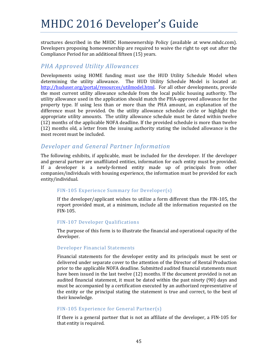structures described in the MHDC Homeownership Policy (available at www.mhdc.com). Developers proposing homeownership are required to waive the right to opt out after the Compliance Period for an additional fifteen (15) years.

### *PHA Approved Utility Allowances*

Developments using HOME funding must use the HUD Utility Schedule Model when determining the utility allowance. The HUD Utility Schedule Model is located at: http://huduser.org/portal/resources/utilmodel.html. For all other developments, provide the most current utility allowance schedule from the local public housing authority. The utility allowance used in the application should match the PHA-approved allowance for the property type. If using less than or more than the PHA amount, an explanation of the difference must be provided. On the utility allowance schedule circle or highlight the appropriate utility amounts. The utility allowance schedule must be dated within twelve (12) months of the applicable NOFA deadline. If the provided schedule is more than twelve  $(12)$  months old, a letter from the issuing authority stating the included allowance is the most recent must be included.

### *Developer and General Partner Information*

The following exhibits, if applicable, must be included for the developer. If the developer and general partner are unaffiliated entities, information for each entity must be provided. If a developer is a newly-formed entity made up of principals from other companies/individuals with housing experience, the information must be provided for each entity/individual. 

#### FIN-105 Experience Summary for Developer(s)

If the developer/applicant wishes to utilize a form different than the  $FIN-105$ , the report provided must, at a minimum, include all the information requested on the FIN‐105. 

#### FIN-107 Developer Oualifications

The purpose of this form is to illustrate the financial and operational capacity of the developer. 

#### Developer Financial Statements

Financial statements for the developer entity and its principals must be sent or delivered under separate cover to the attention of the Director of Rental Production prior to the applicable NOFA deadline. Submitted audited financial statements must have been issued in the last twelve (12) months. If the document provided is not an audited financial statement, it must be dated within the past ninety (90) days and must be accompanied by a certification executed by an authorized representative of the entity or the principal stating the statement is true and correct, to the best of their knowledge.

#### FIN-105 Experience for General Partner(s)

If there is a general partner that is not an affiliate of the developer, a FIN-105 for that entity is required.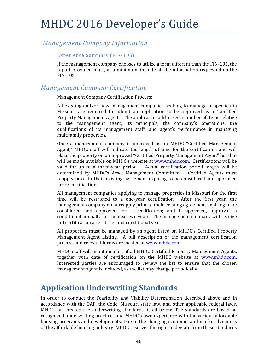## *Management Company Information*

Experience Summary (FIN-105)

If the management company chooses to utilize a form different than the FIN-105, the report provided must, at a minimum, include all the information requested on the FIN‐105. 

## *Management Company Certification*

Management Company Certification Process:

All existing and/or new management companies seeking to manage properties in Missouri are required to submit an application to be approved as a "Certified Property Management Agent." The application addresses a number of items relative to the management agent, its principals, the company's operations, the qualifications of its management staff; and agent's performance in managing multifamily properties.

Once a management company is approved as an MHDC "Certified Management Agent," MHDC staff will indicate the length of time for the certification, and will place the property on an approved "Certified Property Management Agent" list that will be made available on MHDC's website at www.mhdc.com. Certifications will be valid for up to a three-year period. Actual certification period length will be determined by MHDC's Asset Management Committee. Certified Agents must reapply prior to their existing agreement expiring to be considered and approved for re-certification.

All management companies applying to manage properties in Missouri for the first time will be restricted to a one-year certification. After the first year, the management company must reapply prior to their existing agreement expiring to be considered and approved for re-certification; and if approved, approval is conditional annually for the next two years. The management company will receive full certification after its second conditional year.

All properties must be managed by an agent listed on MHDC's Certified Property Management Agent Listing. A full description of the management certification process and relevant forms are located at www.mhdc.com.

MHDC staff will maintain a list of all MHDC Certified Property Management Agents, together with date of certification on the MHDC website at www.mhdc.com. Interested parties are encouraged to review the list to ensure that the chosen management agent is included, as the list may change periodically.

## **Application Underwriting Standards**

In order to conduct the Feasibility and Viability Determination described above and in accordance with the QAP, the Code, Missouri state law, and other applicable federal laws, MHDC has created the underwriting standards listed below. The standards are based on recognized underwriting practices and MHDC's own experience with the various affordable housing programs and developments. Due to the changing economic and market dynamics of the affordable housing industry, MHDC reserves the right to deviate from these standards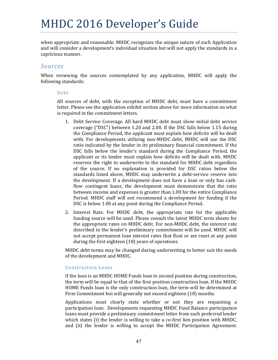when appropriate and reasonable. MHDC recognizes the unique nature of each Application and will consider a development's individual situation but will not apply the standards in a capricious manner.

### *Sources*

When reviewing the sources contemplated by any application, MHDC will apply the following standards:

#### Debt

All sources of debt, with the exception of MHDC debt, must have a commitment letter. Please see the application exhibit section above for more information on what is required in the commitment letters.

- 1. Debt Service Coverage. All hard MHDC debt must show initial debt service coverage ("DSC") between 1.20 and 2.00. If the DSC falls below 1.15 during the Compliance Period, the applicant must explain how deficits will be dealt with. For developments utilizing non-MHDC debt, MHDC will use the DSC ratio indicated by the lender in its preliminary financial commitment. If the DSC falls below the lender's standard during the Compliance Period, the applicant or its lender must explain how deficits will be dealt with. MHDC reserves the right to underwrite to the standard for MHDC debt regardless of the source. If no explanation is provided for DSC ratios below the standards listed above, MHDC may underwrite a debt-service reserve into the development. If a development does not have a loan or only has cashflow contingent loans, the development must demonstrate that the ratio between income and expenses is greater than 1.00 for the entire Compliance Period. MHDC staff will not recommend a development for funding if the DSC is below 1.00 at any point during the Compliance Period.
- 2. Interest Rate. For MHDC debt, the appropriate rate for the applicable funding source will be used. Please consult the latest MHDC term sheets for the appropriate rates on MHDC debt. For non-MHDC debt, the interest rate described in the lender's preliminary commitment will be used. MHDC will not accept permanent loan interest rates that float or are reset at any point during the first eighteen (18) years of operations.

MHDC debt terms may be changed during underwriting to better suit the needs of the development and MHDC.

#### Construction Loans

If the loan is an MHDC HOME Funds loan in second position during construction, the term will be equal to that of the first position construction loan. If the MHDC HOME Funds loan is the only construction loan, the term will be determined at Firm Commitment but will generally not exceed eighteen (18) months.

Applications must clearly state whether or not they are requesting a participation loan. Developments requesting MHDC Fund Balance participation loans must provide a preliminary commitment letter from such preferred lender which states (i) the lender is willing to take a co-first lien position with MHDC, and (ii) the lender is willing to accept the MHDC Participation Agreement.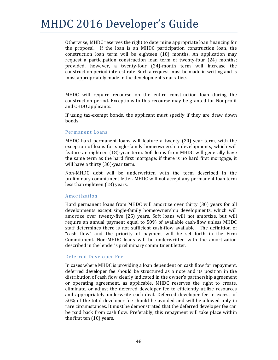Otherwise, MHDC reserves the right to determine appropriate loan financing for the proposal. If the loan is an MHDC participation construction loan, the construction loan term will be eighteen  $(18)$  months. An application may request a participation construction loan term of twenty-four  $(24)$  months; provided, however, a twenty‐four (24)‐month term will increase the construction period interest rate. Such a request must be made in writing and is most appropriately made in the development's narrative.

MHDC will require recourse on the entire construction loan during the construction period. Exceptions to this recourse may be granted for Nonprofit and CHDO applicants.

If using tax-exempt bonds, the applicant must specify if they are draw down bonds. 

#### Permanent Loans

MHDC hard permanent loans will feature a twenty  $(20)$ -year term, with the exception of loans for single-family homeownership developments, which will feature an eighteen (18)-year term. Soft loans from MHDC will generally have the same term as the hard first mortgage; if there is no hard first mortgage, it will have a thirty (30)-year term.

Non-MHDC debt will be underwritten with the term described in the preliminary commitment letter. MHDC will not accept any permanent loan term less than eighteen (18) years.

#### Amortization

Hard permanent loans from MHDC will amortize over thirty (30) years for all developments except single-family homeownership developments, which will amortize over twenty-five (25) years. Soft loans will not amortize, but will require an annual payment equal to  $50\%$  of available cash-flow unless MHDC staff determines there is not sufficient cash-flow available. The definition of "cash flow" and the priority of payment will be set forth in the Firm Commitment. Non-MHDC loans will be underwritten with the amortization described in the lender's preliminary commitment letter.

#### Deferred Developer Fee

In cases where MHDC is providing a loan dependent on cash flow for repayment, deferred developer fee should be structured as a note and its position in the distribution of cash flow clearly indicated in the owner's partnership agreement or operating agreement, as applicable. MHDC reserves the right to create, eliminate, or adjust the deferred developer fee to efficiently utilize resources and appropriately underwrite each deal. Deferred developer fee in excess of 50% of the total developer fee should be avoided and will be allowed only in rare circumstances. It must be demonstrated that the deferred developer fee can be paid back from cash flow. Preferably, this repayment will take place within the first ten  $(10)$  years.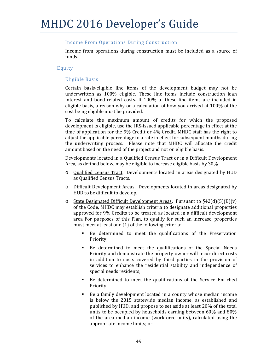#### Income From Operations During Construction

Income from operations during construction must be included as a source of funds. 

#### Equity

#### Eligible Basis

Certain basis-eligible line items of the development budget may not be underwritten as  $100\%$  eligible. These line items include construction loan interest and bond-related costs. If 100% of these line items are included in eligible basis, a reason why or a calculation of how you arrived at  $100\%$  of the cost being eligible must be provided.

To calculate the maximum amount of credits for which the proposed development is eligible, use the IRS-issued applicable percentage in effect at the time of application for the 9% Credit or 4% Credit. MHDC staff has the right to adjust the applicable percentage to a rate in effect for subsequent months during the underwriting process. Please note that MHDC will allocate the credit amount based on the need of the project and not on eligible basis.

Developments located in a Qualified Census Tract or in a Difficult Development Area, as defined below, may be eligible to increase eligible basis by 30%.

- $\circ$  Qualified Census Tract. Developments located in areas designated by HUD as Qualified Census Tracts.
- o Difficult Development Areas. Developments located in areas designated by HUD to be difficult to develop.
- State Designated Difficult Development Areas. Pursuant to §42(d)(5)(B)(v) of the Code, MHDC may establish criteria to designate additional properties approved for 9% Credits to be treated as located in a difficult development area For purposes of this Plan, to qualify for such an increase, properties must meet at least one  $(1)$  of the following criteria:
	- Be determined to meet the qualifications of the Preservation Priority;
	- Be determined to meet the qualifications of the Special Needs Priority and demonstrate the property owner will incur direct costs in addition to costs covered by third parties in the provision of services to enhance the residential stability and independence of special needs residents;
	- Be determined to meet the qualifications of the Service Enriched Priority;
	- Be a family development located in a county whose median income is below the 2015 statewide median income, as established and published by HUD, and propose to set aside at least 20% of the total units to be occupied by households earning between  $60\%$  and  $80\%$ of the area median income (workforce units), calculated using the appropriate income limits; or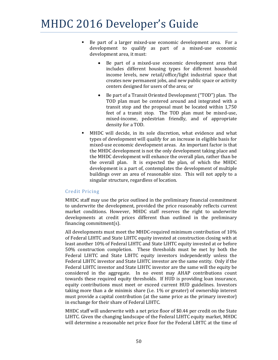- Be part of a larger mixed-use economic development area. For a development to qualify as part of a mixed-use economic development area, it must:
	- Be part of a mixed-use economic development area that includes different housing types for different household income levels, new retail/office/light industrial space that creates new permanent jobs, and new public space or activity centers designed for users of the area; or
	- Be part of a Transit Oriented Development ("TOD") plan. The TOD plan must be centered around and integrated with a transit stop and the proposal must be located within  $1,750$ feet of a transit stop. The TOD plan must be mixed-use, mixed-income, pedestrian friendly, and of appropriate density for a TOD.
- MHDC will decide, in its sole discretion, what evidence and what types of development will qualify for an increase in eligible basis for mixed-use economic development areas. An important factor is that the MHDC development is not the only development taking place and the MHDC development will enhance the overall plan, rather than be the overall plan. It is expected the plan, of which the MHDC development is a part of, contemplates the development of multiple buildings over an area of reasonable size. This will not apply to a singular structure, regardless of location.

#### Credit Pricing

MHDC staff may use the price outlined in the preliminary financial commitment to underwrite the development, provided the price reasonably reflects current market conditions. However, MHDC staff reserves the right to underwrite developments at credit prices different than outlined in the preliminary financing commitment $(s)$ .

All developments must meet the MHDC-required minimum contribution of  $10\%$ of Federal LIHTC and State LIHTC equity invested at construction closing with at least another 10% of Federal LIHTC and State LIHTC equity invested at or before 50% construction completion. These thresholds must be met by both the Federal LIHTC and State LIHTC equity investors independently unless the Federal LIHTC investor and State LIHTC investor are the same entity. Only if the Federal LIHTC investor and State LIHTC investor are the same will the equity be considered in the aggregate. In no event may AHAP contributions count towards these required equity thresholds. If HUD is providing loan insurance, equity contributions must meet or exceed current HUD guidelines. Investors taking more than a de minimis share (i.e.  $1\%$  or greater) of ownership interest must provide a capital contribution (at the same price as the primary investor) in exchange for their share of Federal LIHTC.

MHDC staff will underwrite with a net price floor of \$0.44 per credit on the State LIHTC. Given the changing landscape of the Federal LIHTC equity market, MHDC will determine a reasonable net price floor for the Federal LIHTC at the time of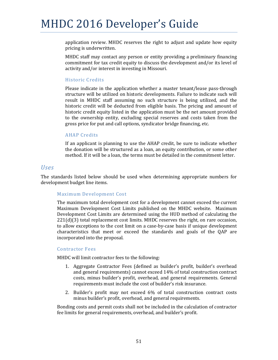application review. MHDC reserves the right to adjust and update how equity pricing is underwritten.

MHDC staff may contact any person or entity providing a preliminary financing commitment for tax credit equity to discuss the development and/or its level of activity and/or interest in investing in Missouri.

#### Historic Credits

Please indicate in the application whether a master tenant/lease pass-through structure will be utilized on historic developments. Failure to indicate such will result in MHDC staff assuming no such structure is being utilized, and the historic credit will be deducted from eligible basis. The pricing and amount of historic credit equity listed in the application must be the net amount provided to the ownership entity, excluding special reserves and costs taken from the gross price for put and call options, syndicator bridge financing, etc.

#### **AHAP** Credits

If an applicant is planning to use the AHAP credit, be sure to indicate whether the donation will be structured as a loan, an equity contribution, or some other method. If it will be a loan, the terms must be detailed in the commitment letter.

#### *Uses*

The standards listed below should be used when determining appropriate numbers for development budget line items.

#### Maximum Development Cost

The maximum total development cost for a development cannot exceed the current Maximum Development Cost Limits published on the MHDC website. Maximum Development Cost Limits are determined using the HUD method of calculating the  $221(d)(3)$  total replacement cost limits. MHDC reserves the right, on rare occasion, to allow exceptions to the cost limit on a case-by-case basis if unique development characteristics that meet or exceed the standards and goals of the QAP are incorporated into the proposal.

#### Contractor Fees

MHDC will limit contractor fees to the following:

- 1. Aggregate Contractor Fees (defined as builder's profit, builder's overhead and general requirements) cannot exceed 14% of total construction contract costs, minus builder's profit, overhead, and general requirements. General requirements must include the cost of builder's risk insurance.
- 2. Builder's profit may not exceed 6% of total construction contract costs minus builder's profit, overhead, and general requirements.

Bonding costs and permit costs shall not be included in the calculation of contractor fee limits for general requirements, overhead, and builder's profit.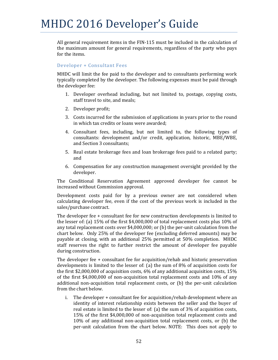All general requirement items in the  $FIN-115$  must be included in the calculation of the maximum amount for general requirements, regardless of the party who pays for the items.

#### Developer + Consultant Fees

MHDC will limit the fee paid to the developer and to consultants performing work typically completed by the developer. The following expenses must be paid through the developer fee:

- 1. Developer overhead including, but not limited to, postage, copying costs, staff travel to site, and meals;
- 2. Developer profit;
- 3. Costs incurred for the submission of applications in years prior to the round in which tax credits or loans were awarded:
- 4. Consultant fees, including, but not limited to, the following types of consultants: development and/or credit, application, historic, MBE/WBE, and Section 3 consultants:
- 5. Real estate brokerage fees and loan brokerage fees paid to a related party; and
- 6. Compensation for any construction management oversight provided by the developer.

The Conditional Reservation Agreement approved developer fee cannot be increased without Commission approval.

Development costs paid for by a previous owner are not considered when calculating developer fee, even if the cost of the previous work is included in the sales/purchase contract.

The developer fee  $+$  consultant fee for new construction developments is limited to the lesser of: (a)  $15\%$  of the first \$4,000,000 of total replacement costs plus  $10\%$  of any total replacement costs over  $$4,000,000$ ; or (b) the per-unit calculation from the chart below. Only 25% of the developer fee (excluding deferred amounts) may be payable at closing, with an additional 25% permitted at 50% completion. MHDC staff reserves the right to further restrict the amount of developer fee payable during construction.

The developer fee  $+$  consultant fee for acquisition/rehab and historic preservation developments is limited to the lesser of: (a) the sum of  $8\%$  of acquisition costs for the first \$2,000,000 of acquisition costs,  $6\%$  of any additional acquisition costs, 15% of the first  $$4,000,000$  of non-acquisition total replacement costs and  $10\%$  of any additional non-acquisition total replacement costs, or  $(b)$  the per-unit calculation from the chart below.

i. The developer  $+$  consultant fee for acquisition/rehab development where an identity of interest relationship exists between the seller and the buyer of real estate is limited to the lesser of: (a) the sum of  $3\%$  of acquisition costs, 15% of the first \$4,000,000 of non-acquisition total replacement costs and  $10\%$  of any additional non-acquisition total replacement costs, or (b) the per-unit calculation from the chart below. NOTE: This does not apply to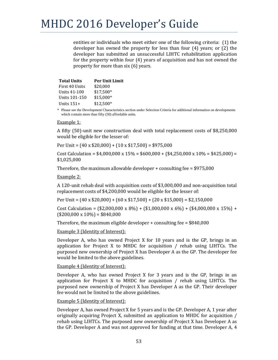entities or individuals who meet either one of the following criteria:  $(1)$  the developer has owned the property for less than four  $(4)$  years; or  $(2)$  the developer has submitted an unsuccessful LIHTC rehabilitation application for the property within four  $(4)$  years of acquisition and has not owned the property for more than  $s$ ix  $(6)$  years.

| <b>Total Units</b> | <b>Per Unit Limit</b> |
|--------------------|-----------------------|
| First 40 Units     | \$20,000              |
| Units 41-100       | \$17,500*             |
| Units 101-150      | \$15,000*             |
| Units $151+$       | $$12,500*$            |

\* Please see the Development Characteristics section under Selection Criteria for additional information on developments which contain more than fifty (50) affordable units.

#### Example 1:

A fifty (50)-unit new construction deal with total replacement costs of \$8,250,000 would be eligible for the lesser of:

Per Unit =  $(40 \times $20,000) + (10 \times $17,500) = $975,000$ 

Cost Calculation =  $$4,000,000 \times 15\% = $600,000 + $4,250,000 \times 10\% = $425,000$  = \$1,025,000 

Therefore, the maximum allowable developer  $+$  consulting fee = \$975,000

Example 2:

A 120-unit rehab deal with acquisition costs of  $$3,000,000$  and non-acquisition total replacement costs of \$4,200,000 would be eligible for the lesser of:

Per Unit =  $(40 \times $20,000) + (60 \times $17,500) + (20 \times $15,000) = $2,150,000$ 

Cost Calculation =  $(\$2,000,000 \times 8\%) + (\$1,000,000 \times 6\%) + (\$4,000,000 \times 15\%) +$  $($200,000 \times 10\%) = $840,000$ 

Therefore, the maximum eligible developer  $+$  consulting fee = \$840,000

Example 3 (Identity of Interest):

Developer A, who has owned Project X for 10 years and is the GP, brings in an application for Project X to MHDC for acquisition  $/$  rehab using LIHTCs. The purposed new ownership of Project X has Developer A as the GP. The developer fee would be limited to the above guidelines.

Example 4 (Identity of Interest):

Developer A, who has owned Project X for 3 years and is the GP, brings in an application for Project X to MHDC for acquisition  $/$  rehab using LIHTCs. The purposed new ownership of Project X has Developer A as the GP. Their developer fee would not be limited to the above guidelines.

#### Example 5 (Identity of Interest):

Developer A, has owned Project X for 5 years and is the GP. Developer A, 1 year after originally acquiring Project X, submitted an application to MHDC for acquisition  $/$ rehab using LIHTCs. The purposed new ownership of Project X has Developer A as the GP. Developer A and was not approved for funding at that time. Developer A, 4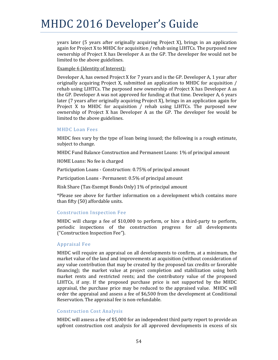years later (5 years after originally acquiring Project X), brings in an application again for Project X to MHDC for acquisition  $/$  rehab using LIHTCs. The purposed new ownership of Project X has Developer A as the GP. The developer fee would not be limited to the above guidelines.

#### Example 6 (Identity of Interest):

Developer A, has owned Project X for 7 years and is the GP. Developer A, 1 year after originally acquiring Project X, submitted an application to MHDC for acquisition  $/$ rehab using LIHTCs. The purposed new ownership of Project X has Developer A as the GP. Developer A was not approved for funding at that time. Developer A, 6 years later  $(7 \text{ years after originally acquiring Project X)}$ , brings in an application again for Project  $X$  to MHDC for acquisition / rehab using LIHTCs. The purposed new ownership of Project X has Developer A as the GP. The developer fee would be limited to the above guidelines.

#### **MHDC** Loan Fees

MHDC fees vary by the type of loan being issued; the following is a rough estimate, subject to change.

MHDC Fund Balance Construction and Permanent Loans: 1% of principal amount

HOME Loans: No fee is charged

Participation Loans - Construction: 0.75% of principal amount

Participation Loans - Permanent: 0.5% of principal amount

Risk Share (Tax-Exempt Bonds Only) 1% of principal amount

\*Please see above for further information on a development which contains more than fifty (50) affordable units.

#### Construction Inspection Fee

MHDC will charge a fee of  $$10,000$  to perform, or hire a third-party to perform, periodic inspections of the construction progress for all developments ("Construction Inspection Fee"). 

#### Appraisal Fee

MHDC will require an appraisal on all developments to confirm, at a minimum, the market value of the land and improvements at acquisition (without consideration of any value contribution that may be created by the proposed tax credits or favorable financing); the market value at project completion and stabilization using both market rents and restricted rents; and the contributory value of the proposed LIHTCs, if any. If the proposed purchase price is not supported by the MHDC appraisal, the purchase price may be reduced to the appraised value. MHDC will order the appraisal and assess a fee of  $$6,500$  from the development at Conditional Reservation. The appraisal fee is non-refundable.

#### Construction Cost Analysis

MHDC will assess a fee of \$5,000 for an independent third party report to provide an upfront construction cost analysis for all approved developments in excess of six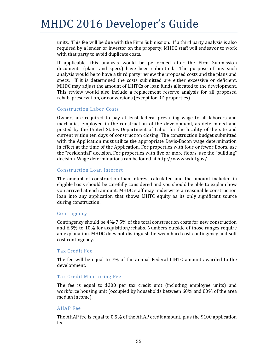units. This fee will be due with the Firm Submission. If a third party analysis is also required by a lender or investor on the property, MHDC staff will endeavor to work with that party to avoid duplicate costs.

If applicable, this analysis would be performed after the Firm Submission documents (plans and specs) have been submitted. The purpose of any such analysis would be to have a third party review the proposed costs and the plans and specs. If it is determined the costs submitted are either excessive or deficient, MHDC may adjust the amount of LIHTCs or loan funds allocated to the development. This review would also include a replacement reserve analysis for all proposed rehab, preservation, or conversions (except for RD properties).

#### Construction Labor Costs

Owners are required to pay at least federal prevailing wage to all laborers and mechanics employed in the construction of the development, as determined and posted by the United States Department of Labor for the locality of the site and current within ten days of construction closing. The construction budget submitted with the Application must utilize the appropriate Davis-Bacon wage determination in effect at the time of the Application. For properties with four or fewer floors, use the "residential" decision. For properties with five or more floors, use the "building" decision. Wage determinations can be found at http://www.wdol.gov/.

#### Construction Loan Interest

The amount of construction loan interest calculated and the amount included in eligible basis should be carefully considered and you should be able to explain how you arrived at each amount. MHDC staff may underwrite a reasonable construction loan into any application that shows LIHTC equity as its only significant source during construction.

#### Contingency

Contingency should be  $4\frac{9}{2}$ -7.5% of the total construction costs for new construction and  $6.5\%$  to  $10\%$  for acquisition/rehabs. Numbers outside of those ranges require an explanation. MHDC does not distinguish between hard cost contingency and soft cost contingency.

#### Tax Credit Fee

The fee will be equal to 7% of the annual Federal LIHTC amount awarded to the development. 

#### Tax Credit Monitoring Fee

The fee is equal to \$300 per tax credit unit (including employee units) and workforce housing unit (occupied by households between 60% and 80% of the area median income).

#### **AHAP** Fee

The AHAP fee is equal to 0.5% of the AHAP credit amount, plus the \$100 application fee.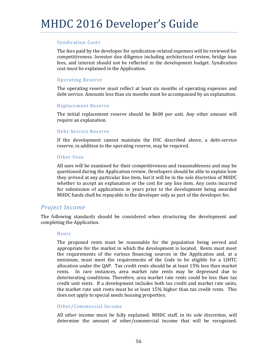#### **Syndication Costs**

The fees paid by the developer for syndication-related expenses will be reviewed for competitiveness. Investor due diligence including architectural review, bridge loan fees, and interest should not be reflected in the development budget. Syndication cost must be explained in the Application.

#### **Operating Reserve**

The operating reserve must reflect at least six months of operating expenses and debt service. Amounts less than six months must be accompanied by an explanation.

#### Replacement Reserve

The initial replacement reserve should be  $$600$  per unit. Any other amount will require an explanation.

#### Debt‐Service Reserve

If the development cannot maintain the DSC described above, a debt-service reserve, in addition to the operating reserve, may be required.

#### Other Uses

All uses will be examined for their competitiveness and reasonableness and may be questioned during the Application review. Developers should be able to explain how they arrived at any particular line item, but it will be in the sole discretion of MHDC whether to accept an explanation or the cost for any line item. Any costs incurred for submission of applications in years prior to the development being awarded MHDC funds shall be repayable to the developer only as part of the developer fee.

### **Project** *Income*

The following standards should be considered when structuring the development and completing the Application.

#### Rents

The proposed rents must be reasonable for the population being served and appropriate for the market in which the development is located. Rents must meet the requirements of the various financing sources in the Application and, at a minimum, must meet the requirements of the Code to be eligible for a LIHTC allocation under the OAP. Tax credit rents should be at least  $15\%$  less than market rents. In rare instances, area market rate rents may be depressed due to deteriorating conditions. Therefore, area market rate rents could be less than tax credit unit rents. If a development includes both tax credit and market rate units, the market rate unit rents must be at least  $15\%$  higher than tax credit rents. This does not apply to special needs housing properties.

#### Other/Commercial Income

All other income must be fully explained. MHDC staff, in its sole discretion, will determine the amount of other/commercial income that will be recognized.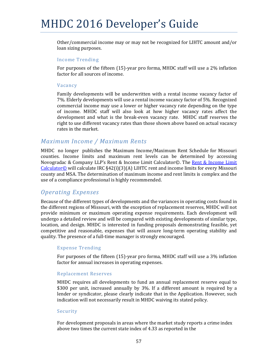Other/commercial income may or may not be recognized for LIHTC amount and/or loan sizing purposes.

#### Income Trending

For purposes of the fifteen  $(15)$ -year pro forma, MHDC staff will use a 2% inflation factor for all sources of income.

#### Vacancy

Family developments will be underwritten with a rental income vacancy factor of 7%. Elderly developments will use a rental income vacancy factor of 5%. Recognized commercial income may use a lower or higher vacancy rate depending on the type of income. MHDC staff will also look at how higher vacancy rates affect the development and what is the break-even vacancy rate. MHDC staff reserves the right to use different vacancy rates than those shown above based on actual vacancy rates in the market.

### *Maximum Income / Maximum Rents*

MHDC no longer publishes the Maximum Income/Maximum Rent Schedule for Missouri counties. Income limits and maximum rent levels can be determined by accessing Novogradac & Company LLP's Rent & Income Limit Calculator©. The Rent & Income Limit Calculator© will calculate IRC  $§42(i)(3)(A)$  LIHTC rent and income limits for every Missouri county and MSA. The determination of maximum income and rent limits is complex and the use of a compliance professional is highly recommended.

## *Operating Expenses*

Because of the different types of developments and the variances in operating costs found in the different regions of Missouri, with the exception of replacement reserves, MHDC will not provide minimum or maximum operating expense requirements. Each development will undergo a detailed review and will be compared with existing developments of similar type, location, and design. MHDC is interested in funding proposals demonstrating feasible, yet competitive and reasonable, expenses that will assure long-term operating stability and quality. The presence of a full-time manager is strongly encouraged.

#### Expense Trending

For purposes of the fifteen  $(15)$ -year pro forma, MHDC staff will use a 3% inflation factor for annual increases in operating expenses.

#### Replacement Reserves

MHDC requires all developments to fund an annual replacement reserve equal to \$300 per unit, increased annually by 3%. If a different amount is required by a lender or syndicator, please clearly indicate that in the Application. However, such indication will not necessarily result in MHDC waiving its stated policy.

#### Security

For development proposals in areas where the market study reports a crime index above two times the current state index of 4.33 as reported in the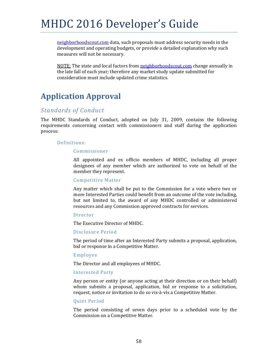neighborhoodscout.com data, such proposals must address security needs in the development and operating budgets, or provide a detailed explanation why such measures will not be necessary.

NOTE: The state and local factors from neighborhoodscout.com change annually in the late fall of each year; therefore any market study update submitted for consideration must include updated crime statistics.

## **Application Approval**

## *Standards of Conduct*

The MHDC Standards of Conduct, adopted on July 31, 2009, contains the following requirements concerning contact with commissioners and staff during the application process: 

#### Definitions:

#### Commissioner

All appointed and ex officio members of MHDC, including all proper designees of any member which are authorized to vote on behalf of the member they represent.

#### Competitive Matter

Any matter which shall be put to the Commission for a vote where two or more Interested Parties could benefit from an outcome of the vote including, but not limited to, the award of any MHDC controlled or administered resources and any Commission approved contracts for services.

#### Director

The Executive Director of MHDC.

#### Disclosure Period

The period of time after an Interested Party submits a proposal, application, bid or response in a Competitive Matter.

#### Employee

The Director and all employees of MHDC.

#### Interested Party

Any person or entity (or anyone acting at their direction or on their behalf) whom submits a proposal, application, bid or response to a solicitation, request, notice or invitation to do so vis-à-vis a Competitive Matter.

#### Quiet Period

The period consisting of seven days prior to a scheduled vote by the Commission on a Competitive Matter.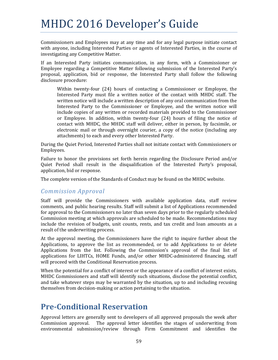Commissioners and Employees may at any time and for any legal purpose initiate contact with anyone, including Interested Parties or agents of Interested Parties, in the course of investigating any Competitive Matter.

If an Interested Party initiates communication, in any form, with a Commissioner or Employee regarding a Competitive Matter following submission of the Interested Party's proposal, application, bid or response, the Interested Party shall follow the following disclosure procedure:

Within twenty-four  $(24)$  hours of contacting a Commissioner or Employee, the Interested Party must file a written notice of the contact with MHDC staff. The written notice will include a written description of any oral communication from the Interested Party to the Commissioner or Employee, and the written notice will include copies of any written or recorded materials provided to the Commissioner or Employee. In addition, within twenty-four  $(24)$  hours of filing the notice of contact with MHDC, the MHDC staff will deliver, either in person, by facsimile, or electronic mail or through overnight courier, a copy of the notice (including any attachments) to each and every other Interested Party.

During the Quiet Period, Interested Parties shall not initiate contact with Commissioners or Employees. 

Failure to honor the provisions set forth herein regarding the Disclosure Period and/or Quiet Period shall result in the disqualification of the Interested Party's proposal, application, bid or response.

The complete version of the Standards of Conduct may be found on the MHDC website.

## *Commission Approval*

Staff will provide the Commissioners with available application data, staff review comments, and public hearing results. Staff will submit a list of Applications recommended for approval to the Commissioners no later than seven days prior to the regularly scheduled Commission meeting at which approvals are scheduled to be made. Recommendations may include the revision of budgets, unit counts, rents, and tax credit and loan amounts as a result of the underwriting process.

At the approval meeting, the Commissioners have the right to inquire further about the Applications, to approve the list as recommended, or to add Applications to or delete Applications from the list. Following the Commission's approval of the final list of applications for LIHTCs, HOME Funds, and/or other MHDC-administered financing, staff will proceed with the Conditional Reservation process.

When the potential for a conflict of interest or the appearance of a conflict of interest exists, MHDC Commissioners and staff will identify such situations, disclose the potential conflict, and take whatever steps may be warranted by the situation, up to and including recusing themselves from decision-making or action pertaining to the situation.

## **Pre‐Conditional Reservation**

Approval letters are generally sent to developers of all approved proposals the week after Commission approval. The approval letter identifies the stages of underwriting from environmental submission/review through Firm Commitment and identifies the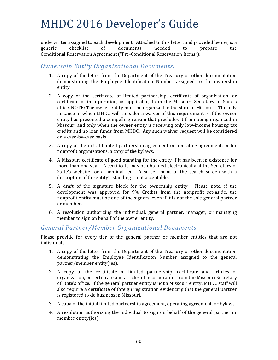underwriter assigned to each development. Attached to this letter, and provided below, is a generic checklist of documents needed to prepare the Conditional Reservation Agreement ("Pre-Conditional Reservation Items"):

## *Ownership Entity Organizational Documents:*

- 1. A copy of the letter from the Department of the Treasury or other documentation demonstrating the Employee Identification Number assigned to the ownership entity.
- 2. A copy of the certificate of limited partnership, certificate of organization, or certificate of incorporation, as applicable, from the Missouri Secretary of State's office. NOTE: The owner entity must be organized in the state of Missouri. The only instance in which MHDC will consider a waiver of this requirement is if the owner entity has presented a compelling reason that precludes it from being organized in Missouri and only when the owner entity is receiving only low-income housing tax credits and no loan funds from MHDC. Any such waiver request will be considered on a case-by-case basis.
- 3. A copy of the initial limited partnership agreement or operating agreement, or for nonprofit organizations, a copy of the bylaws.
- 4. A Missouri certificate of good standing for the entity if it has been in existence for more than one year. A certificate may be obtained electronically at the Secretary of State's website for a nominal fee. A screen print of the search screen with a description of the entity's standing is not acceptable.
- 5. A draft of the signature block for the ownership entity. Please note, if the development was approved for 9% Credits from the nonprofit set-aside, the nonprofit entity must be one of the signers, even if it is not the sole general partner or member.
- 6. A resolution authorizing the individual, general partner, manager, or managing member to sign on behalf of the owner entity.

### *General Partner/Member Organizational Documents*

Please provide for every tier of the general partner or member entities that are not individuals. 

- 1. A copy of the letter from the Department of the Treasury or other documentation demonstrating the Employee Identification Number assigned to the general partner/member entity(ies).
- 2. A copy of the certificate of limited partnership, certificate and articles of organization, or certificate and articles of incorporation from the Missouri Secretary of State's office. If the general partner entity is not a Missouri entity, MHDC staff will also require a certificate of foreign registration evidencing that the general partner is registered to do business in Missouri.
- 3. A copy of the initial limited partnership agreement, operating agreement, or bylaws.
- 4. A resolution authorizing the individual to sign on behalf of the general partner or member entity(ies).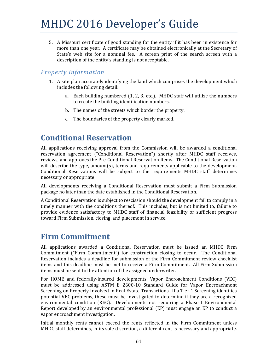5. A Missouri certificate of good standing for the entity if it has been in existence for more than one year. A certificate may be obtained electronically at the Secretary of State's web site for a nominal fee. A screen print of the search screen with a description of the entity's standing is not acceptable.

## *Property Information*

- 1. A site plan accurately identifying the land which comprises the development which includes the following detail:
	- a. Each building numbered  $(1, 2, 3, etc.)$ . MHDC staff will utilize the numbers to create the building identification numbers.
	- b. The names of the streets which border the property.
	- c. The boundaries of the property clearly marked.

## **Conditional Reservation**

All applications receiving approval from the Commission will be awarded a conditional reservation agreement ("Conditional Reservation") shortly after MHDC staff receives, reviews, and approves the Pre-Conditional Reservation Items. The Conditional Reservation will describe the type, amount(s), terms and requirements applicable to the development. Conditional Reservations will be subject to the requirements MHDC staff determines necessary or appropriate.

All developments receiving a Conditional Reservation must submit a Firm Submission package no later than the date established in the Conditional Reservation.

A Conditional Reservation is subject to rescission should the development fail to comply in a timely manner with the conditions thereof. This includes, but is not limited to, failure to provide evidence satisfactory to MHDC staff of financial feasibility or sufficient progress toward Firm Submission, closing, and placement in service.

## **Firm Commitment**

All applications awarded a Conditional Reservation must be issued an MHDC Firm Commitment ("Firm Commitment") for construction closing to occur. The Conditional Reservation includes a deadline for submission of the Firm Commitment review checklist items and this deadline must be met to receive a Firm Commitment. All Firm Submission items must be sent to the attention of the assigned underwriter.

For HOME and federally-insured developments, Vapor Encroachment Conditions (VEC) must be addressed using ASTM E 2600-10 Standard Guide for Vapor Encroachment Screening on Property Involved in Real Estate Transactions. If a Tier 1 Screening identifies potential VEC problems, these must be investigated to determine if they are a recognized environmental condition  $(REC)$ . Developments not requiring a Phase I Environmental Report developed by an environmental professional  $(EP)$  must engage an EP to conduct a vapor encroachment investigation.

Initial monthly rents cannot exceed the rents reflected in the Firm Commitment unless MHDC staff determines, in its sole discretion, a different rent is necessary and appropriate.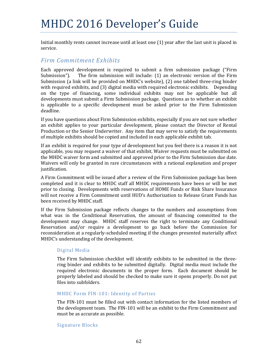Initial monthly rents cannot increase until at least one  $(1)$  year after the last unit is placed in service. 

### *Firm Commitment Exhibits*

Each approved development is required to submit a firm submission package ("Firm Submission"). The firm submission will include:  $(1)$  an electronic version of the Firm Submission (a link will be provided on MHDC's website),  $(2)$  one tabbed three-ring binder with required exhibits, and (3) digital media with required electronic exhibits. Depending on the type of financing, some individual exhibits may not be applicable but all developments must submit a Firm Submission package. Questions as to whether an exhibit is applicable to a specific development must be asked prior to the Firm Submission deadline. 

If you have questions about Firm Submission exhibits, especially if you are not sure whether an exhibit applies to your particular development, please contact the Director of Rental Production or the Senior Underwriter. Any item that may serve to satisfy the requirements of multiple exhibits should be copied and included in each applicable exhibit tab.

If an exhibit is required for your type of development but you feel there is a reason it is not applicable, you may request a waiver of that exhibit. Waiver requests must be submitted on the MHDC waiver form and submitted and approved prior to the Firm Submission due date. Waivers will only be granted in rare circumstances with a rational explanation and proper justification. 

A Firm Commitment will be issued after a review of the Firm Submission package has been completed and it is clear to MHDC staff all MHDC requirements have been or will be met prior to closing. Developments with reservations of HOME Funds or Risk Share Insurance will not receive a Firm Commitment until HUD's Authorization to Release Grant Funds has been received by MHDC staff.

If the Firm Submission package reflects changes to the numbers and assumptions from what was in the Conditional Reservation, the amount of financing committed to the development may change. MHDC staff reserves the right to terminate any Conditional Reservation and/or require a development to go back before the Commission for reconsideration at a regularly-scheduled meeting if the changes presented materially affect MHDC's understanding of the development.

#### Digital Media

The Firm Submission checklist will identify exhibits to be submitted in the threering binder and exhibits to be submitted digitally. Digital media must include the required electronic documents in the proper form. Each document should be properly labeled and should be checked to make sure it opens properly. Do not put files into subfolders.

#### MHDC Form FIN-101: Identity of Parties

The FIN-101 must be filled out with contact information for the listed members of the development team. The FIN-101 will be an exhibit to the Firm Commitment and must be as accurate as possible.

#### Signature Blocks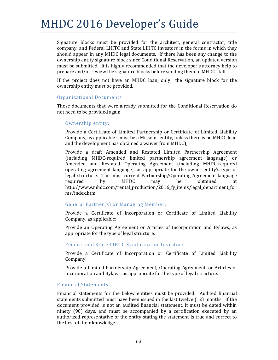Signature blocks must be provided for the architect, general contractor, title company, and Federal LIHTC and State LIHTC investors in the forms in which they should appear in any MHDC legal documents. If there has been any change to the ownership entity signature block since Conditional Reservation, an updated version must be submitted. It is highly recommended that the developer's attorney help to prepare and/or review the signature blocks before sending them to MHDC staff.

If the project does not have an MHDC loan, only the signature block for the ownership entity must be provided.

#### Organizational Documents

Those documents that were already submitted for the Conditional Reservation do not need to be provided again.

#### Ownership entity:

Provide a Certificate of Limited Partnership or Certificate of Limited Liability Company, as applicable (must be a Missouri entity, unless there is no MHDC loan and the development has obtained a waiver from MHDC);

Provide a draft Amended and Restated Limited Partnership Agreement (including MHDC‐required limited partnership agreement language) or Amended and Restated Operating Agreement (including MHDC‐required operating agreement language), as appropriate for the owner entity's type of legal structure. The most current Partnership/Operating Agreement language required by MHDC may be obtained at http://www.mhdc.com/rental\_production/2016\_fy\_items/legal\_department\_for ms/index.htm. 

#### General Partner(s) or Managing Member:

Provide a Certificate of Incorporation or Certificate of Limited Liability Company, as applicable;

Provide an Operating Agreement or Articles of Incorporation and Bylaws, as appropriate for the type of legal structure.

#### Federal and State LIHTC Syndicator or Investor:

Provide a Certificate of Incorporation or Certificate of Limited Liability Company; 

Provide a Limited Partnership Agreement, Operating Agreement, or Articles of Incorporation and Bylaws, as appropriate for the type of legal structure.

#### Financial Statements

Financial statements for the below entities must be provided. Audited financial statements submitted must have been issued in the last twelve  $(12)$  months. If the document provided is not an audited financial statement, it must be dated within ninety  $(90)$  days, and must be accompanied by a certification executed by an authorized representative of the entity stating the statement is true and correct to the best of their knowledge.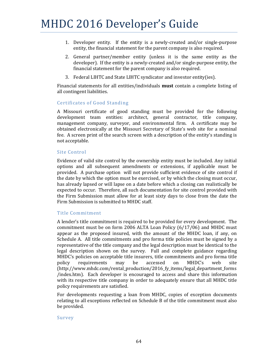- 1. Developer entity. If the entity is a newly-created and/or single-purpose entity, the financial statement for the parent company is also required.
- 2. General partner/member entity (unless it is the same entity as the developer). If the entity is a newly-created and/or single-purpose entity, the financial statement for the parent company is also required.
- 3. Federal LIHTC and State LIHTC syndicator and investor entity(ies).

Financial statements for all entities/individuals **must** contain a complete listing of all contingent liabilities.

#### Certificates of Good Standing

A Missouri certificate of good standing must be provided for the following development team entities: architect, general contractor, title company, management company, surveyor, and environmental firm. A certificate may be obtained electronically at the Missouri Secretary of State's web site for a nominal fee. A screen print of the search screen with a description of the entity's standing is not acceptable.

#### Site Control

Evidence of valid site control by the ownership entity must be included. Any initial options and all subsequent amendments or extensions, if applicable must be provided. A purchase option will not provide sufficient evidence of site control if the date by which the option must be exercised, or by which the closing must occur, has already lapsed or will lapse on a date before which a closing can realistically be expected to occur. Therefore, all such documentation for site control provided with the Firm Submission must allow for at least sixty days to close from the date the Firm Submission is submitted to MHDC staff.

#### Title Commitment

A lender's title commitment is required to be provided for every development. The commitment must be on form 2006 ALTA Loan Policy  $(6/17/06)$  and MHDC must appear as the proposed insured, with the amount of the MHDC loan, if any, on Schedule A. All title commitments and pro forma title policies must be signed by a representative of the title company and the legal description must be identical to the legal description shown on the survey. Full and complete guidance regarding MHDC's policies on acceptable title insurers, title commitments and pro forma title policy requirements may be accessed on MHDC's web site (http://www.mhdc.com/rental\_production/2016\_fy\_items/legal\_department\_forms /index.htm). Each developer is encouraged to access and share this information with its respective title company in order to adequately ensure that all MHDC title policy requirements are satisfied.

For developments requesting a loan from MHDC, copies of exception documents relating to all exceptions reflected on Schedule B of the title commitment must also be provided.

#### Survey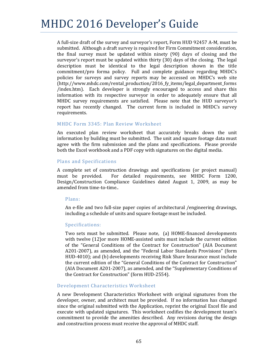A full-size draft of the survey and surveyor's report, Form HUD 92457 A-M, must be submitted. Although a draft survey is required for Firm Commitment consideration, the final survey must be updated within ninety  $(90)$  days of closing and the surveyor's report must be updated within thirty  $(30)$  days of the closing. The legal description must be identical to the legal description shown in the title commitment/pro forma policy. Full and complete guidance regarding MHDC's policies for surveys and survey reports may be accessed on MHDC's web site (http://www.mhdc.com/rental\_production/2016\_fy\_items/legal\_department\_forms /index.htm). Each developer is strongly encouraged to access and share this information with its respective surveyor in order to adequately ensure that all MHDC survey requirements are satisfied. Please note that the HUD surveyor's report has recently changed. The current form is included in MHDC's survey requirements. 

#### MHDC Form 3345: Plan Review Worksheet

An executed plan review worksheet that accurately breaks down the unit information by building must be submitted. The unit and square footage data must agree with the firm submission and the plans and specifications. Please provide both the Excel workbook and a PDF copy with signatures on the digital media.

#### Plans and Specifications

A complete set of construction drawings and specifications (or project manual) must be provided. For detailed requirements, see MHDC Form 1200, Design/Construction Compliance Guidelines dated August 1, 2009, as may be amended from time-to-time..

#### Plans:

An e-file and two full-size paper copies of architectural /engineering drawings, including a schedule of units and square footage must be included.

#### Specifications:

Two sets must be submitted. Please note, (a) HOME-financed developments with twelve  $(12)$ or more HOME-assisted units must include the current edition of the "General Conditions of the Contract for Construction" (AIA Document A201-2007), as amended, and the "Federal Labor Standards Provisions" (form HUD-4010); and (b) developments receiving Risk Share Insurance must include the current edition of the "General Conditions of the Contract for Construction" (AIA Document A201-2007), as amended, and the "Supplementary Conditions of the Contract for Construction" (form HUD-2554).

#### Development Characteristics Worksheet

A new Development Characteristics Worksheet with original signatures from the developer, owner, and architect must be provided. If no information has changed since the original submitted with the Application, reprint the original Excel file and execute with updated signatures. This worksheet codifies the development team's commitment to provide the amenities described. Any revisions during the design and construction process must receive the approval of MHDC staff.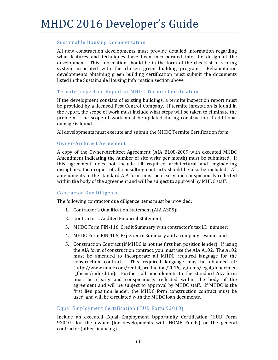### Sustainable Housing Documentation

All new construction developments must provide detailed information regarding what features and techniques have been incorporated into the design of the development. This information should be in the form of the checklist or scoring system associated with the chosen green building program. Rehabilitation developments obtaining green building certification must submit the documents listed in the Sustainable Housing Information section above.

### Termite Inspection Report or MHDC Termite Certification

If the development consists of existing buildings, a termite inspection report must be provided by a licensed Pest Control Company. If termite infestation is found in the report, the scope of work must include what steps will be taken to eliminate the problem. The scope of work must be updated during construction if additional damage is found.

All developments must execute and submit the MHDC Termite Certification form.

### Owner‐Architect Agreement

A copy of the Owner-Architect Agreement (AIA B108-2009 with executed MHDC Amendment indicating the number of site visits per month) must be submitted. If this agreement does not include all required architectural and engineering disciplines, then copies of all consulting contracts should be also be included. All amendments to the standard AIA form must be clearly and conspicuously reflected within the body of the agreement and will be subject to approval by MHDC staff.

### Contractor Due Diligence

The following contractor due diligence items must be provided:

- 1. Contractor's Qualification Statement (AIA A305);
- 2. Contractor's Audited Financial Statement:
- 3. MHDC Form FIN-116, Credit Summary with contractor's tax I.D. number;
- 4. MHDC Form FIN-105, Experience Summary and a company resume; and
- 5. Construction Contract (if MHDC is not the first lien position lender). If using the AIA form of construction contract, you must use the AIA A102. The A102 must be amended to incorporate all MHDC required language for the construction contract. This required language may be obtained at: (http://www.mhdc.com/rental\_production/2016\_fy\_items/legal\_departmen t forms/index.htm). Further, all amendments to the standard AIA form must be clearly and conspicuously reflected within the body of the agreement and will be subject to approval by MHDC staff. If MHDC is the first lien position lender, the MHDC form construction contract must be used, and will be circulated with the MHDC loan documents.

### Equal Employment Certification (HUD Form 92010)

Include an executed Equal Employment Opportunity Certification (HUD Form 92010) for the owner (for developments with HOME Funds) or the general contractor (other financing).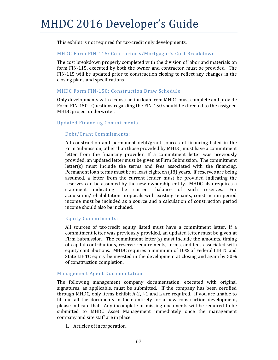This exhibit is not required for tax-credit only developments.

### MHDC Form FIN-115: Contractor's/Mortgagor's Cost Breakdown

The cost breakdown properly completed with the division of labor and materials on form FIN-115, executed by both the owner and contractor, must be provided. The FIN-115 will be updated prior to construction closing to reflect any changes in the closing plans and specifications.

### MHDC Form FIN-150: Construction Draw Schedule

Only developments with a construction loan from MHDC must complete and provide Form FIN-150. Questions regarding the FIN-150 should be directed to the assigned MHDC project underwriter.

### Updated Financing Commitments

### Debt/Grant Commitments:

All construction and permanent debt/grant sources of financing listed in the Firm Submission, other than those provided by MHDC, must have a commitment letter from the financing provider. If a commitment letter was previously provided, an updated letter must be given at Firm Submission. The commitment  $letter(s)$  must include the terms and fees associated with the financing. Permanent loan terms must be at least eighteen (18) years. If reserves are being assumed, a letter from the current lender must be provided indicating the reserves can be assumed by the new ownership entity. MHDC also requires a statement indicating the current balance of such reserves. For acquisition/rehabilitation proposals with existing tenants, construction period income must be included as a source and a calculation of construction period income should also be included.

### Equity Commitments:

All sources of tax-credit equity listed must have a commitment letter. If a commitment letter was previously provided, an updated letter must be given at Firm Submission. The commitment letter(s) must include the amounts, timing of capital contributions, reserve requirements, terms, and fees associated with equity contributions. MHDC requires a minimum of 10% of Federal LIHTC and State LIHTC equity be invested in the development at closing and again by 50% of construction completion.

### Management Agent Documentation

The following management company documentation, executed with original signatures, as applicable, must be submitted. If the company has been certified through MHDC, only items Exhibit A-2,  $\overline{I}$  and L are required. If you are unable to fill out all the documents in their entirety for a new construction development, please indicate that. Any incomplete or missing documents will be required to be submitted to MHDC Asset Management immediately once the management company and site staff are in place.

1. Articles of incorporation.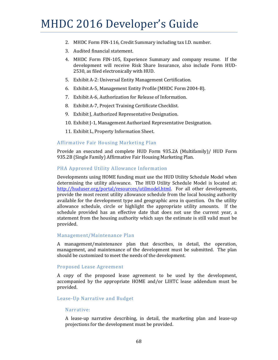- 2. MHDC Form FIN-116, Credit Summary including tax I.D. number.
- 3. Audited financial statement.
- 4. MHDC Form FIN-105, Experience Summary and company resume. If the development will receive Risk Share Insurance, also include Form HUD-2530, as filed electronically with HUD.
- 5. Exhibit A-2: Universal Entity Management Certification.
- 6. Exhibit A-5, Management Entity Profile (MHDC Form 2004-B).
- 7. Exhibit A-6, Authorization for Release of Information.
- 8. Exhibit A-7, Project Training Certificate Checklist.
- 9. Exhibit J, Authorized Representative Designation.
- 10. Exhibit J-1, Management Authorized Representative Designation.
- 11. Exhibit L, Property Information Sheet.

### Affirmative Fair Housing Marketing Plan

Provide an executed and complete HUD Form 935.2A (Multifamily)/ HUD Form 935.2B (Single Family) Affirmative Fair Housing Marketing Plan.

#### PHA Approved Utility Allowance Information

Developments using HOME funding must use the HUD Utility Schedule Model when determining the utility allowance. The HUD Utility Schedule Model is located at: http://huduser.org/portal/resources/utilmodel.html. For all other developments, provide the most recent utility allowance schedule from the local housing authority available for the development type and geographic area in question. On the utility allowance schedule, circle or highlight the appropriate utility amounts. If the schedule provided has an effective date that does not use the current year, a statement from the housing authority which says the estimate is still valid must be provided. 

### Management/Maintenance Plan

A management/maintenance plan that describes, in detail, the operation, management, and maintenance of the development must be submitted. The plan should be customized to meet the needs of the development.

#### Proposed Lease Agreement

A copy of the proposed lease agreement to be used by the development, accompanied by the appropriate HOME and/or LIHTC lease addendum must be provided.

### Lease-Up Narrative and Budget

#### Narrative:

A lease-up narrative describing, in detail, the marketing plan and lease-up projections for the development must be provided.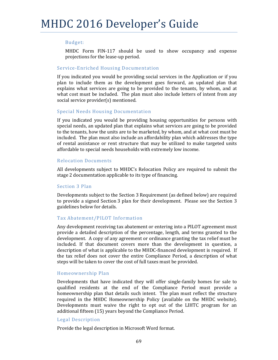### Budget:

MHDC Form FIN-117 should be used to show occupancy and expense projections for the lease-up period.

### Service-Enriched Housing Documentation

If you indicated you would be providing social services in the Application or if you plan to include them as the development goes forward, an updated plan that explains what services are going to be provided to the tenants, by whom, and at what cost must be included. The plan must also include letters of intent from any social service provider(s) mentioned.

### Special Needs Housing Documentation

If you indicated you would be providing housing opportunities for persons with special needs, an updated plan that explains what services are going to be provided to the tenants, how the units are to be marketed, by whom, and at what cost must be included. The plan must also include an affordability plan which addresses the type of rental assistance or rent structure that may be utilized to make targeted units affordable to special needs households with extremely low income.

### Relocation Documents

All developments subject to MHDC's Relocation Policy are required to submit the stage 2 documentation applicable to its type of financing.

### Section 3 Plan

Developments subject to the Section 3 Requirement (as defined below) are required to provide a signed Section 3 plan for their development. Please see the Section 3 guidelines below for details.

### Tax Abatement/PILOT Information

Any development receiving tax abatement or entering into a PILOT agreement must provide a detailed description of the percentage, length, and terms granted to the development. A copy of any agreement or ordinance granting the tax relief must be included. If that document covers more than the development in question, a description of what is applicable to the MHDC-financed development is required. If the tax relief does not cover the entire Compliance Period, a description of what steps will be taken to cover the cost of full taxes must be provided.

### Homeownership Plan

Developments that have indicated they will offer single-family homes for sale to qualified residents at the end of the Compliance Period must provide a homeownership plan that details such intent. The plan must reflect the structure required in the MHDC Homeownership Policy (available on the MHDC website). Developments must waive the right to opt out of the LIHTC program for an additional fifteen (15) years beyond the Compliance Period.

### Legal Description

Provide the legal description in Microsoft Word format.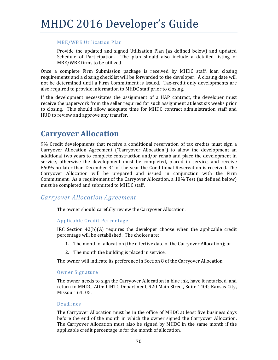### **MBE/WBE Utilization Plan**

Provide the updated and signed Utilization Plan (as defined below) and updated Schedule of Participation. The plan should also include a detailed listing of MBE/WBE firms to be utilized.

Once a complete Firm Submission package is received by MHDC staff, loan closing requirements and a closing checklist will be forwarded to the developer. A closing date will not be determined until a Firm Commitment is issued. Tax-credit only developments are also required to provide information to MHDC staff prior to closing.

If the development necessitates the assignment of a HAP contract, the developer must receive the paperwork from the seller required for such assignment at least six weeks prior to closing. This should allow adequate time for MHDC contract administration staff and HUD to review and approve any transfer.

# **Carryover Allocation**

9% Credit developments that receive a conditional reservation of tax credits must sign a Carryover Allocation Agreement ("Carryover Allocation") to allow the development an additional two years to complete construction and/or rehab and place the development in service, otherwise the development must be completed, placed in service, and receive 8609s no later than December 31 of the year the Conditional Reservation is received. The Carryover Allocation will be prepared and issued in conjunction with the Firm Commitment. As a requirement of the Carryover Allocation, a 10% Test (as defined below) must be completed and submitted to MHDC staff.

## *Carryover Allocation Agreement*

The owner should carefully review the Carryover Allocation.

### Applicable Credit Percentage

IRC Section  $42(b)(A)$  requires the developer choose when the applicable credit percentage will be established. The choices are:

- 1. The month of allocation (the effective date of the Carryover Allocation); or
- 2. The month the building is placed in service.

The owner will indicate its preference in Section 8 of the Carryover Allocation.

### Owner Signature

The owner needs to sign the Carryover Allocation in blue ink, have it notarized, and return to MHDC, Attn: LIHTC Department, 920 Main Street, Suite 1400, Kansas City, Missouri 64105.

### Deadlines

The Carryover Allocation must be in the office of MHDC at least five business days before the end of the month in which the owner signed the Carryover Allocation. The Carryover Allocation must also be signed by MHDC in the same month if the applicable credit percentage is for the month of allocation.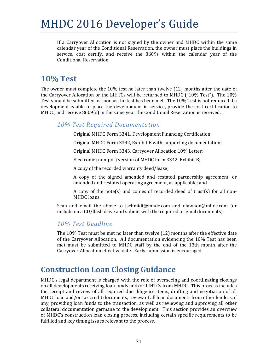If a Carryover Allocation is not signed by the owner and MHDC within the same calendar year of the Conditional Reservation, the owner must place the buildings in service, cost certify, and receive the 8609s within the calendar year of the Conditional Reservation.

# **10% Test**

The owner must complete the  $10\%$  test no later than twelve  $(12)$  months after the date of the Carryover Allocation or the LIHTCs will be returned to MHDC ("10% Test"). The  $10\%$ Test should be submitted as soon as the test has been met. The 10% Test is not required if a development is able to place the development in service, provide the cost certification to MHDC, and receive  $8609(s)$  in the same year the Conditional Reservation is received.

## *10% Test Required Documentation*

Original MHDC Form 3341, Development Financing Certification;

Original MHDC Form 3342, Exhibit B with supporting documentation;

Original MHDC Form 3343, Carryover Allocation 10% Letter;

Electronic (non-pdf) version of MHDC form 3342, Exhibit B;

A copy of the recorded warranty deed/lease;

A copy of the signed amended and restated partnership agreement, or amended and restated operating agreement, as applicable; and

A copy of the note(s) and copies of recorded deed of trust(s) for all non-MHDC loans.

Scan and email the above to jschmidt@mhdc.com and dlawhon@mhdc.com (or include on a CD/flash drive and submit with the required original documents).

## *10% Test Deadline*

The  $10\%$  Test must be met no later than twelve  $(12)$  months after the effective date of the Carryover Allocation. All documentation evidencing the  $10\%$  Test has been met must be submitted to MHDC staff by the end of the 13th month after the Carryover Allocation effective date. Early submission is encouraged.

# **Construction Loan Closing Guidance**

MHDC's legal department is charged with the role of overseeing and coordinating closings on all developments receiving loan funds and/or LIHTCs from MHDC. This process includes the receipt and review of all required due diligence items, drafting and negotiation of all MHDC loan and/or tax credit documents, review of all loan documents from other lenders, if any, providing loan funds to the transaction, as well as reviewing and approving all other collateral documentation germane to the development. This section provides an overview of MHDC's construction loan closing process, including certain specific requirements to be fulfilled and key timing issues relevant to the process.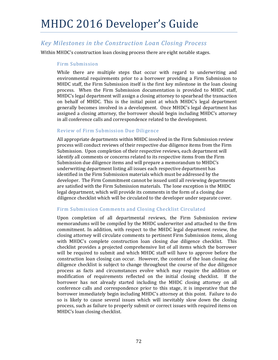# *Key Milestones in the Construction Loan Closing Process*

Within MHDC's construction loan closing process there are eight notable stages.

### Firm Submission

While there are multiple steps that occur with regard to underwriting and environmental requirements prior to a borrower providing a Firm Submission to MHDC staff, the Firm Submission itself is the first key milestone in the loan closing process. When the Firm Submission documentation is provided to MHDC staff, MHDC's legal department will assign a closing attorney to spearhead the transaction on behalf of MHDC. This is the initial point at which MHDC's legal department generally becomes involved in a development. Once MHDC's legal department has assigned a closing attorney, the borrower should begin including MHDC's attorney in all conference calls and correspondence related to the development.

### Review of Firm Submission Due Diligence

All appropriate departments within MHDC involved in the Firm Submission review process will conduct reviews of their respective due diligence items from the Firm Submission. Upon completion of their respective reviews, each department will identify all comments or concerns related to its respective items from the Firm Submission due diligence items and will prepare a memorandum to MHDC's underwriting department listing all issues each respective department has identified in the Firm Submission materials which must be addressed by the developer. The Firm Commitment cannot be issued until all reviewing departments are satisfied with the Firm Submission materials. The lone exception is the MHDC legal department, which will provide its comments in the form of a closing due diligence checklist which will be circulated to the developer under separate cover.

### Firm Submission Comments and Closing Checklist Circulated

Upon completion of all departmental reviews, the Firm Submission review memorandums will be compiled by the MHDC underwriter and attached to the firm commitment. In addition, with respect to the MHDC legal department review, the closing attorney will circulate comments to pertinent Firm Submission items, along with MHDC's complete construction loan closing due diligence checklist. This checklist provides a projected comprehensive list of all items which the borrower will be required to submit and which MHDC staff will have to approve before the construction loan closing can occur. However, the content of the loan closing due diligence checklist is subject to change throughout the course of the due diligence process as facts and circumstances evolve which may require the addition or modification of requirements reflected on the initial closing checklist. If the borrower has not already started including the MHDC closing attorney on all conference calls and correspondence prior to this stage, it is imperative that the borrower immediately begin including MHDC's attorney at this point. Failure to do so is likely to cause several issues which will inevitably slow down the closing process, such as failure to properly submit or correct issues with required items on MHDC's loan closing checklist.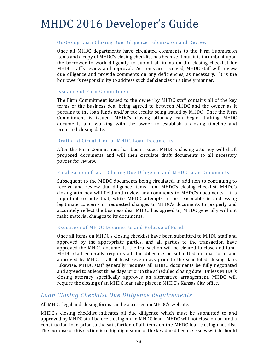### On-Going Loan Closing Due Diligence Submission and Review

Once all MHDC departments have circulated comments to the Firm Submission items and a copy of MHDC's closing checklist has been sent out, it is incumbent upon the borrower to work diligently to submit all items on the closing checklist for MHDC staff's review and approval. As items are received, MHDC staff will review due diligence and provide comments on any deficiencies, as necessary. It is the borrower's responsibility to address such deficiencies in a timely manner.

### Issuance of Firm Commitment

The Firm Commitment issued to the owner by MHDC staff contains all of the key terms of the business deal being agreed to between MHDC and the owner as it pertains to the loan funds and/or tax credits being issued by MHDC. Once the Firm Commitment is issued, MHDC's closing attorney can begin drafting MHDC documents and working with the owner to establish a closing timeline and projected closing date.

### Draft and Circulation of MHDC Loan Documents

After the Firm Commitment has been issued, MHDC's closing attorney will draft proposed documents and will then circulate draft documents to all necessary parties for review.

### Finalization of Loan Closing Due Diligence and MHDC Loan Documents

Subsequent to the MHDC documents being circulated, in addition to continuing to receive and review due diligence items from MHDC's closing checklist, MHDC's closing attorney will field and review any comments to MHDC's documents. It is important to note that, while MHDC attempts to be reasonable in addressing legitimate concerns or requested changes to MHDC's documents to properly and accurately reflect the business deal MHDC has agreed to, MHDC generally will not make material changes to its documents.

### Execution of MHDC Documents and Release of Funds

Once all items on MHDC's closing checklist have been submitted to MHDC staff and approved by the appropriate parties, and all parties to the transaction have approved the MHDC documents, the transaction will be cleared to close and fund. MHDC staff generally requires all due diligence be submitted in final form and approved by MHDC staff at least seven days prior to the scheduled closing date. Likewise, MHDC staff generally requires all MHDC documents be fully negotiated and agreed to at least three days prior to the scheduled closing date. Unless MHDC's closing attorney specifically approves an alternative arrangement, MHDC will require the closing of an MHDC loan take place in MHDC's Kansas City office.

### *Loan Closing Checklist Due Diligence Requirements*

All MHDC legal and closing forms can be accessed on MHDC's website.

MHDC's closing checklist indicates all due diligence which must be submitted to and approved by MHDC staff before closing on an MHDC loan. MHDC will not close on or fund a construction loan prior to the satisfaction of all items on the MHDC loan closing checklist. The purpose of this section is to highlight some of the key due diligence issues which should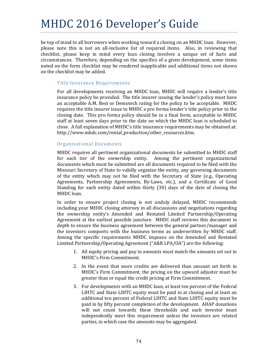be top of mind to all borrowers when working toward a closing on an MHDC loan. However, please note this is not an all-inclusive list of required items. Also, in reviewing that checklist, please keep in mind every loan closing involves a unique set of facts and circumstances. Therefore, depending on the specifics of a given development, some items noted on the form checklist may be rendered inapplicable and additional items not shown on the checklist may be added.

### Title Insurance Requirements

For all developments receiving an MHDC loan, MHDC will require a lender's title insurance policy be provided. The title insurer issuing the lender's policy must have an acceptable A.M. Best or Demotech rating for the policy to be acceptable. MHDC requires the title insurer issue to MHDC a pro forma lender's title policy prior to the closing date. This pro forma policy should be in a final form, acceptable to MHDC staff at least seven days prior to the date on which the MHDC loan is scheduled to close. A full explanation of MHDC's title insurance requirements may be obtained at: http://www.mhdc.com/rental\_production/other\_resources.htm. 

### Organizational Documents

MHDC requires all pertinent organizational documents be submitted to MHDC staff for each tier of the ownership entity. Among the pertinent organizational documents which must be submitted are all documents required to be filed with the Missouri Secretary of State to validly organize the entity, any governing documents of the entity which may not be filed with the Secretary of State (e.g., Operating Agreements, Partnership Agreements, By-Laws, etc.), and a Certificate of Good Standing for each entity dated within thirty  $(30)$  days of the date of closing the MHDC loan.

In order to ensure project closing is not unduly delayed, MHDC recommends including your MHDC closing attorney in all discussions and negotiations regarding the ownership entity's Amended and Restated Limited Partnership/Operating Agreement at the earliest possible juncture. MHDC staff reviews this document in depth to ensure the business agreement between the general partner/manager and the investors comports with the business terms as underwritten by MHDC staff. Among the specific requirements MHDC imposes on the Amended and Restated Limited Partnership/Operating Agreement ("A&R LPA/OA") are the following:

- 1. All equity pricing and pay in amounts must match the amounts set out in MHDC's Firm Commitment.
- 2. In the event that more credits are delivered than amount set forth in MHDC's Firm Commitment, the pricing on the upward adjuster must be greater than or equal the credit pricing at Firm Commitment.
- 3. For developments with an MHDC loan, at least ten percent of the Federal LIHTC and State LIHTC equity must be paid in at closing and at least an additional ten percent of Federal LIHTC and State LIHTC equity must be paid in by fifty percent completion of the development. AHAP donations will not count towards these thresholds and each investor must independently meet this requirement unless the investors are related parties, in which case the amounts may be aggregated.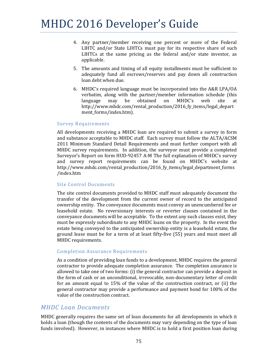- 4. Any partner/member receiving one percent or more of the Federal LIHTC and/or State LIHTCs must pay for its respective share of such LIHTCs at the same pricing as the federal and/or state investor, as applicable.
- 5. The amounts and timing of all equity installments must be sufficient to adequately fund all escrows/reserves and pay down all construction loan debt when due.
- 6. MHDC's required language must be incorporated into the A&R LPA/OA verbatim, along with the partner/member information schedule (this language may be obtained on MHDC's web site at http://www.mhdc.com/rental\_production/2016\_fy\_items/legal\_depart ment\_forms/index.htm).

### Survey Requirements

All developments receiving a MHDC loan are required to submit a survey in form and substance acceptable to MHDC staff. Each survey must follow the ALTA/ACSM 2011 Minimum Standard Detail Requirements and must further comport with all MHDC survey requirements. In addition, the surveyor must provide a completed Surveyor's Report on form HUD-92457 A-M The full explanation of MHDC's survey and survey report requirements can be found on MHDC's website at http://www.mhdc.com/rental\_production/2016\_fy\_items/legal\_department\_forms /index.htm 

### Site Control Documents

The site control documents provided to MHDC staff must adequately document the transfer of the development from the current owner of record to the anticipated ownership entity. The conveyance documents must convey an unencumbered fee or leasehold estate. No reversionary interests or reverter clauses contained in the conveyance documents will be acceptable. To the extent any such clauses exist, they must be expressly subordinate to any MHDC loans on the property. In the event the estate being conveyed to the anticipated ownership entity is a leasehold estate, the ground lease must be for a term of at least fifty-five (55) years and must meet all MHDC requirements.

### Completion Assurance Requirements

As a condition of providing loan funds to a development, MHDC requires the general contractor to provide adequate completion assurance. The completion assurance is allowed to take one of two forms:  $(i)$  the general contractor can provide a deposit in the form of cash or an unconditional, irrevocable, non-documentary letter of credit for an amount equal to  $15\%$  of the value of the construction contract, or (ii) the general contractor may provide a performance and payment bond for 100% of the value of the construction contract.

### *MHDC Loan Documents*

MHDC generally requires the same set of loan documents for all developments in which it holds a loan (though the contents of the documents may vary depending on the type of loan funds involved). However, in instances where MHDC is to hold a first position loan during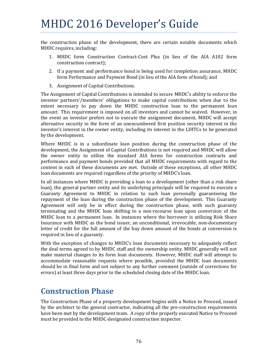the construction phase of the development, there are certain notable documents which MHDC requires, including:

- 1. MHDC form Construction Contract‐Cost Plus (in lieu of the AIA A102 form construction contract);
- 2. If a payment and performance bond is being used for completion assurance, MHDC form Performance and Payment Bond (in lieu of the AIA form of bond); and
- 3. Assignment of Capital Contributions.

The Assignment of Capital Contributions is intended to secure MHDC's ability to enforce the investor partners'/members' obligations to make capital contributions when due to the extent necessary to pay down the MHDC construction loan to the permanent loan amount. This requirement is imposed on all investors and cannot be waived. However, in the event an investor prefers not to execute the assignment document, MHDC will accept alternative security in the form of an unencumbered first position security interest in the investor's interest in the owner entity, including its interest in the LIHTCs to be generated by the development.

Where MHDC is in a subordinate loan position during the construction phase of the development, the Assignment of Capital Contributions is not required and MHDC will allow the owner entity to utilize the standard AIA forms for construction contracts and performance and payment bonds provided that all MHDC requirements with regard to the content in each of these documents are met. Outside of these exceptions, all other MHDC loan documents are required regardless of the priority of MHDC's loan.

In all instances where MHDC is providing a loan to a development (other than a risk share loan), the general partner entity and its underlying principals will be required to execute a Guaranty Agreement to MHDC in relation to such loan personally guaranteeing the repayment of the loan during the construction phase of the development. This Guaranty Agreement will only be in effect during the construction phase, with such guaranty terminating and the MHDC loan shifting to a non-recourse loan upon conversion of the MHDC loan to a permanent loan. In instances where the borrower is utilizing Risk Share Insurance with MHDC as the bond issuer, an unconditional, irrevocable, non-documentary letter of credit for the full amount of the buy down amount of the bonds at conversion is required in lieu of a guaranty.

With the exception of changes to MHDC's loan documents necessary to adequately reflect the deal terms agreed to by MHDC staff and the ownership entity, MHDC generally will not make material changes to its form loan documents. However, MHDC staff will attempt to accommodate reasonable requests where possible, provided the MHDC loan documents should be in final form and not subject to any further comment (outside of corrections for errors) at least three days prior to the scheduled closing date of the MHDC loan.

# **Construction Phase**

The Construction Phase of a property development begins with a Notice to Proceed, issued by the architect to the general contractor, indicating all the pre-construction requirements have been met by the development team. A copy of the properly executed Notice to Proceed must be provided to the MHDC-designated construction inspector.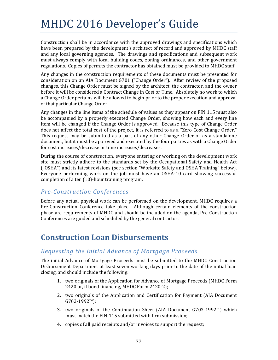Construction shall be in accordance with the approved drawings and specifications which have been prepared by the development's architect of record and approved by MHDC staff and any local governing agencies. The drawings and specifications and subsequent work must always comply with local building codes, zoning ordinances, and other government regulations. Copies of permits the contractor has obtained must be provided to MHDC staff.

Any changes in the construction requirements of these documents must be presented for consideration on an AIA Document G701 ("Change Order"). After review of the proposed changes, this Change Order must be signed by the architect, the contractor, and the owner before it will be considered a Contract Change in Cost or Time. Absolutely no work to which a Change Order pertains will be allowed to begin prior to the proper execution and approval of that particular Change Order.

Any changes in the line items of the schedule of values as they appear on FIN 115 must also be accompanied by a properly executed Change Order, showing how each and every line item will be changed if the Change Order is approved. Because this type of Change Order does not affect the total cost of the project, it is referred to as a "Zero Cost Change Order." This request may be submitted as a part of any other Change Order or as a standalone document, but it must be approved and executed by the four parties as with a Change Order for cost increases/decrease or time increases/decreases.

During the course of construction, everyone entering or working on the development work site must strictly adhere to the standards set by the Occupational Safety and Health Act ("OSHA") and its latest revisions (see section "Worksite Safety and OSHA Training" below). Everyone performing work on the job must have an  $OSHA-10$  card showing successful completion of a ten  $(10)$ -hour training program.

## *Pre‐Construction Conferences*

Before any actual physical work can be performed on the development, MHDC requires a Pre-Construction Conference take place. Although certain elements of the construction phase are requirements of MHDC and should be included on the agenda, Pre-Construction Conferences are guided and scheduled by the general contractor.

# **Construction Loan Disbursements**

# *Requesting the Initial Advance of Mortgage Proceeds*

The initial Advance of Mortgage Proceeds must be submitted to the MHDC Construction Disbursement Department at least seven working days prior to the date of the initial loan closing, and should include the following:

- 1. two originals of the Application for Advance of Mortgage Proceeds (MHDC Form  $2420$  or, if bond financing, MHDC Form  $2420-2$ );
- 2. two originals of the Application and Certification for Payment (AIA Document G702‐1992™);
- 3. two originals of the Continuation Sheet (AIA Document G703-1992™) which must match the FIN-115 submitted with firm submission;
- 4. copies of all paid receipts and/or invoices to support the request;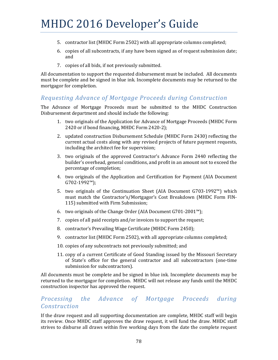- 5. contractor list (MHDC Form 2502) with all appropriate columns completed;
- 6. copies of all subcontracts, if any have been signed as of request submission date; and
- 7. copies of all bids, if not previously submitted.

All documentation to support the requested disbursement must be included. All documents must be complete and be signed in blue ink. Incomplete documents may be returned to the mortgagor for completion.

# *Requesting Advance of Mortgage Proceeds during Construction*

The Advance of Mortgage Proceeds must be submitted to the MHDC Construction Disbursement department and should include the following:

- 1. two originals of the Application for Advance of Mortgage Proceeds (MHDC Form 2420 or if bond financing, MHDC Form 2420-2);
- 2. updated construction Disbursement Schedule (MHDC Form 2430) reflecting the current actual costs along with any revised projects of future payment requests, including the architect fee for supervision;
- 3. two originals of the approved Contractor's Advance Form 2440 reflecting the builder's overhead, general conditions, and profit in an amount not to exceed the percentage of completion;
- 4. two originals of the Application and Certification for Payment (AIA Document G702‐1992™);
- 5. two originals of the Continuation Sheet (AIA Document  $G703-1992<sup>™</sup>$ ) which must match the Contractor's/Mortgagor's Cost Breakdown (MHDC Form FIN-115) submitted with Firm Submission;
- 6. two originals of the Change Order (AIA Document  $G701-2001$ <sup>™</sup>);
- 7. copies of all paid receipts and/or invoices to support the request;
- 8. contractor's Prevailing Wage Certificate (MHDC Form 2450);
- 9. contractor list (MHDC Form 2502), with all appropriate columns completed;
- 10. copies of any subcontracts not previously submitted; and
- 11. copy of a current Certificate of Good Standing issued by the Missouri Secretary of State's office for the general contractor and all subcontractors (one-time submission for subcontractors).

All documents must be complete and be signed in blue ink. Incomplete documents may be returned to the mortgagor for completion. MHDC will not release any funds until the MHDC construction inspector has approved the request.

## *Processing the Advance of Mortgage Proceeds during Construction*

If the draw request and all supporting documentation are complete, MHDC staff will begin its review. Once MHDC staff approves the draw request, it will fund the draw. MHDC staff strives to disburse all draws within five working days from the date the complete request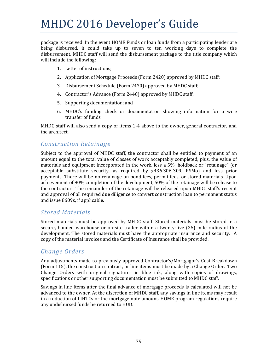package is received. In the event HOME Funds or loan funds from a participating lender are being disbursed, it could take up to seven to ten working days to complete the disbursement. MHDC staff will send the disbursement package to the title company which will include the following:

- 1. Letter of instructions:
- 2. Application of Mortgage Proceeds (Form 2420) approved by MHDC staff;
- 3. Disbursement Schedule (Form 2430) approved by MHDC staff;
- 4. Contractor's Advance (Form 2440) approved by MHDC staff;
- 5. Supporting documentation; and
- 6. MHDC's funding check or documentation showing information for a wire transfer of funds

MHDC staff will also send a copy of items  $1-4$  above to the owner, general contractor, and the architect.

### *Construction Retainage*

Subject to the approval of MHDC staff, the contractor shall be entitled to payment of an amount equal to the total value of classes of work acceptably completed, plus, the value of materials and equipment incorporated in the work, less a 5% holdback or "retainage" (or acceptable substitute security, as required by  $\S436.306-309$ , RSMo) and less prior payments. There will be no retainage on bond fees, permit fees, or stored materials. Upon achievement of 90% completion of the development, 50% of the retainage will be release to the contractor. The remainder of the retainage will be released upon MHDC staff's receipt and approval of all required due diligence to convert construction loan to permanent status and issue 8609s, if applicable.

### *Stored Materials*

Stored materials must be approved by MHDC staff. Stored materials must be stored in a secure, bonded warehouse or on-site trailer within a twenty-five (25) mile radius of the development. The stored materials must have the appropriate insurance and security. A copy of the material invoices and the Certificate of Insurance shall be provided.

### *Change Orders*

Any adjustments made to previously approved Contractor's/Mortgagor's Cost Breakdown (Form 115), the construction contract, or line items must be made by a Change Order. Two Change Orders with original signatures in blue ink, along with copies of drawings, specifications or other supporting documentation must be submitted to MHDC staff.

Savings in line items after the final advance of mortgage proceeds is calculated will not be advanced to the owner. At the discretion of MHDC staff, any savings in line items may result in a reduction of LIHTCs or the mortgage note amount. HOME program regulations require any undisbursed funds be returned to HUD.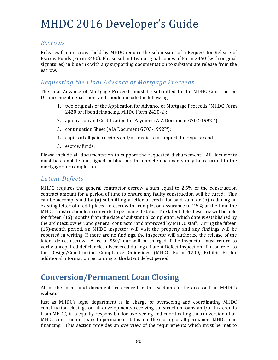### *Escrows*

Releases from escrows held by MHDC require the submission of a Request for Release of Escrow Funds (Form 2460). Please submit two original copies of Form 2460 (with original signatures) in blue ink with any supporting documentation to substantiate release from the escrow. 

## *Requesting the Final Advance of Mortgage Proceeds*

The final Advance of Mortgage Proceeds must be submitted to the MDHC Construction Disbursement department and should include the following:

- 1. two originals of the Application for Advance of Mortgage Proceeds (MHDC Form 2420 or if bond financing, MHDC Form 2420-2);
- 2. application and Certification for Payment  $(AIA$  Document  $G702-1992<sup>™</sup>)$ ;
- 3. continuation Sheet (AIA Document G703-1992™);
- 4. copies of all paid receipts and/or invoices to support the request; and
- 5. escrow funds.

Please include all documentation to support the requested disbursement. All documents must be complete and signed in blue ink. Incomplete documents may be returned to the mortgagor for completion.

### *Latent Defects*

MHDC requires the general contractor escrow a sum equal to  $2.5\%$  of the construction contract amount for a period of time to ensure any faulty construction will be cured. This can be accomplished by (a) submitting a letter of credit for said sum, or (b) reducing an existing letter of credit placed in escrow for completion assurance to 2.5% at the time the MHDC construction loan converts to permanent status. The latent defect escrow will be held for fifteen (15) months from the date of substantial completion, which date is established by the architect, owner, and general contractor and approved by MHDC staff. During the fifteen  $(15)$ -month period, an MHDC inspector will visit the property and any findings will be reported in writing. If there are no findings, the inspector will authorize the release of the latent defect escrow. A fee of  $$50/h$ our will be charged if the inspector must return to verify unrepaired deficiencies discovered during a Latent Defect Inspection. Please refer to the Design/Construction Compliance Guidelines (MHDC Form 1200, Exhibit F) for additional information pertaining to the latent defect period.

# **Conversion/Permanent Loan Closing**

All of the forms and documents referenced in this section can be accessed on MHDC's website. 

Just as MHDC's legal department is in charge of overseeing and coordinating MHDC construction closings on all developments receiving construction loans and/or tax credits from MHDC, it is equally responsible for overseeing and coordinating the conversion of all MHDC construction loans to permanent status and the closing of all permanent MHDC loan financing. This section provides an overview of the requirements which must be met to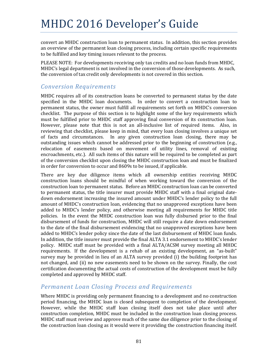convert an MHDC construction loan to permanent status. In addition, this section provides an overview of the permanent loan closing process, including certain specific requirements to be fulfilled and key timing issues relevant to the process.

PLEASE NOTE: For developments receiving only tax credits and no loan funds from MHDC, MHDC's legal department is not involved in the conversion of those developments. As such, the conversion of tax credit only developments is not covered in this section.

## *Conversion Requirements*

MHDC requires all of its construction loans be converted to permanent status by the date specified in the MHDC loan documents. In order to convert a construction loan to permanent status, the owner must fulfill all requirements set forth on MHDC's conversion checklist. The purpose of this section is to highlight some of the key requirements which must be fulfilled prior to MHDC staff approving final conversion of its construction loan. However, please note that this is not an all-inclusive list of required items. Also, in reviewing that checklist, please keep in mind, that every loan closing involves a unique set of facts and circumstances. In any given construction loan closing, there may be outstanding issues which cannot be addressed prior to the beginning of construction (e.g., relocation of easements based on movement of utility lines, removal of existing encroachments, etc.). All such items of this nature will be required to be completed as part of the conversion checklist upon closing the MHDC construction loan and must be finalized in order for conversion to occur and 8609s to be issued, if applicable.

There are key due diligence items which all ownership entities receiving MHDC construction loans should be mindful of when working toward the conversion of the construction loan to permanent status. Before an MHDC construction loan can be converted to permanent status, the title insurer must provide MHDC staff with a final original datedown endorsement increasing the insured amount under MHDC's lender policy to the full amount of MHDC's construction loan, evidencing that no unapproved exceptions have been added to MHDC's lender policy, and otherwise meeting all requirements for MHDC title policies. In the event the MHDC construction loan was fully disbursed prior to the final disbursement of funds for construction, MHDC will still require a date down endorsement to the date of the final disbursement evidencing that no unapproved exceptions have been added to MHDC's lender policy since the date of the last disbursement of MHDC loan funds. In addition, the title insurer must provide the final ALTA 3.1 endorsement to MHDC's lender policy. MHDC staff must be provided with a final ALTA/ACSM survey meeting all MHDC requirements. If the development is a rehab of an existing development, an "as-built" survey may be provided in lieu of an ALTA survey provided  $(i)$  the building footprint has not changed, and (ii) no new easements need to be shown on the survey. Finally, the cost certification documenting the actual costs of construction of the development must be fully completed and approved by MHDC staff.

# *Permanent Loan Closing Process and Requirements*

Where MHDC is providing only permanent financing to a development and no construction period financing, the MHDC loan is closed subsequent to completion of the development. However, while the MHDC staff loan closing itself does not take place until after construction completion, MHDC must be included in the construction loan closing process. MHDC staff must review and approve much of the same due diligence prior to the closing of the construction loan closing as it would were it providing the construction financing itself.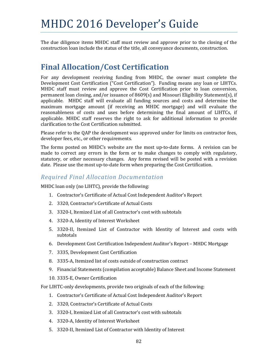The due diligence items MHDC staff must review and approve prior to the closing of the construction loan include the status of the title, all conveyance documents, construction.

# **Final Allocation/Cost Certification**

For any development receiving funding from MHDC, the owner must complete the Development Cost Certification ("Cost Certification"). Funding means any loan or LIHTCs. MHDC staff must review and approve the Cost Certification prior to loan conversion, permanent loan closing, and/or issuance of  $8609(s)$  and Missouri Eligibility Statement(s), if applicable. MHDC staff will evaluate all funding sources and costs and determine the maximum mortgage amount (if receiving an MHDC mortgage) and will evaluate the reasonableness of costs and uses before determining the final amount of LIHTCs, if applicable. MHDC staff reserves the right to ask for additional information to provide clarification to the Cost Certification submitted.

Please refer to the QAP the development was approved under for limits on contractor fees, developer fees, etc., or other requirements.

The forms posted on MHDC's website are the most up-to-date forms. A revision can be made to correct any errors in the form or to make changes to comply with regulatory, statutory, or other necessary changes. Any forms revised will be posted with a revision date. Please use the most up-to-date form when preparing the Cost Certification.

## *Required Final Allocation Documentation*

MHDC loan only (no LIHTC), provide the following:

- 1. Contractor's Certificate of Actual Cost Independent Auditor's Report
- 2. 3320, Contractor's Certificate of Actual Costs
- 3. 3320-I, Itemized List of all Contractor's cost with subtotals
- 4. 3320-A, Identity of Interest Worksheet
- 5. 3320-II, Itemized List of Contractor with Identity of Interest and costs with subtotals
- 6. Development Cost Certification Independent Auditor's Report MHDC Mortgage
- 7. 3335, Development Cost Certification
- 8. 3335-A, Itemized list of costs outside of construction contract
- 9. Financial Statements (compilation acceptable) Balance Sheet and Income Statement
- 10. 3335-E, Owner Certification

For LIHTC-only developments, provide two originals of each of the following:

- 1. Contractor's Certificate of Actual Cost Independent Auditor's Report
- 2. 3320, Contractor's Certificate of Actual Costs
- 3. 3320-I, Itemized List of all Contractor's cost with subtotals
- 4. 3320-A, Identity of Interest Worksheet
- 5. 3320-II, Itemized List of Contractor with Identity of Interest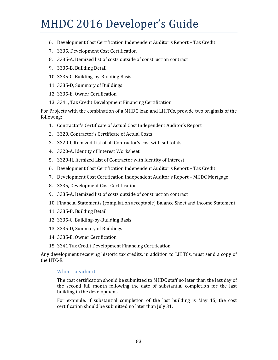- 6. Development Cost Certification Independent Auditor's Report Tax Credit
- 7. 3335, Development Cost Certification
- 8. 3335-A, Itemized list of costs outside of construction contract
- 9. 3335-B, Building Detail
- 10. 3335-C, Building-by-Building Basis
- 11. 3335-D, Summary of Buildings
- 12. 3335-E, Owner Certification
- 13. 3341, Tax Credit Development Financing Certification

For Projects with the combination of a MHDC loan and LIHTCs, provide two originals of the following: 

- 1. Contractor's Certificate of Actual Cost Independent Auditor's Report
- 2. 3320, Contractor's Certificate of Actual Costs
- 3. 3320-I, Itemized List of all Contractor's cost with subtotals
- 4. 3320-A, Identity of Interest Worksheet
- 5. 3320-II, Itemized List of Contractor with Identity of Interest
- 6. Development Cost Certification Independent Auditor's Report Tax Credit
- 7. Development Cost Certification Independent Auditor's Report MHDC Mortgage
- 8. 3335, Development Cost Certification
- 9. 3335-A, Itemized list of costs outside of construction contract
- 10. Financial Statements (compilation acceptable) Balance Sheet and Income Statement
- 11. 3335-B, Building Detail
- 12. 3335-C, Building-by-Building Basis
- 13. 3335-D, Summary of Buildings
- 14. 3335-E, Owner Certification
- 15. 3341 Tax Credit Development Financing Certification

Any development receiving historic tax credits, in addition to LIHTCs, must send a copy of the HTC-E.

### When to submit

The cost certification should be submitted to MHDC staff no later than the last day of the second full month following the date of substantial completion for the last building in the development.

For example, if substantial completion of the last building is May 15, the cost certification should be submitted no later than July 31.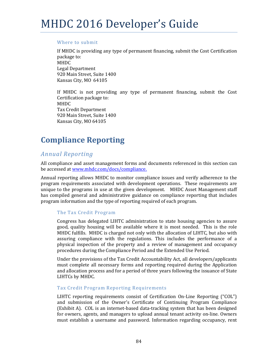### Where to submit

If MHDC is providing any type of permanent financing, submit the Cost Certification package to: MHDC Legal Department 920 Main Street, Suite 1400 Kansas City, MO 64105

If MHDC is not providing any type of permanent financing, submit the Cost Certification package to: MHDC Tax Credit Department 920 Main Street, Suite 1400 Kansas City, MO 64105

# **Compliance Reporting**

# *Annual Reporting*

All compliance and asset management forms and documents referenced in this section can be accessed at www.mhdc.com/docs/compliance.

Annual reporting allows MHDC to monitor compliance issues and verify adherence to the program requirements associated with development operations. These requirements are unique to the programs in use at the given development. MHDC Asset Management staff has compiled general and administrative guidance on compliance reporting that includes program information and the type of reporting required of each program.

### The Tax Credit Program

Congress has delegated LIHTC administration to state housing agencies to assure good, quality housing will be available where it is most needed. This is the role MHDC fulfills. MHDC is charged not only with the allocation of LIHTC, but also with assuring compliance with the regulations. This includes the performance of a physical inspection of the property and a review of management and occupancy procedures during the Compliance Period and the Extended Use Period.

Under the provisions of the Tax Credit Accountability Act, all developers/applicants must complete all necessary forms and reporting required during the Application and allocation process and for a period of three years following the issuance of State LIHTCs by MHDC. 

### Tax Credit Program Reporting Requirements

LIHTC reporting requirements consist of Certification On-Line Reporting ("COL") and submission of the Owner's Certificate of Continuing Program Compliance  $(Exhibit A)$ . COL is an internet-based data-tracking system that has been designed for owners, agents, and managers to upload annual tenant activity on-line. Owners must establish a username and password. Information regarding occupancy, rent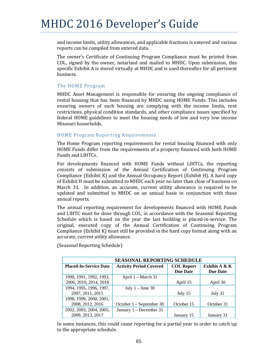and income limits, utility allowances, and applicable fractions is entered and various reports can be compiled from entered data.

The owner's Certificate of Continuing Program Compliance must be printed from COL, signed by the owner, notarized and mailed to MHDC. Upon submission, this specific Exhibit A is stored virtually at MHDC and is used thereafter for all pertinent business. 

#### The HOME Program

MHDC Asset Management is responsible for ensuring the ongoing compliance of rental housing that has been financed by MHDC using HOME Funds. This includes ensuring owners of such housing are complying with the income limits, rent restrictions, physical condition standards, and other compliance issues specified by federal HOME guidelines to meet the housing needs of low and very low income Missouri households.

### HOME Program Reporting Requirements

The Home Program reporting requirements for rental housing financed with only HOME Funds differ from the requirements of a property financed with both HOME Funds and LIHTCs.

For developments financed with HOME Funds without LIHTCs, the reporting consists of submission of the Annual Certification of Continuing Program Compliance (Exhibit K) and the Annual Occupancy Report (Exhibit H). A hard copy of Exhibit H must be submitted to MHDC each year no later than close of business on March 31. In addition, an accurate, current utility allowance is required to be updated and submitted to MHDC on an annual basis in conjunction with these annual reports.

The annual reporting requirement for developments financed with HOME Funds and LIHTC must be done through COL, in accordance with the Seasonal Reporting Schedule which is based on the year the last building is placed-in-service. The original, executed copy of the Annual Certification of Continuing Program Compliance  $(Exhibit K)$  must still be provided in the hard copy format along with an accurate, current utility allowance.

| <b>SEASONAL REPORTING SCHEDULE</b> |                                |                   |                  |
|------------------------------------|--------------------------------|-------------------|------------------|
| <b>Placed-In-Service Date</b>      | <b>Activity Period Covered</b> | <b>COL Report</b> | Exhibit A $\& K$ |
|                                    |                                | <b>Due Date</b>   | <b>Due Date</b>  |
| 1990, 1991, 1992, 1993,            | April 1 – March 31             |                   |                  |
| 2006, 2010, 2014, 2018             |                                | April 15          | April 30         |
| 1994, 1995, 1996, 1997,            | July $1 -$ June 30             |                   |                  |
| 2007, 2011, 2015                   |                                | July 15           | July 31          |
| 1998, 1999, 2000, 2001,            |                                |                   |                  |
| 2008, 2012, 2016                   | October $1 -$ September 30     | October 15        | October 31       |
| 2002, 2003, 2004, 2005,            | January 1 – December 31        |                   |                  |
| 2009, 2013, 2017                   |                                | January 15        | January 31       |

(Seasonal Reporting Schedule)

In some instances, this could cause reporting for a partial year in order to catch up to the appropriate schedule.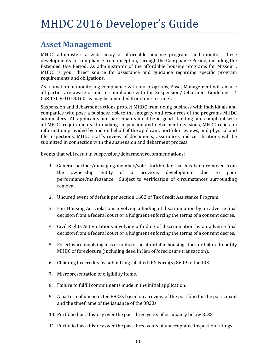# **Asset Management**

MHDC administers a wide array of affordable housing programs and monitors these developments for compliance from inception, through the Compliance Period, including the Extended Use Period. As administrator of the affordable housing programs for Missouri, MHDC is your direct source for assistance and guidance regarding specific program requirements and obligations.

As a function of monitoring compliance with our programs, Asset Management will ensure all parties are aware of and in compliance with the Suspension/Debarment Guidelines (4  $CSR 170 8.010-8.160$ , as may be amended from time-to-time).

Suspension and debarment actions protect MHDC from doing business with individuals and companies who pose a business risk to the integrity and resources of the programs MHDC administers. All applicants and participants must be in good standing and compliant with all MHDC requirements. In making suspension and debarment decisions, MHDC relies on information provided by and on behalf of the applicant, portfolio reviews, and physical and file inspections. MHDC staff's review of documents, assurances and certifications will be submitted in connection with the suspension and debarment process.

Events that will result in suspension/debarment recommendations:

- 1. General partner/managing member/sole stockholder that has been removed from the ownership entity of a previous development due to poor performance/malfeasance. Subject to verification of circumstances surrounding removal.
- 2. Uncured event of default per section 1602 of Tax Credit Assistance Program.
- 3. Fair Housing Act violations involving a finding of discrimination by an adverse final decision from a federal court or a judgment enforcing the terms of a consent decree.
- 4. Civil Rights Act violations involving a finding of discrimination by an adverse final decision from a federal court or a judgment enforcing the terms of a consent decree.
- 5. Foreclosure involving loss of units to the affordable housing stock or failure to notify MHDC of foreclosure (including deed in lieu of foreclosure transaction).
- 6. Claiming tax credits by submitting falsified IRS Form(s)  $8609$  to the IRS.
- 7. Misrepresentation of eligibility items.
- 8. Failure to fulfill commitments made in the initial application.
- 9. A pattern of uncorrected 8823s based on a review of the portfolio for the participant and the timeframe of the issuance of the 8823s
- 10. Portfolio has a history over the past three years of occupancy below 85%.
- 11. Portfolio has a history over the past three years of unacceptable inspection ratings.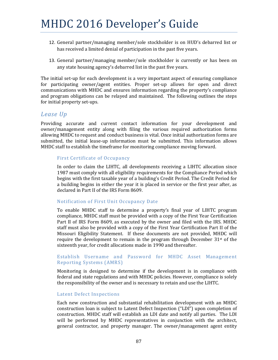- 12. General partner/managing member/sole stockholder is on HUD's debarred list or has received a limited denial of participation in the past five years.
- 13. General partner/managing member/sole stockholder is currently or has been on any state housing agency's debarred list in the past five years.

The initial set-up for each development is a very important aspect of ensuring compliance for participating owner/agent entities. Proper set-up allows for open and direct communications with MHDC and ensures information regarding the property's compliance and program obligations can be relayed and maintained. The following outlines the steps for initial property set-ups.

### *Lease Up*

Providing accurate and current contact information for your development and owner/management entity along with filing the various required authorization forms allowing MHDC to request and conduct business is vital. Once initial authorization forms are submitted, the initial lease-up information must be submitted. This information allows MHDC staff to establish the timeframe for monitoring compliance moving forward.

### First Certificate of Occupancy

In order to claim the LIHTC, all developments receiving a LIHTC allocation since 1987 must comply with all eligibility requirements for the Compliance Period which begins with the first taxable year of a building's Credit Period. The Credit Period for a building begins in either the year it is placed in service or the first year after, as declared in Part II of the IRS Form 8609.

### Notification of First Unit Occupancy Date

To enable MHDC staff to determine a property's final year of LIHTC program compliance, MHDC staff must be provided with a copy of the First Year Certification Part II of IRS Form 8609, as executed by the owner and filed with the IRS. MHDC staff must also be provided with a copy of the First Year Certification Part II of the Missouri Eligibility Statement. If these documents are not provided, MHDC will require the development to remain in the program through December  $31<sup>st</sup>$  of the sixteenth year, for credit allocations made in 1990 and thereafter.

### Establish Username and Password for MHDC Asset Management Reporting Systems (AMRS)

Monitoring is designed to determine if the development is in compliance with federal and state regulations and with MHDC policies. However, compliance is solely the responsibility of the owner and is necessary to retain and use the LIHTC.

### Latent Defect Inspections

Each new construction and substantial rehabilitation development with an MHDC construction loan is subject to Latent Defect Inspection ("LDI") upon completion of construction. MHDC staff will establish an LDI date and notify all parties. The LDI will be performed by MHDC representatives in conjunction with the architect, general contractor, and property manager. The owner/management agent entity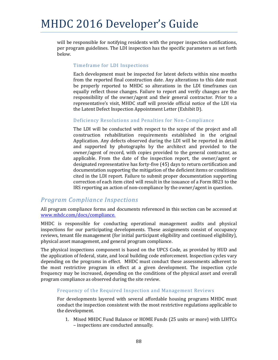will be responsible for notifying residents with the proper inspection notifications, per program guidelines. The LDI inspection has the specific parameters as set forth below. 

### Timeframe for LDI Inspections

Each development must be inspected for latent defects within nine months from the reported final construction date. Any alterations to this date must be properly reported to MHDC so alterations in the LDI timeframes can equally reflect those changes. Failure to report and verify changes are the responsibility of the owner/agent and their general contractor. Prior to a representative's visit, MHDC staff will provide official notice of the LDI via the Latent Defect Inspection Appointment Letter (Exhibit D).

### Deficiency Resolutions and Penalties for Non-Compliance

The LDI will be conducted with respect to the scope of the project and all construction rehabilitation requirements established in the original Application. Any defects observed during the LDI will be reported in detail and supported by photographs by the architect and provided to the owner/agent of record, with copies provided to the general contractor, as applicable. From the date of the inspection report, the owner/agent or designated representative has forty-five (45) days to return certification and documentation supporting the mitigation of the deficient items or conditions cited in the LDI report. Failure to submit proper documentation supporting correction of each item cited will result in the issuance of a Form 8823 to the IRS reporting an action of non-compliance by the owner/agent in question.

# *Program Compliance Inspections*

All program compliance forms and documents referenced in this section can be accessed at www.mhdc.com/docs/compliance. 

MHDC is responsible for conducting operational management audits and physical inspections for our participating developments. These assignments consist of occupancy reviews, tenant file management (for initial participant eligibility and continued eligibility), physical asset management, and general program compliance.

The physical inspections component is based on the UPCS Code, as provided by HUD and the application of federal, state, and local building code enforcement. Inspection cycles vary depending on the programs in effect. MHDC must conduct these assessments adherent to the most restrictive program in effect at a given development. The inspection cycle frequency may be increased, depending on the conditions of the physical asset and overall program compliance as observed during the site review.

### Frequency of the Required Inspection and Management Reviews

For developments layered with several affordable housing programs MHDC must conduct the inspection consistent with the most restrictive regulations applicable to the development.

1. Mixed MHDC Fund Balance or HOME Funds (25 units or more) with LIHTCs – inspections are conducted annually.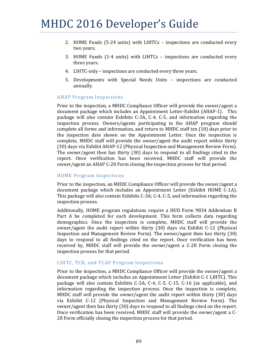- 2. HOME Funds (5-24 units) with LIHTCs inspections are conducted every two years.
- 3. HOME Funds  $(1-4 \text{ units})$  with LIHTCs inspections are conducted every three years.
- 4. LIHTC-only inspections are conducted every three years.
- 5. Developments with Special Needs Units inspections are conducted annually.

### **AHAP Program Inspections**

Prior to the inspection, a MHDC Compliance Officer will provide the owner/agent a document package which includes an Appointment Letter-Exhibit (AHAP-1). This package will also contain Exhibits C-3A, C-4, C-5, and information regarding the inspection process. Owners/agents participating in the AHAP program should complete all forms and information, and return to MHDC staff ten (10) days prior to the inspection date shown on the Appointment Letter. Once the inspection is complete, MHDC staff will provide the owner/agent the audit report within thirty (30) days via Exhibit AHAP-12 (Physical Inspection and Management Review Form). The owner/agent then has thirty (30) days to respond to all findings cited in the report. Once verification has been received, MHDC staff will provide the owner/agent an AHAP C-28 Form closing the inspection process for that period.

### HOME Program Inspections

Prior to the inspection, an MHDC Compliance Officer will provide the owner/agent a document package which includes an Appointment Letter (Exhibit HOME C-1A). This package will also contain Exhibits  $C-3A$ ;  $C-4$ ,  $C-5$ , and information regarding the inspection process.

Additionally, HOME program regulations require a HUD Form 9834 Addendum B Part A be completed for each development. This form collects data regarding demographics. Once the inspection is complete, MHDC staff will provide the owner/agent the audit report within thirty  $(30)$  days via Exhibit C-12 (Physical Inspection and Management Review Form). The owner/agent then has thirty  $(30)$ days to respond to all findings cited on the report. Once verification has been received by, MHDC staff will provide the owner/agent a  $C-28$  Form closing the inspection process for that period.

### LIHTC, TCR, and TCAP Program Inspections

Prior to the inspection, a MHDC Compliance Officer will provide the owner/agent a document package which includes an Appointment Letter (Exhibit C-1 LIHTC). This package will also contain Exhibits C-3A; C-4, C-5, C-15, C-16 (as applicable), and information regarding the inspection process. Once the inspection is complete, MHDC staff will provide the owner/agent the audit report within thirty  $(30)$  days via Exhibit C-12 (Physical Inspection and Management Review Form). The owner/agent then has thirty (30) days to respond to all findings cited on the report. Once verification has been received, MHDC staff will provide the owner/agent a C-28 Form officially closing the inspection process for that period.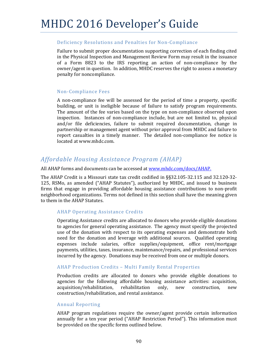### Deficiency Resolutions and Penalties for Non-Compliance

Failure to submit proper documentation supporting correction of each finding cited in the Physical Inspection and Management Review Form may result in the issuance of a Form 8823 to the IRS reporting an action of non-compliance by the owner/agent in question. In addition, MHDC reserves the right to assess a monetary penalty for noncompliance.

### Non‐Compliance Fees

A non-compliance fee will be assessed for the period of time a property, specific building, or unit is ineligible because of failure to satisfy program requirements. The amount of the fee varies based on the type on non-compliance observed upon inspection. Instances of non-compliance include, but are not limited to, physical and/or file deficiencies, failure to submit required documentation, change in partnership or management agent without prior approval from MHDC and failure to report casualties in a timely manner. The detailed non-compliance fee notice is located at www.mhdc.com.

# *Affordable Housing Assistance Program (AHAP)*

All AHAP forms and documents can be accessed at www.mhdc.com/docs/AHAP.

The AHAP Credit is a Missouri state tax credit codified in  $\S$ §32.105-32.115 and 32.120-32-125, RSMo, as amended ("AHAP Statutes"), authorized by MHDC, and issued to business firms that engage in providing affordable housing assistance contributions to non-profit neighborhood organizations. Terms not defined in this section shall have the meaning given to them in the AHAP Statutes.

### AHAP Operating Assistance Credits

Operating Assistance credits are allocated to donors who provide eligible donations to agencies for general operating assistance. The agency must specify the projected use of the donation with respect to its operating expenses and demonstrate both need for the donation and leverage with additional sources. Qualified operating expenses include salaries, office supplies/equipment, office rent/mortgage payments, utilities, taxes, insurance, maintenance/repairs, and professional services incurred by the agency. Donations may be received from one or multiple donors.

### AHAP Production Credits - Multi Family Rental Properties

Production credits are allocated to donors who provide eligible donations to agencies for the following affordable housing assistance activities: acquisition, acquisition/rehabilitation, rehabilitation only, new construction, new construction/rehabilitation, and rental assistance.

### Annual Reporting

AHAP program regulations require the owner/agent provide certain information annually for a ten year period ("AHAP Restriction Period"). This information must be provided on the specific forms outlined below.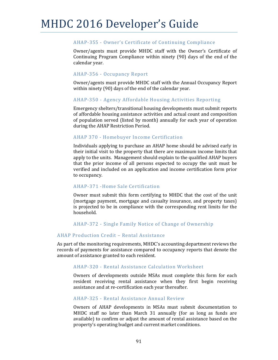### AHAP-355 - Owner's Certificate of Continuing Compliance

Owner/agents must provide MHDC staff with the Owner's Certificate of Continuing Program Compliance within ninety  $(90)$  days of the end of the calendar year.

### AHAP-356 - Occupancy Report

Owner/agents must provide MHDC staff with the Annual Occupancy Report within ninety  $(90)$  days of the end of the calendar year.

### AHAP-350 - Agency Affordable Housing Activities Reporting

Emergency shelters/transitional housing developments must submit reports of affordable housing assistance activities and actual count and composition of population served (listed by month) annually for each year of operation during the AHAP Restriction Period.

### AHAP 370 - Homebuyer Income Certification

Individuals applying to purchase an AHAP home should be advised early in their initial visit to the property that there are maximum income limits that apply to the units. Management should explain to the qualified AHAP buyers that the prior income of all persons expected to occupy the unit must be verified and included on an application and income certification form prior to occupancy.

### AHAP‐371 ‐Home Sale Certification

Owner must submit this form certifying to MHDC that the cost of the unit (mortgage payment, mortgage and casualty insurance, and property taxes) is projected to be in compliance with the corresponding rent limits for the household. 

### AHAP-372 - Single Family Notice of Change of Ownership

### AHAP Production Credit - Rental Assistance

As part of the monitoring requirements, MHDC's accounting department reviews the records of payments for assistance compared to occupancy reports that denote the amount of assistance granted to each resident.

### AHAP-320 - Rental Assistance Calculation Worksheet

Owners of developments outside MSAs must complete this form for each resident receiving rental assistance when they first begin receiving assistance and at re-certification each year thereafter.

### AHAP-325 - Rental Assistance Annual Review

Owners of AHAP developments in MSAs must submit documentation to MHDC staff no later than March 31 annually (for as long as funds are available) to confirm or adjust the amount of rental assistance based on the property's operating budget and current market conditions.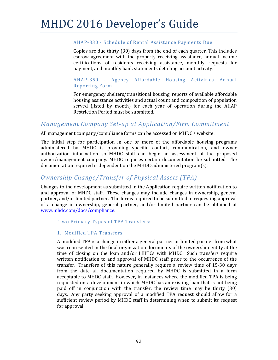### AHAP-330 - Schedule of Rental Assistance Payments Due

Copies are due thirty (30) days from the end of each quarter. This includes escrow agreement with the property receiving assistance, annual income certifications of residents receiving assistance, monthly requests for payment, and monthly bank statements detailing account activity.

### AHAP-350 - Agency Affordable Housing Activities Annual Reporting Form

For emergency shelters/transitional housing, reports of available affordable housing assistance activities and actual count and composition of population served (listed by month) for each year of operation during the AHAP Restriction Period must be submitted.

### *Management Company Set‐up at Application/Firm Commitment*

All management  $company/compliance$  forms can be accessed on MHDC's website.

The initial step for participation in one or more of the affordable housing programs administered by MHDC is providing specific contact, communication, and owner authorization information so MHDC staff can begin an assessment of the proposed owner/management company. MHDC requires certain documentation be submitted. The documentation required is dependent on the MHDC-administered program(s).

## *Ownership Change/Transfer of Physical Assets (TPA)*

Changes to the development as submitted in the Application require written notification to and approval of MHDC staff. These changes may include changes in ownership, general partner, and/or limited partner. The forms required to be submitted in requesting approval of a change in ownership, general partner, and/or limited partner can be obtained at www.mhdc.com/docs/compliance. 

Two Primary Types of TPA Transfers:

### 1. Modified TPA Transfers

A modified TPA is a change in either a general partner or limited partner from what was represented in the final organization documents of the ownership entity at the time of closing on the loan and/or LIHTCs with MHDC. Such transfers require written notification to and approval of MHDC staff prior to the occurrence of the transfer. Transfers of this nature generally require a review time of 15-30 days from the date all documentation required by MHDC is submitted in a form acceptable to MHDC staff. However, in instances where the modified TPA is being requested on a development in which MHDC has an existing loan that is not being paid off in conjunction with the transfer, the review time may be thirty  $(30)$ days. Any party seeking approval of a modified TPA request should allow for a sufficient review period by MHDC staff in determining when to submit its request for approval.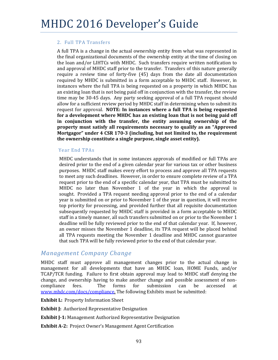### 2. Full TPA Transfers

A full TPA is a change in the actual ownership entity from what was represented in the final organizational documents of the ownership entity at the time of closing on the loan and/or LIHTCs with MHDC. Such transfers require written notification to and approval of MHDC staff prior to the transfer. Transfers of this nature generally require a review time of forty-five  $(45)$  days from the date all documentation required by MHDC is submitted in a form acceptable to MHDC staff. However, in instances where the full TPA is being requested on a property in which MHDC has an existing loan that is not being paid off in conjunction with the transfer, the review time may be 30-45 days. Any party seeking approval of a full TPA request should allow for a sufficient review period by MHDC staff in determining when to submit its request for approval. **NOTE: In instances where a full TPA is being requested for a development where MHDC has an existing loan that is not being paid off in conjunction with the transfer, the entity assuming ownership of the property must satisfy all requirements necessary to qualify as an "Approved Mortgagor" under 4 CSR 170‐3 (including, but not limited to, the requirement the ownership constitute a single purpose, single asset entity).**  

### Year End TPAs

MHDC understands that in some instances approvals of modified or full TPAs are desired prior to the end of a given calendar year for various tax or other business purposes. MHDC staff makes every effort to process and approve all TPA requests to meet any such deadlines. However, in order to ensure complete review of a TPA request prior to the end of a specific calendar year, that TPA must be submitted to MHDC no later than November 1 of the year in which the approval is sought. Provided a TPA request needing approval prior to the end of a calendar year is submitted on or prior to November 1 of the year in question, it will receive top priority for processing, and provided further that all requisite documentation subsequently requested by MHDC staff is provided in a form acceptable to MHDC staff in a timely manner, all such transfers submitted on or prior to the November 1 deadline will be fully reviewed prior to the end of that calendar year. If, however, an owner misses the November 1 deadline, its TPA request will be placed behind all TPA requests meeting the November  $1$  deadline and MHDC cannot guarantee that such TPA will be fully reviewed prior to the end of that calendar year.

### *Management Company Change*

MHDC staff must approve all management changes prior to the actual change in management for all developments that have an MHDC loan, HOME Funds, and/or TCAP/TCR funding. Failure to first obtain approval may lead to MHDC staff denying the change, and ownership having to make another change and possible assessment of noncompliance fees. The forms for submission can be accessed at www.mhdc.com/docs/compliance. The following Exhibits must be submitted:

**Exhibit L:** Property Information Sheet

**Exhibit J:** Authorized Representative Designation

**Exhibit J‐1:** Management Authorized Representative Designation 

**Exhibit A-2:** Project Owner's Management Agent Certification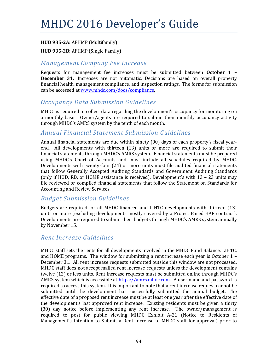### **HUD 935‐2A:** AFHMP (Multifamily)

### **HUD 935‐2B:** AFHMP (Single Family)

### *Management Company Fee Increase*

Requests for management fee increases must be submitted between **October 1 – December 31.** Increases are not automatic. Decisions are based on overall property financial health, management compliance, and inspection ratings. The forms for submission can be accessed at www.mhdc.com/docs/compliance.

## *Occupancy Data Submission Guidelines*

MHDC is required to collect data regarding the development's occupancy for monitoring on a monthly basis. Owner/agents are required to submit their monthly occupancy activity through MHDC's AMRS system by the tenth of each month.

## *Annual Financial Statement Submission Guidelines*

Annual financial statements are due within ninety (90) days of each property's fiscal yearend. All developments with thirteen (13) units or more are required to submit their financial statements through MHDC's AMRS system. Financial statements must be prepared using MHDC's Chart of Accounts and must include all schedules required by MHDC. Developments with twenty-four  $(24)$  or more units must file audited financial statements that follow Generally Accepted Auditing Standards and Government Auditing Standards (only if HUD, RD, or HOME assistance is received). Development's with  $13 - 23$  units may file reviewed or compiled financial statements that follow the Statement on Standards for Accounting and Review Services.

## *Budget Submission Guidelines*

Budgets are required for all MHDC-financed and LIHTC developments with thirteen (13) units or more (excluding developments mostly covered by a Project Based HAP contract). Developments are required to submit their budgets through MHDC's AMRS system annually by November 15.

### *Rent Increase Guidelines*

MHDC staff sets the rents for all developments involved in the MHDC Fund Balance, LIHTC, and HOME programs. The window for submitting a rent increase each year is October  $1 -$ December 31. All rent increase requests submitted outside this window are not processed. MHDC staff does not accept mailed rent increase requests unless the development contains twelve (12) or less units. Rent increase requests must be submitted online through MHDC's AMRS system which is accessible at https://amrs.mhdc.com. A user name and password is required to access this system. It is important to note that a rent increase request cannot be submitted until the development has successfully submitted the annual budget. The effective date of a proposed rent increase must be at least one year after the effective date of the development's last approved rent increase. Existing residents must be given a thirty (30) day notice before implementing any rent increase. The owner/management is required to post for public viewing MHDC Exhibit A-21 (Notice to Residents of Management's Intention to Submit a Rent Increase to MHDC staff for approval) prior to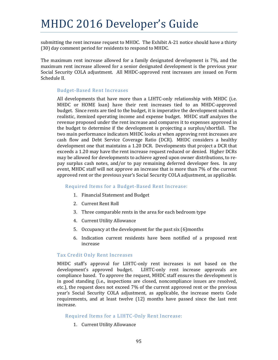submitting the rent increase request to MHDC. The Exhibit A-21 notice should have a thirty (30) day comment period for residents to respond to MHDC.

The maximum rent increase allowed for a family designated development is  $7\%$ , and the maximum rent increase allowed for a senior designated development is the previous year Social Security COLA adjustment. All MHDC-approved rent increases are issued on Form Schedule II.

### Budget‐Based Rent Increases

All developments that have more than a LIHTC-only relationship with MHDC (i.e. MHDC or HOME loan) have their rent increases tied to an MHDC-approved budget. Since rents are tied to the budget, it is imperative the development submit a realistic, itemized operating income and expense budget. MHDC staff analyzes the revenue proposed under the rent increase and compares it to expenses approved in the budget to determine if the development is projecting a surplus/shortfall. The two main performance indicators MHDC looks at when approving rent increases are cash flow and Debt Service Coverage Ratio (DCR). MHDC considers a healthy development one that maintains a 1.20 DCR. Developments that project a DCR that exceeds a 1.20 may have the rent increase request reduced or denied. Higher DCRs may be allowed for developments to achieve agreed upon owner distributions, to repay surplus cash notes, and/or to pay remaining deferred developer fees. In any event, MHDC staff will not approve an increase that is more than 7% of the current approved rent or the previous year's Social Security COLA adjustment, as applicable.

### Required Items for a Budget-Based Rent Increase:

- 1. Financial Statement and Budget
- 2. Current Rent Roll
- 3. Three comparable rents in the area for each bedroom type
- 4. Current Utility Allowance
- 5. Occupancy at the development for the past six  $(6)$  months
- 6. Indication current residents have been notified of a proposed rent increase

### Tax Credit Only Rent Increases

MHDC staff's approval for LIHTC-only rent increases is not based on the development's approved budget. LIHTC-only rent increase approvals are compliance based. To approve the request, MHDC staff ensures the development is in good standing (i.e., inspections are closed, noncompliance issues are resolved, etc.), the request does not exceed 7% of the current approved rent or the previous year's Social Security COLA adjustment, as applicable, the increase meets Code requirements, and at least twelve  $(12)$  months have passed since the last rent increase. 

### Required Items for a LIHTC-Only Rent Increase:

1. Current Utility Allowance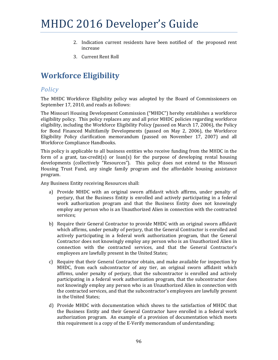- 2. Indication current residents have been notified of the proposed rent increase
- 3. Current Rent Roll

# **Workforce Eligibility**

# *Policy*

The MHDC Workforce Eligibility policy was adopted by the Board of Commissioners on September 17, 2010, and reads as follows:

The Missouri Housing Development Commission ("MHDC") hereby establishes a workforce eligibility policy. This policy replaces any and all prior MHDC policies regarding workforce eligibility, including the Workforce Eligibility Policy (passed on March 17, 2006), the Policy for Bond Financed Multifamily Developments (passed on May 2, 2006), the Workforce Eligibility Policy clarification memorandum (passed on November 17, 2007) and all Workforce Compliance Handbooks.

This policy is applicable to all business entities who receive funding from the MHDC in the form of a grant, tax-credit(s) or  $\text{loan}(s)$  for the purpose of developing rental housing developments (collectively "Resources"). This policy does not extend to the Missouri Housing Trust Fund, any single family program and the affordable housing assistance program. 

Any Business Entity receiving Resources shall:

- a) Provide MHDC with an original sworn affidavit which affirms, under penalty of perjury, that the Business Entity is enrolled and actively participating in a federal work authorization program and that the Business Entity does not knowingly employ any person who is an Unauthorized Alien in connection with the contracted services;
- b) Require their General Contractor to provide MHDC with an original sworn affidavit which affirms, under penalty of perjury, that the General Contractor is enrolled and actively participating in a federal work authorization program, that the General Contractor does not knowingly employ any person who is an Unauthorized Alien in connection with the contracted services, and that the General Contractor's employees are lawfully present in the United States;
- c) Require that their General Contractor obtain, and make available for inspection by MHDC, from each subcontractor of any tier, an original sworn affidavit which affirms, under penalty of perjury, that the subcontractor is enrolled and actively participating in a federal work authorization program, that the subcontractor does not knowingly employ any person who is an Unauthorized Alien in connection with the contracted services, and that the subcontractor's employees are lawfully present in the United States;
- d) Provide MHDC with documentation which shows to the satisfaction of MHDC that the Business Entity and their General Contractor have enrolled in a federal work authorization program. An example of a provision of documentation which meets this requirement is a copy of the E-Verify memorandum of understanding;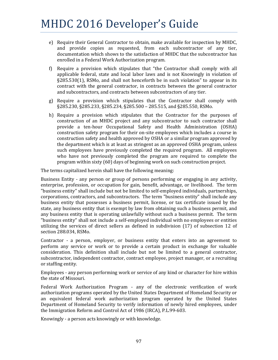- e) Require their General Contractor to obtain, make available for inspection by MHDC, and provide copies as requested, from each subcontractor of any tier, documentation which shows to the satisfaction of MHDC that the subcontractor has enrolled in a Federal Work Authorization program.
- f) Require a provision which stipulates that "the Contractor shall comply with all applicable federal, state and local labor laws and is not Knowingly in violation of  $\S285.530(1)$ , RSMo, and shall not henceforth be in such violation" to appear in its contract with the general contractor, in contracts between the general contractor and subcontractors, and contracts between subcontractors of any tier.
- g) Require a provision which stipulates that the Contractor shall comply with §285.230, §285.233, §285.234, §285.500 - 285.515, and §285.550, RSMo.
- h) Require a provision which stipulates that the Contractor for the purposes of construction of an MHDC project and any subcontractor to such contractor shall provide a ten-hour Occupational Safety and Health Administration (OSHA) construction safety program for their on-site employees which includes a course in construction safety and health approved by OSHA or a similar program approved by the department which is at least as stringent as an approved OSHA program, unless such employees have previously completed the required program. All employees who have not previously completed the program are required to complete the program within sixty  $(60)$  days of beginning work on such construction project.

The terms capitalized herein shall have the following meaning:

Business Entity - any person or group of persons performing or engaging in any activity, enterprise, profession, or occupation for gain, benefit, advantage, or livelihood. The term "business entity" shall include but not be limited to self-employed individuals, partnerships, corporations, contractors, and subcontractors. The term "business entity" shall include any business entity that possesses a business permit, license, or tax certificate issued by the state, any business entity that is exempt by law from obtaining such a business permit, and any business entity that is operating unlawfully without such a business permit. The term "business entity" shall not include a self-employed individual with no employees or entities utilizing the services of direct sellers as defined in subdivision  $(17)$  of subsection 12 of section 288.034, RSMo.

Contractor - a person, employer, or business entity that enters into an agreement to perform any service or work or to provide a certain product in exchange for valuable consideration. This definition shall include but not be limited to a general contractor, subcontractor, independent contractor, contract employee, project manager, or a recruiting or staffing entity.

Employees - any person performing work or service of any kind or character for hire within the state of Missouri.

Federal Work Authorization Program - any of the electronic verification of work authorization programs operated by the United States Department of Homeland Security or an equivalent federal work authorization program operated by the United States Department of Homeland Security to verify information of newly hired employees, under the Immigration Reform and Control Act of 1986 (IRCA), P.L.99-603.

Knowingly - a person acts knowingly or with knowledge.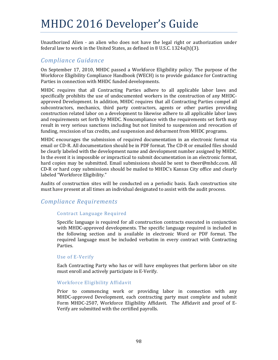Unauthorized Alien - an alien who does not have the legal right or authorization under federal law to work in the United States, as defined in 8 U.S.C.  $1324a(h)(3)$ .

## *Compliance Guidance*

On September 17, 2010, MHDC passed a Workforce Eligibility policy. The purpose of the Workforce Eligibility Compliance Handbook (WECH) is to provide guidance for Contracting Parties in connection with MHDC funded developments.

MHDC requires that all Contracting Parties adhere to all applicable labor laws and specifically prohibits the use of undocumented workers in the construction of any MHDCapproved Development. In addition, MHDC requires that all Contracting Parties compel all subcontractors, mechanics, third party contractors, agents or other parties providing construction related labor on a development to likewise adhere to all applicable labor laws and requirements set forth by MHDC. Noncompliance with the requirements set forth may result in very serious sanctions including but not limited to suspension and revocation of funding, rescission of tax credits, and suspension and debarment from MHDC programs.

MHDC encourages the submission of required documentation in an electronic format via email or CD-R. All documentation should be in PDF format. The CD-R or emailed files should be clearly labeled with the development name and development number assigned by MHDC. In the event it is impossible or impractical to submit documentation in an electronic format, hard copies may be submitted. Email submissions should be sent to tbeer@mhdc.com. All CD-R or hard copy submissions should be mailed to MHDC's Kansas City office and clearly labeled "Workforce Eligibility."

Audits of construction sites will be conducted on a periodic basis. Each construction site must have present at all times an individual designated to assist with the audit process.

## *Compliance Requirements*

### Contract Language Required

Specific language is required for all construction contracts executed in conjunction with MHDC-approved developments. The specific language required is included in the following section and is available in electronic Word or PDF format. The required language must be included verbatim in every contract with Contracting Parties. 

### Use of E-Verify

Each Contracting Party who has or will have employees that perform labor on site must enroll and actively participate in E-Verify.

### Workforce Eligibility Affidavit

Prior to commencing work or providing labor in connection with any MHDC-approved Development, each contracting party must complete and submit Form MHDC-2507, Workforce Eligibility Affidavit. The Affidavit and proof of E-Verify are submitted with the certified payrolls.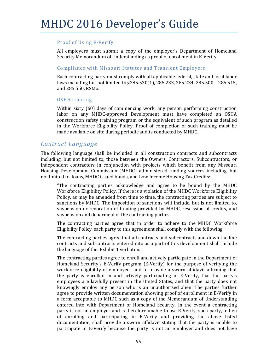### Proof of Using E-Verify

All employers must submit a copy of the employer's Department of Homeland Security Memorandum of Understanding as proof of enrollment in E-Verify.

### Compliance with Missouri Statutes and Transient Employers.

Each contracting party must comply with all applicable federal, state and local labor laws including but not limited to  $\S285.530(1)$ , 285.233, 285.234, 285.500 – 285.515, and 285.550, RSMo.

### OSHA training.

Within sixty  $(60)$  days of commencing work, any person performing construction labor on any MHDC-approved Development must have completed an OSHA construction safety training program or the equivalent of such program as detailed in the Workforce Eligibility Policy. Proof of completion of such training must be made available on site during periodic audits conducted by MHDC.

### *Contract Language*

The following language shall be included in all construction contracts and subcontracts including, but not limited to, those between the Owners, Contractors, Subcontractors, or independent contractors in conjunction with projects which benefit from any Missouri Housing Development Commission (MHDC) administered funding sources including, but not limited to, loans, MHDC issued bonds, and Low Income Housing Tax Credits:

"The contracting parties acknowledge and agree to be bound by the MHDC Workforce Eligibility Policy. If there is a violation of the MHDC Workforce Eligibility Policy, as may be amended from time to time, the contracting parties are subject to sanctions by MHDC. The imposition of sanctions will include, but is not limited to, suspension or revocation of funding provided by MHDC, rescission of credits, and suspension and debarment of the contracting parties.

The contracting parties agree that in order to adhere to the MHDC Workforce Eligibility Policy, each party to this agreement shall comply with the following:

The contracting parties agree that all contracts and subcontracts and down the line contracts and subcontracts entered into as a part of this development shall include the language of this Exhibit 1 verbatim.

The contracting parties agree to enroll and actively participate in the Department of Homeland Security's E-Verify program  $(E$ -Verify) for the purpose of verifying the workforce eligibility of employees and to provide a sworn affidavit affirming that the party is enrolled in and actively participating in E-Verify, that the party's employees are lawfully present in the United States, and that the party does not knowingly employ any person who is an unauthorized alien. The parties further agree to provide written documentation showing proof of enrollment in E-Verify in a form acceptable to MHDC such as a copy of the Memorandum of Understanding entered into with Department of Homeland Security. In the event a contracting party is not an employer and is therefore unable to use E-Verify, such party, in lieu of enrolling and participating in E-Verify and providing the above listed documentation, shall provide a sworn affidavit stating that the party is unable to participate in E-Verify because the party is not an employer and does not have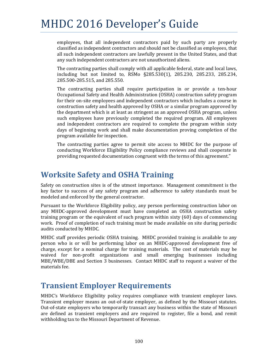employees, that all independent contractors paid by such party are properly classified as independent contractors and should not be classified as employees, that all such independent contractors are lawfully present in the United States, and that any such independent contractors are not unauthorized aliens.

The contracting parties shall comply with all applicable federal, state and local laws, including but not limited to, RSMo §285.530(1), 285.230, 285.233, 285.234, 285.500-285.515, and 285.550.

The contracting parties shall require participation in or provide a ten-hour Occupational Safety and Health Administration (OSHA) construction safety program for their on-site employees and independent contractors which includes a course in construction safety and health approved by OSHA or a similar program approved by the department which is at least as stringent as an approved OSHA program, unless such employees have previously completed the required program. All employees and independent contractors are required to complete the program within sixty days of beginning work and shall make documentation proving completion of the program available for inspection.

The contracting parties agree to permit site access to MHDC for the purpose of conducting Workforce Eligibility Policy compliance reviews and shall cooperate in providing requested documentation congruent with the terms of this agreement."

# **Worksite Safety and OSHA Training**

Safety on construction sites is of the utmost importance. Management commitment is the key factor to success of any safety program and adherence to safety standards must be modeled and enforced by the general contractor.

Pursuant to the Workforce Eligibility policy, any person performing construction labor on any MHDC-approved development must have completed an OSHA construction safety training program or the equivalent of such program within sixty  $(60)$  days of commencing work. Proof of completion of such training must be made available on site during periodic audits conducted by MHDC.

MHDC staff provides periodic OSHA training. MHDC provided training is available to any person who is or will be performing labor on an MHDC-approved development free of charge, except for a nominal charge for training materials. The cost of materials may be waived for non-profit organizations and small emerging businesses including MBE/WBE/DBE and Section 3 businesses. Contact MHDC staff to request a waiver of the materials fee.

# **Transient Employer Requirements**

MHDC's Workforce Eligibility policy requires compliance with transient employer laws. Transient employer means an out-of-state employer, as defined by the Missouri statutes. Out-of-state employers who temporarily transact any business within the state of Missouri are defined as transient employers and are required to register, file a bond, and remit withholding tax to the Missouri Department of Revenue.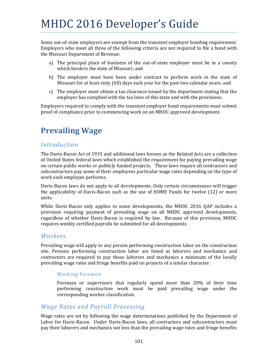Some out-of-state employers are exempt from the transient employer bonding requirement. Employers who meet all three of the following criteria are not required to file a bond with the Missouri Department of Revenue:

- a) The principal place of business of the out-of-state employer must be in a county which borders the state of Missouri; and
- b) The employer must have been under contract to perform work in the state of Missouri for at least sixty  $(60)$  days each year for the past two calendar years; and
- c) The employer must obtain a tax clearance issued by the department stating that the employer has complied with the tax laws of this state and with the provisions.

Employers required to comply with the transient employer bond requirements must submit proof of compliance prior to commencing work on an MHDC approved development.

# **Prevailing Wage**

### *Introduction*

The Davis-Bacon Act of 1931 and additional laws known as the Related Acts are a collection of United States federal laws which established the requirement for paying prevailing wage on certain public works or publicly funded projects. These laws require all contractors and subcontractors pay some of their employees particular wage rates depending on the type of work each employee performs.

Davis-Bacon laws do not apply to all developments. Only certain circumstances will trigger the applicability of Davis-Bacon such as the use of HOME Funds for twelve  $(12)$  or more units. 

While Davis-Bacon only applies to some developments, the MHDC 2016 QAP includes a provision requiring payment of prevailing wage on all MHDC approved developments, regardless of whether Davis-Bacon is required by law. Because of this provision, MHDC requires weekly certified payrolls be submitted for all developments.

### *Workers*

Prevailing wage will apply to any person performing construction labor on the construction site. Persons performing construction labor are listed as laborers and mechanics and contractors are required to pay those laborers and mechanics a minimum of the locally prevailing wage rates and fringe benefits paid on projects of a similar character.

### Working Foremen

Foreman or supervisors that regularly spend more than 20% of their time performing construction work must be paid prevailing wage under the corresponding worker classification.

## *Wage Rates and Payroll Processing*

Wage rates are set by following the wage determinations published by the Department of Labor for Davis-Bacon. Under Davis-Bacon laws, all contractors and subcontractors must pay their laborers and mechanics not less than the prevailing wage rates and fringe benefits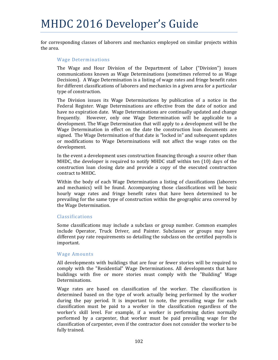for corresponding classes of laborers and mechanics employed on similar projects within the area.

#### Wage Determinations

The Wage and Hour Division of the Department of Labor ("Division") issues communications known as Wage Determinations (sometimes referred to as Wage Decisions). A Wage Determination is a listing of wage rates and fringe benefit rates for different classifications of laborers and mechanics in a given area for a particular type of construction.

The Division issues its Wage Determinations by publication of a notice in the Federal Register. Wage Determinations are effective from the date of notice and have no expiration date. Wage Determinations are continually updated and change frequently. However, only one Wage Determination will be applicable to a development. The Wage Determination that will apply to a development will be the Wage Determination in effect on the date the construction loan documents are signed. The Wage Determination of that date is "locked in" and subsequent updates or modifications to Wage Determinations will not affect the wage rates on the development. 

In the event a development uses construction financing through a source other than MHDC, the developer is required to notify MHDC staff within ten  $(10)$  days of the construction loan closing date and provide a copy of the executed construction contract to MHDC.

Within the body of each Wage Determination a listing of classifications (laborers and mechanics) will be found. Accompanying those classifications will be basic hourly wage rates and fringe benefit rates that have been determined to be prevailing for the same type of construction within the geographic area covered by the Wage Determination.

#### Classifications

Some classifications may include a subclass or group number. Common examples include Operator, Truck Driver, and Painter. Subclasses or groups may have different pay rate requirements so detailing the subclass on the certified payrolls is important. 

#### Wage Amounts

All developments with buildings that are four or fewer stories will be required to comply with the "Residential" Wage Determinations. All developments that have buildings with five or more stories must comply with the "Building" Wage Determinations. 

Wage rates are based on classification of the worker. The classification is determined based on the type of work actually being performed by the worker during the pay period. It is important to note, the prevailing wage for each classification must be paid to a worker in the classification regardless of the worker's skill level. For example, if a worker is performing duties normally performed by a carpenter, that worker must be paid prevailing wage for the classification of carpenter, even if the contractor does not consider the worker to be fully trained.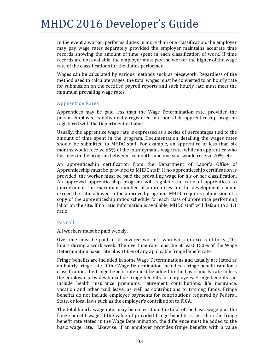In the event a worker performs duties in more than one classification, the employer may pay wage rates separately provided the employer maintains accurate time records showing the amount of time spent in each classification of work. If time records are not available, the employer must pay the worker the higher of the wage rate of the classifications for the duties performed.

Wages can be calculated by various methods such as piecework. Regardless of the method used to calculate wages, the total wages must be converted to an hourly rate for submission on the certified payroll reports and such hourly rate must meet the minimum prevailing wage rates.

#### Apprentice Rates

Apprentices may be paid less than the Wage Determination rate, provided the person employed is individually registered in a bona fide apprenticeship program registered with the Department of Labor.

Usually, the apprentice wage rate is expressed as a series of percentages tied to the amount of time spent in the program. Documentation detailing the wages rates should be submitted to MHDC staff. For example, an apprentice of less than six months would receive 65% of the journeyman's wage rate, while an apprentice who has been in the program between six months and one year would receive 70%, etc.

An apprenticeship certification from the Department of Labor's Office of Apprenticeship must be provided to MHDC staff. If no apprenticeship certification is provided, the worker must be paid the prevailing wage for his or her classification. An approved apprenticeship program will regulate the ratio of apprentices to journeymen. The maximum number of apprentices on the development cannot exceed the ratio allowed in the approved program. MHDC requires submission of a copy of the apprenticeship ratios schedule for each class of apprentice performing labor on the site. If no ratio information is available, MHDC staff will default to a 1:1 ratio. 

#### Payroll

All workers must be paid weekly.

Overtime must be paid to all covered workers who work in excess of forty  $(40)$ hours during a work week. The overtime rate must be at least 150% of the Wage Determination basic rate plus 100% of any applicable fringe benefit rate.

Fringe benefits are included in some Wage Determinations and usually are listed as an hourly fringe rate. If the Wage Determination includes a fringe benefit rate for a classification, the fringe benefit rate must be added to the basic hourly rate unless the employer provides bona fide fringe benefits for employees. Fringe benefits can include health insurance premiums, retirement contributions, life insurance, vacation and other paid leave, as well as contributions to training funds. Fringe benefits do not include employer payments for contributions required by Federal, State, or local laws such as the employer's contribution to FICA.

The total hourly wage rates may be no less than the total of the basic wage plus the fringe benefit wage. If the value of provided fringe benefits is less than the fringe benefit rate stated in the Wage Determination, the difference must be added to the basic wage rate. Likewise, if an employer provides fringe benefits with a value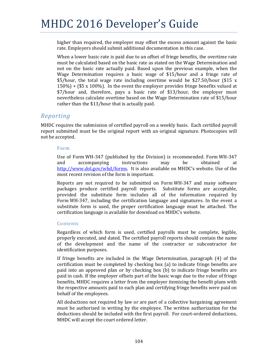higher than required, the employer may offset the excess amount against the basic rate. Employers should submit additional documentation in this case.

When a lower basic rate is paid due to an offset of fringe benefits, the overtime rate must be calculated based on the basic rate as stated on the Wage Determination and not on the basic rate actually paid. Based upon the previous example, when the Wage Determination requires a basic wage of  $$15/hour$  and a fringe rate of  $$5/hour$ , the total wage rate including overtime would be \$27.50/hour (\$15 x)  $150\%$ ) + (\$5 x 100%). In the event the employer provides fringe benefits valued at \$7/hour and, therefore, pays a basic rate of \$13/hour, the employer must nevertheless calculate overtime based on the Wage Determination rate of \$15/hour rather than the  $$13/hour$  that is actually paid.

#### *Reporting*

MHDC requires the submission of certified payroll on a weekly basis. Each certified payroll report submitted must be the original report with an original signature. Photocopies will not be accepted.

#### Form

Use of Form WH-347 (published by the Division) is recommended. Form WH-347 and accompanying instructions may be obtained at http://www.dol.gov/whd/forms. It is also available on MHDC's website. Use of the most recent revision of the form is important.

Reports are not required to be submitted on Form  $WH-347$  and many software packages produce certified payroll reports. Substitute forms are acceptable, provided the substitute form includes all of the information required by Form WH-347, including the certification language and signatures. In the event a substitute form is used, the proper certification language must be attached. The certification language is available for download on MHDC's website.

#### Contents

Regardless of which form is used, certified payrolls must be complete, legible, properly executed, and dated. The certified payroll reports should contain the name of the development and the name of the contractor or subcontractor for identification purposes.

If fringe benefits are included in the Wage Determination, paragraph  $(4)$  of the certification must be completed by checking box  $(a)$  to indicate fringe benefits are paid into an approved plan or by checking box (b) to indicate fringe benefits are paid in cash. If the employer offsets part of the basic wage due to the value of fringe benefits, MHDC requires a letter from the employer itemizing the benefit plans with the respective amounts paid to each plan and certifying fringe benefits were paid on behalf of the employees.

All deductions not required by law or are part of a collective bargaining agreement must be authorized in writing by the employee. The written authorization for the deductions should be included with the first payroll. For court-ordered deductions, MHDC will accept the court ordered letter.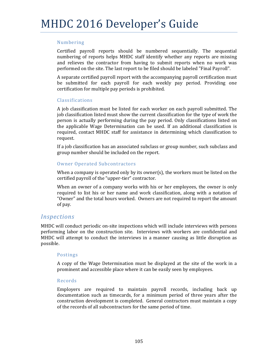#### Numbering

Certified payroll reports should be numbered sequentially. The sequential numbering of reports helps MHDC staff identify whether any reports are missing and relieves the contractor from having to submit reports when no work was performed on the site. The last report to be filed should be labeled "Final Payroll".

A separate certified payroll report with the accompanying payroll certification must be submitted for each payroll for each weekly pay period. Providing one certification for multiple pay periods is prohibited.

#### Classifications

A job classification must be listed for each worker on each payroll submitted. The job classification listed must show the current classification for the type of work the person is actually performing during the pay period. Only classifications listed on the applicable Wage Determination can be used. If an additional classification is required, contact MHDC staff for assistance in determining which classification to request. 

If a job classification has an associated subclass or group number, such subclass and group number should be included on the report.

#### Owner Operated Subcontractors

When a company is operated only by its owner(s), the workers must be listed on the certified payroll of the "upper-tier" contractor.

When an owner of a company works with his or her employees, the owner is only required to list his or her name and work classification, along with a notation of "Owner" and the total hours worked. Owners are not required to report the amount of pay.

#### *Inspections*

MHDC will conduct periodic on-site inspections which will include interviews with persons performing labor on the construction site. Interviews with workers are confidential and MHDC will attempt to conduct the interviews in a manner causing as little disruption as possible. 

#### Postings

A copy of the Wage Determination must be displayed at the site of the work in a prominent and accessible place where it can be easily seen by employees.

#### Records

Employers are required to maintain payroll records, including back up documentation such as timecards, for a minimum period of three years after the construction development is completed. General contractors must maintain a copy of the records of all subcontractors for the same period of time.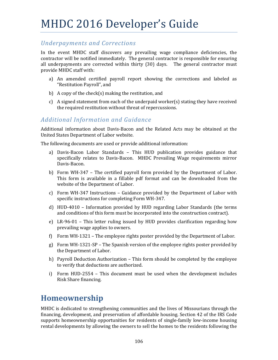### *Underpayments and Corrections*

In the event MHDC staff discovers any prevailing wage compliance deficiencies, the contractor will be notified immediately. The general contractor is responsible for ensuring all underpayments are corrected within thirty  $(30)$  days. The general contractor must provide MHDC staff with:

- a) An amended certified payroll report showing the corrections and labeled as "Restitution Payroll", and
- b) A copy of the check(s) making the restitution, and
- c) A signed statement from each of the underpaid worker(s) stating they have received the required restitution without threat of repercussions.

### *Additional Information and Guidance*

Additional information about Davis-Bacon and the Related Acts may be obtained at the United States Department of Labor website.

The following documents are used or provide additional information:

- a) Davis-Bacon Labor Standards This HUD publication provides guidance that specifically relates to Davis-Bacon. MHDC Prevailing Wage requirements mirror Davis‐Bacon.
- b) Form WH-347 The certified payroll form provided by the Department of Labor. This form is available in a fillable pdf format and can be downloaded from the website of the Department of Labor.
- c) Form WH-347 Instructions Guidance provided by the Department of Labor with specific instructions for completing Form WH-347.
- d)  $HUD-4010$  Information provided by  $HUD$  regarding Labor Standards (the terms and conditions of this form must be incorporated into the construction contract).
- e) LR-96-01 This letter ruling issued by HUD provides clarification regarding how prevailing wage applies to owners.
- f) Form WH-1321 The employee rights poster provided by the Department of Labor.
- g) Form WH-1321-SP The Spanish version of the employee rights poster provided by the Department of Labor.
- h) Payroll Deduction Authorization This form should be completed by the employee to verify that deductions are authorized.
- i) Form HUD-2554 This document must be used when the development includes Risk Share financing.

### **Homeownership**

MHDC is dedicated to strengthening communities and the lives of Missourians through the financing, development, and preservation of affordable housing. Section 42 of the IRS Code supports homeownership opportunities for residents of single-family low-income housing rental developments by allowing the owners to sell the homes to the residents following the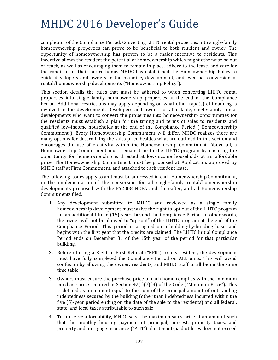completion of the Compliance Period. Converting LIHTC rental properties into single-family homeownership properties can prove to be beneficial to both resident and owner. The opportunity of homeownership has proven to be a major incentive to residents. This incentive allows the resident the potential of homeownership which might otherwise be out of reach, as well as encouraging them to remain in place, adhere to the lease, and care for the condition of their future home. MHDC has established the Homeownership Policy to guide developers and owners in the planning, development, and eventual conversion of rental/homeownership developments ("Homeownership Policy").

This section details the rules that must be adhered to when converting LIHTC rental properties into single family homeownership properties at the end of the Compliance Period. Additional restrictions may apply depending on what other type(s) of financing is involved in the development. Developers and owners of affordable, single-family rental developments who want to convert the properties into homeownership opportunities for the residents must establish a plan for the timing and terms of sales to residents and qualified low-income households at the end of the Compliance Period ("Homeownership Commitment"). Every Homeownership Commitment will differ. MHDC realizes there are many options for determining the sales price besides what are outlined in this section and encourages the use of creativity within the Homeownership Commitment. Above all, a Homeownership Commitment must remain true to the LIHTC program by ensuring the opportunity for homeownership is directed at low-income households at an affordable price. The Homeownership Commitment must be proposed at Application, approved by MHDC staff at Firm Commitment, and attached to each resident lease.

The following issues apply to and must be addressed in each Homeownership Commitment, in the implementation of the conversion for all single-family rental/homeownership developments proposed with the FY2008 NOFA and thereafter, and all Homeownership Commitments filed.

- 1. Any development submitted to MHDC and reviewed as a single family homeownership development must waive the right to opt out of the LIHTC program for an additional fifteen (15) years beyond the Compliance Period. In other words, the owner will not be allowed to "opt-out" of the LIHTC program at the end of the Compliance Period. This period is assigned on a building-by-building basis and begins with the first year that the credits are claimed. The LIHTC Initial Compliance Period ends on December 31 of the 15th year of the period for that particular building.
- 2. Before offering a Right of First Refusal ("RFR") to any resident, the development must have fully completed the Compliance Period on ALL units. This will avoid confusion by allowing the owner, residents, and MHDC staff to all be on the same time table.
- 3. Owners must ensure the purchase price of each home complies with the minimum purchase price required in Section  $42(i)(7)(B)$  of the Code ("Minimum Price"). This is defined as an amount equal to the sum of the principal amount of outstanding indebtedness secured by the building (other than indebtedness incurred within the five  $(5)$ -year period ending on the date of the sale to the residents) and all federal, state, and local taxes attributable to such sale.
- 4. To preserve affordability, MHDC sets the maximum sales price at an amount such that the monthly housing payment of principal, interest, property taxes, and property and mortgage insurance ("PITI") plus tenant-paid utilities does not exceed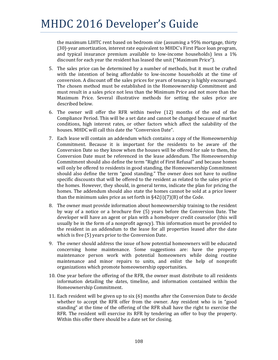the maximum LIHTC rent based on bedroom size (assuming a 95% mortgage, thirty (30)-year amortization, interest rate equivalent to MHDC's First Place loan program, and typical insurance premium available to low-income households) less a  $1\%$ discount for each year the resident has leased the unit ("Maximum Price").

- 5. The sales price can be determined by a number of methods, but it must be crafted with the intention of being affordable to low-income households at the time of conversion. A discount off the sales prices for years of tenancy is highly encouraged. The chosen method must be established in the Homeownership Commitment and must result in a sales price not less than the Minimum Price and not more than the Maximum Price. Several illustrative methods for setting the sales price are described below.
- 6. The owner will offer the RFR within twelve (12) months of the end of the Compliance Period. This will be a set date and cannot be changed because of market conditions, high interest rates, or other factors which affect the salability of the houses. MHDC will call this date the "Conversion Date".
- 7. Each lease will contain an addendum which contains a copy of the Homeownership Commitment. Because it is important for the residents to be aware of the Conversion Date so they know when the houses will be offered for sale to them, the Conversion Date must be referenced in the lease addendum. The Homeownership Commitment should also define the term "Right of First Refusal" and because homes will only be offered to residents in good standing, the Homeownership Commitment should also define the term "good standing." The owner does not have to outline specific discounts that will be offered to the resident as related to the sales price of the homes. However, they should, in general terms, indicate the plan for pricing the homes. The addendum should also state the homes cannot be sold at a price lower than the minimum sales price as set forth in  $\S42(i)(7)(B)$  of the Code.
- 8. The owner must provide information about homeownership training to the resident by way of a notice or a brochure five (5) years before the Conversion Date. The developer will have an agent or plan with a homebuyer credit counselor (this will usually be in the form of a nonprofit agency). This information must be provided to the resident in an addendum to the lease for all properties leased after the date which is five  $(5)$  years prior to the Conversion Date.
- 9. The owner should address the issue of how potential homeowners will be educated concerning home maintenance. Some suggestions are: have the property maintenance person work with potential homeowners while doing routine maintenance and minor repairs to units, and enlist the help of nonprofit organizations which promote homeownership opportunities.
- 10. One year before the offering of the RFR, the owner must distribute to all residents information detailing the dates, timeline, and information contained within the Homeownership Commitment.
- 11. Each resident will be given up to six (6) months after the Conversion Date to decide whether to accept the RFR offer from the owner. Any resident who is in "good standing" at the time of the offering of the RFR shall have the right to exercise the RFR. The resident will exercise its RFR by tendering an offer to buy the property. Within this offer there should be a date set for closing.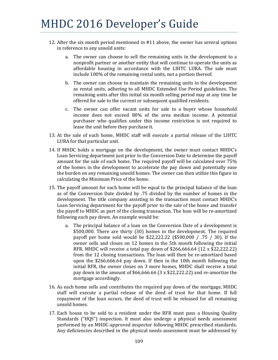- 12. After the six month period mentioned in #11 above, the owner has several options in reference to any unsold units:
	- a. The owner can choose to sell the remaining units in the development to a nonprofit partner or another entity that will continue to operate the units as affordable housing in accordance with the LIHTC LURA. The sale must include 100% of the remaining rental units, not a portion thereof.
	- b. The owner can choose to maintain the remaining units in the development as rental units, adhering to all MHDC Extended Use Period guidelines. The remaining units after this initial six month selling period may at any time be offered for sale to the current or subsequent qualified residents.
	- c. The owner can offer vacant units for sale to a buyer whose household income does not exceed 80% of the area median income. A potential purchaser who qualifies under this income restriction is not required to lease the unit before they purchase it.
- 13. At the sale of each home, MHDC staff will execute a partial release of the LIHTC LURA for that particular unit.
- 14. If MHDC holds a mortgage on the development, the owner must contact MHDC's Loan Servicing department just prior to the Conversion Date to determine the payoff amount for the sale of each home. The required payoff will be calculated over 75% of the homes in the development to accelerate the pay down and potentially ease the burden on any remaining unsold homes. The owner can then utilize this figure in calculating the Minimum Price of the home.
- 15. The payoff amount for each home will be equal to the principal balance of the loan as of the Conversion Date divided by .75 divided by the number of homes in the development. The title company assisting in the transaction must contact MHDC's Loan Servicing department for the payoff prior to the sale of the home and transfer the payoff to MHDC as part of the closing transaction. The loan will be re-amortized following each pay down. An example would be:
	- a. The principal balance of a loan on the Conversion Date of a development is  $$500,000$ . There are thirty  $(30)$  homes in the development. The required payoff per home sold would be \$22,222.22  $(\$500,000 / .75 / 30)$ . If the owner sells and closes on 12 homes in the 5th month following the initial RFR, MHDC will receive a total pay down of \$266,666.64  $(12 \times $22,222.22)$ from the 12 closing transactions. The loan will then be re-amortized based upon the  $$266,666.64$  pay down. If then in the 10th month following the initial RFR, the owner closes on 3 more homes, MHDC shall receive a total pay down in the amount of  $$66,666.66$  (3 x  $$22,222.22$ ) and re-amortize the mortgage accordingly.
- 16. As each home sells and contributes the required pay down of the mortgage, MHDC staff will execute a partial release of the deed of trust for that home. If full repayment of the loan occurs, the deed of trust will be released for all remaining unsold homes.
- 17. Each house to be sold to a resident under the RFR must pass a Housing Ouality Standards ("HOS") inspection. It must also undergo a physical needs assessment performed by an MHDC-approved inspector following MHDC prescribed standards. Any deficiencies described in the physical needs assessment must be addressed by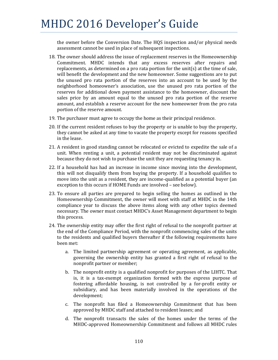the owner before the Conversion Date. The HQS inspection and/or physical needs assessment cannot be used in place of subsequent inspections.

- 18. The owner should address the issue of replacement reserves in the Homeownership Commitment. MHDC intends that any excess reserves after repairs and replacements, as determined on a pro rata portion for the unit(s) at the time of sale, will benefit the development and the new homeowner. Some suggestions are to put the unused pro rata portion of the reserves into an account to be used by the neighborhood homeowner's association, use the unused pro rata portion of the reserves for additional down payment assistance to the homeowner, discount the sales price by an amount equal to the unused pro rata portion of the reserve amount, and establish a reserve account for the new homeowner from the pro rata portion of the reserve amount.
- 19. The purchaser must agree to occupy the home as their principal residence.
- 20. If the current resident refuses to buy the property or is unable to buy the property, they cannot be asked at any time to vacate the property except for reasons specified in the lease.
- 21. A resident in good standing cannot be relocated or evicted to expedite the sale of a unit. When renting a unit, a potential resident may not be discriminated against because they do not wish to purchase the unit they are requesting tenancy in.
- 22. If a household has had an increase in income since moving into the development, this will not disqualify them from buying the property. If a household qualifies to move into the unit as a resident, they are income-qualified as a potential buyer (an exception to this occurs if HOME Funds are involved - see below).
- 23. To ensure all parties are prepared to begin selling the homes as outlined in the Homeownership Commitment, the owner will meet with staff at MHDC in the 14th compliance year to discuss the above items along with any other topics deemed necessary. The owner must contact MHDC's Asset Management department to begin this process.
- 24. The ownership entity may offer the first right of refusal to the nonprofit partner at the end of the Compliance Period, with the nonprofit commencing sales of the units to the residents and qualified buyers thereafter if the following requirements have been met:
	- a. The limited partnership agreement or operating agreement, as applicable, governing the ownership entity has granted a first right of refusal to the nonprofit partner or member;
	- b. The nonprofit entity is a qualified nonprofit for purposes of the LIHTC. That is, it is a tax-exempt organization formed with the express purpose of fostering affordable housing, is not controlled by a for-profit entity or subsidiary, and has been materially involved in the operations of the development;
	- c. The nonprofit has filed a Homeownership Commitment that has been approved by MHDC staff and attached to resident leases; and
	- d. The nonprofit transacts the sales of the homes under the terms of the MHDC-approved Homeownership Commitment and follows all MHDC rules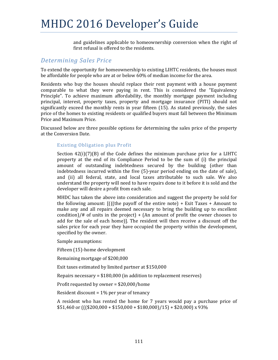and guidelines applicable to homeownership conversion when the right of first refusal is offered to the residents.

#### *Determining Sales Price*

To extend the opportunity for homeownership to existing LIHTC residents, the houses must be affordable for people who are at or below 60% of median income for the area.

Residents who buy the houses should replace their rent payment with a house payment comparable to what they were paying in rent. This is considered the "Equivalency Principle". To achieve maximum affordability, the monthly mortgage payment including principal, interest, property taxes, property and mortgage insurance (PITI) should not significantly exceed the monthly rents in year fifteen  $(15)$ . As stated previously, the sales price of the homes to existing residents or qualified buyers must fall between the Minimum Price and Maximum Price.

Discussed below are three possible options for determining the sales price of the property at the Conversion Date.

#### Existing Obligation plus Profit

Section  $42(i)(7)(B)$  of the Code defines the minimum purchase price for a LIHTC property at the end of its Compliance Period to be the sum of (i) the principal amount of outstanding indebtedness secured by the building (other than indebtedness incurred within the five  $(5)$ -year period ending on the date of sale), and (ii) all federal, state, and local taxes attributable to such sale. We also understand the property will need to have repairs done to it before it is sold and the developer will desire a profit from each sale.

MHDC has taken the above into consideration and suggest the property be sold for the following amount:  $\left[ \right]$  (((the payoff of the entire note) + Exit Taxes + Amount to make any and all repairs deemed necessary to bring the building up to excellent condition)/# of units in the project) + (An amount of profit the owner chooses to add for the sale of each home). The resident will then receive a discount off the sales price for each year they have occupied the property within the development, specified by the owner.

Sample assumptions:

Fifteen (15)-home development

Remaining mortgage of \$200,000

Exit taxes estimated by limited partner at \$150,000

Repairs necessary =  $$180,000$  (in addition to replacement reserves)

Profit requested by owner =  $$20,000/h$ ome

Resident discount =  $1\%$  per year of tenancy

A resident who has rented the home for 7 years would pay a purchase price of  $$51,460$  or (((\$200,000 + \$150,000 + \$180,000)/15) + \$20,000) x 93%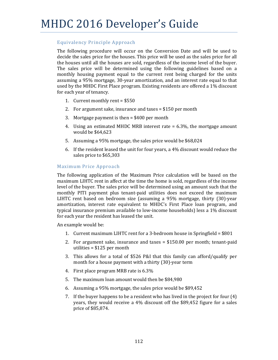#### Equivalency Principle Approach

The following procedure will occur on the Conversion Date and will be used to decide the sales price for the houses. This price will be used as the sales price for all the houses until all the houses are sold, regardless of the income level of the buyer. The sales price will be determined using the following guidelines based on a monthly housing payment equal to the current rent being charged for the units assuming a 95% mortgage, 30-year amortization, and an interest rate equal to that used by the MHDC First Place program. Existing residents are offered a 1% discount for each year of tenancy.

- 1. Current monthly rent =  $$550$
- 2. For argument sake, insurance and taxes  $=$  \$150 per month
- 3. Mortgage payment is then  $=$  \$400 per month
- 4. Using an estimated MHDC MRB interest rate  $= 6.3\%$ , the mortgage amount would be \$64,623
- 5. Assuming a 95% mortgage, the sales price would be \$68,024
- 6. If the resident leased the unit for four years, a  $4\%$  discount would reduce the sales price to \$65,303

#### Maximum Price Approach

The following application of the Maximum Price calculation will be based on the maximum LIHTC rent in affect at the time the home is sold, regardless of the income level of the buyer. The sales price will be determined using an amount such that the monthly PITI payment plus tenant-paid utilities does not exceed the maximum LIHTC rent based on bedroom size (assuming a  $95\%$  mortgage, thirty  $(30)$ -year amortization, interest rate equivalent to MHDC's First Place loan program, and typical insurance premium available to low-income households) less a  $1\%$  discount for each year the resident has leased the unit.

An example would be:

- 1. Current maximum LIHTC rent for a 3-bedroom house in Springfield =  $$801$
- 2. For argument sake, insurance and taxes  $=$  \$150.00 per month; tenant-paid utilities  $= $125$  per month
- 3. This allows for a total of \$526 P&I that this family can afford/qualify per month for a house payment with a thirty  $(30)$ -year term
- 4. First place program MRB rate is  $6.3\%$
- 5. The maximum loan amount would then be \$84,980
- 6. Assuming a 95% mortgage, the sales price would be \$89,452
- 7. If the buyer happens to be a resident who has lived in the project for four  $(4)$ years, they would receive a  $4\%$  discount off the \$89,452 figure for a sales price of \$85,874.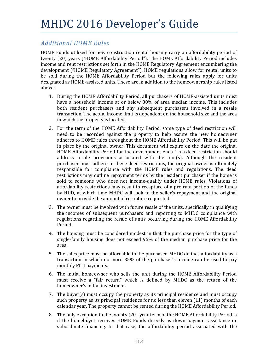### *Additional HOME Rules*

HOME Funds utilized for new construction rental housing carry an affordability period of twenty (20) years ("HOME Affordability Period"). The HOME Affordability Period includes income and rent restrictions set forth in the HOME Regulatory Agreement encumbering the development ("HOME Regulatory Agreement"). HOME regulations allow for rental units to be sold during the HOME Affordability Period but the following rules apply for units designated as HOME-assisted units. These are in addition to the homeownership rules listed above: 

- 1. During the HOME Affordability Period, all purchasers of HOME-assisted units must have a household income at or below 80% of area median income. This includes both resident purchasers and any subsequent purchasers involved in a resale transaction. The actual income limit is dependent on the household size and the area in which the property is located.
- 2. For the term of the HOME Affordability Period, some type of deed restriction will need to be recorded against the property to help assure the new homeowner adheres to HOME rules throughout the HOME Affordability Period. This will be put in place by the original owner. This document will expire on the date the original HOME Affordability Period for the development ends. This deed restriction should address resale provisions associated with the unit(s). Although the resident purchaser must adhere to these deed restrictions, the original owner is ultimately responsible for compliance with the HOME rules and regulations. The deed restrictions may outline repayment terms by the resident purchaser if the home is sold to someone who does not income-qualify under HOME rules. Violations of affordability restrictions may result in recapture of a pro rata portion of the funds by HUD, at which time MHDC will look to the seller's repayment and the original owner to provide the amount of recapture requested.
- 3. The owner must be involved with future resale of the units, specifically in qualifying the incomes of subsequent purchasers and reporting to MHDC compliance with regulations regarding the resale of units occurring during the HOME Affordability Period.
- 4. The housing must be considered modest in that the purchase price for the type of single-family housing does not exceed  $95\%$  of the median purchase price for the area.
- 5. The sales price must be affordable to the purchaser. MHDC defines affordability as a transaction in which no more  $35\%$  of the purchaser's income can be used to pay monthly PITI payments.
- 6. The initial homeowner who sells the unit during the HOME Affordability Period must receive a "fair return" which is defined by MHDC as the return of the homeowner's initial investment.
- 7. The buyer(s) must occupy the property as its principal residence and must occupy such property as its principal residence for no less than eleven  $(11)$  months of each calendar year. The property cannot be rented during the HOME Affordability Period.
- 8. The only exception to the twenty (20)-year term of the HOME Affordability Period is if the homebuyer receives HOME Funds directly as down payment assistance or subordinate financing. In that case, the affordability period associated with the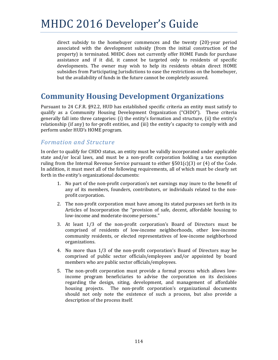direct subsidy to the homebuyer commences and the twenty  $(20)$ -year period associated with the development subsidy (from the initial construction of the property) is terminated. MHDC does not currently offer HOME Funds for purchase assistance and if it did, it cannot be targeted only to residents of specific developments. The owner may wish to help its residents obtain direct HOME subsidies from Participating Jurisdictions to ease the restrictions on the homebuyer, but the availability of funds in the future cannot be completely assured.

### **Community Housing Development Organizations**

Pursuant to 24 C.F.R. §92.2, HUD has established specific criteria an entity must satisfy to qualify as a Community Housing Development Organization ("CHDO"). These criteria generally fall into three categories:  $(i)$  the entity's formation and structure,  $(ii)$  the entity's relationship (if any) to for-profit entities, and (iii) the entity's capacity to comply with and perform under HUD's HOME program.

#### *Formation and Structure*

In order to qualify for CHDO status, an entity must be validly incorporated under applicable state and/or local laws, and must be a non-profit corporation holding a tax exemption ruling from the Internal Revenue Service pursuant to either  $\S501(c)(3)$  or (4) of the Code. In addition, it must meet all of the following requirements, all of which must be clearly set forth in the entity's organizational documents:

- 1. No part of the non-profit corporation's net earnings may inure to the benefit of any of its members, founders, contributors, or individuals related to the nonprofit corporation.
- 2. The non-profit corporation must have among its stated purposes set forth in its Articles of Incorporation the "provision of safe, decent, affordable housing to low-income and moderate-income persons."
- 3. At least  $1/3$  of the non-profit corporation's Board of Directors must be comprised of residents of low-income neighborhoods, other low-income community residents, or elected representatives of low-income neighborhood organizations.
- 4. No more than 1/3 of the non-profit corporation's Board of Directors may be comprised of public sector officials/employees and/or appointed by board members who are public sector officials/employees.
- 5. The non-profit corporation must provide a formal process which allows lowincome program beneficiaries to advise the corporation on its decisions regarding the design, siting, development, and management of affordable housing projects. The non-profit corporation's organizational documents should not only note the existence of such a process, but also provide a description of the process itself.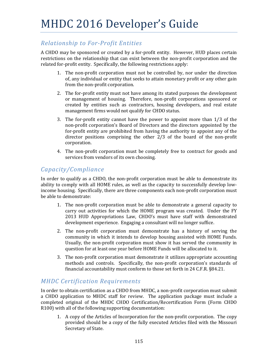### *Relationship to For‐Profit Entities*

A CHDO may be sponsored or created by a for-profit entity. However, HUD places certain restrictions on the relationship that can exist between the non-profit corporation and the related for-profit entity. Specifically, the following restrictions apply:

- 1. The non-profit corporation must not be controlled by, nor under the direction of, any individual or entity that seeks to attain monetary profit or any other gain from the non-profit corporation.
- 2. The for-profit entity must not have among its stated purposes the development or management of housing. Therefore, non-profit corporations sponsored or created by entities such as contractors, housing developers, and real estate management firms would not qualify for CHDO status.
- 3. The for-profit entity cannot have the power to appoint more than  $1/3$  of the non-profit corporation's Board of Directors and the directors appointed by the for-profit entity are prohibited from having the authority to appoint any of the director positions comprising the other  $2/3$  of the board of the non-profit corporation.
- 4. The non-profit corporation must be completely free to contract for goods and services from vendors of its own choosing.

### *Capacity/Compliance*

In order to qualify as a CHDO, the non-profit corporation must be able to demonstrate its ability to comply with all HOME rules, as well as the capacity to successfully develop lowincome housing. Specifically, there are three components each non-profit corporation must be able to demonstrate:

- 1. The non-profit corporation must be able to demonstrate a general capacity to carry out activities for which the HOME program was created. Under the FY 2013 HUD Appropriations Law, CHDO's must have staff with demonstrated development experience. Engaging a consultant will no longer suffice.
- 2. The non-profit corporation must demonstrate has a history of serving the community in which it intends to develop housing assisted with HOME Funds. Usually, the non-profit corporation must show it has served the community in question for at least one year before HOME Funds will be allocated to it.
- 3. The non-profit corporation must demonstrate it utilizes appropriate accounting methods and controls. Specifically, the non-profit corporation's standards of financial accountability must conform to those set forth in 24 C.F.R. §84.21.

### *MHDC Certification Requirements*

In order to obtain certification as a CHDO from MHDC, a non-profit corporation must submit a CHDO application to MHDC staff for review. The application package must include a completed original of the MHDC CHDO Certification/Recertification Form (Form CHDO R100) with all of the following supporting documentation:

1. A copy of the Articles of Incorporation for the non-profit corporation. The copy provided should be a copy of the fully executed Articles filed with the Missouri Secretary of State.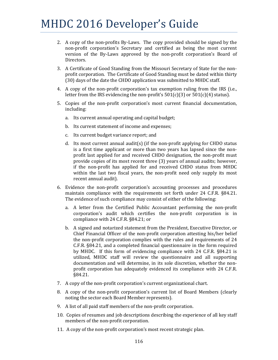- 2. A copy of the non-profits By-Laws. The copy provided should be signed by the non-profit corporation's Secretary and certified as being the most current version of the By-Laws approved by the non-profit corporation's Board of Directors.
- 3. A Certificate of Good Standing from the Missouri Secretary of State for the nonprofit corporation. The Certificate of Good Standing must be dated within thirty (30) days of the date the CHDO application was submitted to MHDC staff.
- 4. A copy of the non-profit corporation's tax exemption ruling from the IRS (i.e., letter from the IRS evidencing the non-profit's  $501(c)(3)$  or  $501(c)(4)$  status).
- 5. Copies of the non-profit corporation's most current financial documentation, including:
	- a. Its current annual operating and capital budget;
	- b. Its current statement of income and expenses;
	- c. Its current budget variance report; and
	- d. Its most current annual audit(s) (if the non-profit applying for CHDO status is a first time applicant or more than two years has lapsed since the nonprofit last applied for and received CHDO designation, the non-profit must provide copies of its most recent three (3) years of annual audits; however, if the non-profit has applied for and received CHDO status from MHDC within the last two fiscal years, the non-profit need only supply its most recent annual audit).
- 6. Evidence the non-profit corporation's accounting processes and procedures maintain compliance with the requirements set forth under  $24$  C.F.R.  $§84.21$ . The evidence of such compliance may consist of either of the following:
	- a. A letter from the Certified Public Accountant performing the non-profit corporation's audit which certifies the non-profit corporation is in compliance with 24 C.F.R. §84.21; or
	- b. A signed and notarized statement from the President, Executive Director, or Chief Financial Officer of the non-profit corporation attesting his/her belief the non-profit corporation complies with the rules and requirements of 24 C.F.R. §84.21, and a completed financial questionnaire in the form required by MHDC. If this form of evidencing compliance with  $24$  C.F.R. §84.21 is utilized, MHDC staff will review the questionnaire and all supporting documentation and will determine, in its sole discretion, whether the nonprofit corporation has adequately evidenced its compliance with 24 C.F.R. §84.21.
- 7. A copy of the non-profit corporation's current organizational chart.
- 8. A copy of the non-profit corporation's current list of Board Members (clearly noting the sector each Board Member represents).
- 9. A list of all paid staff members of the non-profit corporation.
- 10. Copies of resumes and job descriptions describing the experience of all key staff members of the non-profit corporation.
- 11. A copy of the non-profit corporation's most recent strategic plan.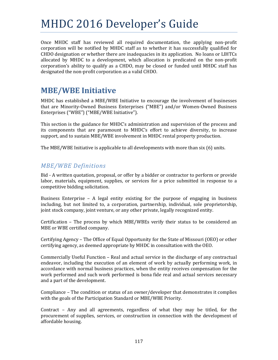Once MHDC staff has reviewed all required documentation, the applying non-profit corporation will be notified by MHDC staff as to whether it has successfully qualified for CHDO designation or whether there are inadequacies in its application. No loans or LIHTCs allocated by MHDC to a development, which allocation is predicated on the non-profit corporation's ability to qualify as a CHDO, may be closed or funded until MHDC staff has designated the non-profit corporation as a valid CHDO.

### **MBE/WBE Initiative**

MHDC has established a MBE/WBE Initiative to encourage the involvement of businesses that are Minority‐Owned Business Enterprises ("MBE") and/or Women‐Owned Business Enterprises ("WBE") ("MBE/WBE Initiative").

This section is the guidance for MHDC's administration and supervision of the process and its components that are paramount to MHDC's effort to achieve diversity, to increase support, and to sustain MBE/WBE involvement in MHDC rental property production.

The MBE/WBE Initiative is applicable to all developments with more than  $six(6)$  units.

### *MBE/WBE Definitions*

Bid - A written quotation, proposal, or offer by a bidder or contractor to perform or provide labor, materials, equipment, supplies, or services for a price submitted in response to a competitive bidding solicitation.

Business Enterprise – A legal entity existing for the purpose of engaging in business including, but not limited to, a corporation, partnership, individual, sole proprietorship, joint stock company, joint venture, or any other private, legally recognized entity.

Certification  $-$  The process by which MBE/WBEs verify their status to be considered an MBE or WBE certified company.

Certifying Agency – The Office of Equal Opportunity for the State of Missouri (OEO) or other certifying agency, as deemed appropriate by MHDC in consultation with the OEO.

Commercially Useful Function – Real and actual service in the discharge of any contractual endeavor, including the execution of an element of work by actually performing work, in accordance with normal business practices, when the entity receives compensation for the work performed and such work performed is bona fide real and actual services necessary and a part of the development.

Compliance – The condition or status of an owner/developer that demonstrates it complies with the goals of the Participation Standard or MBE/WBE Priority.

Contract - Any and all agreements, regardless of what they may be titled, for the procurement of supplies, services, or construction in connection with the development of affordable housing.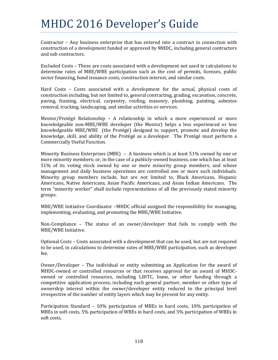Contractor  $-$  Any business enterprise that has entered into a contract in connection with construction of a development funded or approved by MHDC, including general contractors and sub-contractors.

Excluded Costs – These are costs associated with a development not used in calculations to determine rates of MBE/WBE participation such as the cost of permits, licenses, public sector financing, bond issuance costs, construction interest, and similar costs.

Hard Costs  $-$  Costs associated with a development for the actual, physical costs of construction including, but not limited to, general contracting, grading, excavation, concrete, paving, framing, electrical, carpentry, roofing, masonry, plumbing, painting, asbestos removal, trucking, landscaping, and similar activities or services.

Mentor/Protégé Relationship – A relationship in which a more experienced or more knowledgeable non-MBE/WBE developer (the Mentor) helps a less experienced or less knowledgeable  $MBE/WBE$  (the Protégé) designed to support, promote and develop the knowledge, skill, and ability of the Protégé as a developer. The Protégé must perform a Commercially Useful Function.

Minority Business Enterprises  $(MBE) - A$  business which is at least 51% owned by one or more minority members; or, in the case of a publicly-owned business, one which has at least  $51\%$  of its voting stock owned by one or more minority group members, and whose management and daily business operations are controlled one or more such individuals. Minority group members include, but are not limited to, Black Americans, Hispanic Americans, Native Americans, Asian Pacific Americans, and Asian Indian Americans. The term "minority worker" shall include representations of all the previously stated minority groups. 

MBE/WBE Initiative Coordinator –MHDC official assigned the responsibility for managing, implementing, evaluating, and promoting the MBE/WBE Initiative.

Non-Compliance  $-$  The status of an owner/developer that fails to comply with the MBE/WBE Initiative.

Optional Costs – Costs associated with a development that can be used, but are not required to be used, in calculations to determine rates of MBE/WBE participation, such as developer fee. 

Owner/Developer - The individual or entity submitting an Application for the award of MHDC-owned or controlled resources or that receives approval for an award of MHDCowned or controlled resources, including LIHTC, loans, or other funding through a competitive application process, including each general partner, member or other type of ownership interest within the owner/developer entity reduced to the principal level irrespective of the number of entity layers which may be present for any entity.

Participation Standard  $-10\%$  participation of MBEs in hard costs, 10% participation of MBEs in soft costs, 5% participation of WBEs in hard costs, and 5% participation of WBEs in soft costs.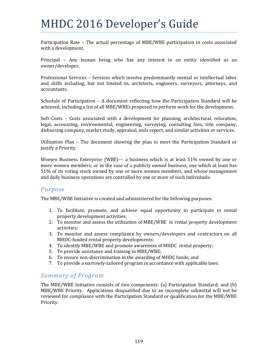Participation Rate - The actual percentage of MBE/WBE participation in costs associated with a development.

Principal - Any human being who has any interest in an entity identified as an owner/developer. 

Professional Services - Services which involve predominantly mental or intellectual labor and skills including, but not limited to, architects, engineers, surveyors, attorneys, and accountants. 

Schedule of Participation  $-$  A document reflecting how the Participation Standard will be achieved, including a list of all MBE/WBEs proposed to perform work for the development.

Soft Costs – Costs associated with a development for planning, architectural, relocation, legal, accounting, environmental, engineering, surveying, consulting fees, title company, disbursing company, market study, appraisal, soils report, and similar activities or services.

Utilization Plan – The document showing the plan to meet the Participation Standard or justify a Priority.

Women Business Enterprise (WBE)— a business which is at least  $51\%$  owned by one or more women members; or in the case of a publicly owned business, one which at least has 51% of its voting stock owned by one or more women members, and whose management and daily business operations are controlled by one or more of such individuals.

### *Purpose*

The MBE/WBE Initiative is created and administered for the following purposes:

- 1. To facilitate, promote, and achieve equal opportunity to participate in rental property development activities;
- 2. To monitor and assess the utilization of MBE/WBE in rental property development activities;
- 3. To monitor and assess compliance by owners/developers and contractors on all MHDC-funded rental property developments;
- 4. To identify MBE/WBE and promote awareness of MHDC rental property;
- 5. To provide assistance and training to MBE/WBE;
- 6. To ensure non-discrimination in the awarding of MHDC funds; and
- 7. To provide a narrowly-tailored program in accordance with applicable laws.

#### *Summary of Program*

The MBE/WBE Initiative consists of two components:  $(a)$  Participation Standard; and  $(b)$ MBE/WBE Priority. Applications disqualified due to an incomplete submittal will not be reviewed for compliance with the Participation Standard or qualification for the MBE/WBE Priority.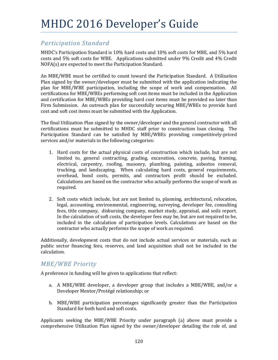### *Participation Standard*

MHDC's Participation Standard is  $10\%$  hard costs and  $10\%$  soft costs for MBE, and 5% hard costs and 5% soft costs for WBE. Applications submitted under 9% Credit and 4% Credit  $NOFA(s)$  are expected to meet the Participation Standard.

An MBE/WBE must be certified to count toward the Participation Standard. A Utilization Plan signed by the owner/developer must be submitted with the application indicating the plan for MBE/WBE participation, including the scope of work and compensation. All certifications for MBE/WBEs performing soft cost items must be included in the Application and certification for MBE/WBEs providing hard cost items must be provided no later than Firm Submission. An outreach plan for successfully securing MBE/WBEs to provide hard cost and soft cost items must be submitted with the Application.

The final Utilization Plan signed by the owner/developer and the general contractor with all certifications must be submitted to MHDC staff prior to construction loan closing. The Participation Standard can be satisfied by MBE/WBEs providing competitively-priced services and/or materials in the following categories:

- 1. Hard costs for the actual physical costs of construction which include, but are not limited to, general contracting, grading, excavation, concrete, paving, framing, electrical, carpentry, roofing, masonry, plumbing, painting, asbestos removal, trucking, and landscaping. When calculating hard costs, general requirements, overhead, bond costs, permits, and contractors profit should be excluded. Calculations are based on the contractor who actually performs the scope of work as required.
- 2. Soft costs which include, but are not limited to, planning, architectural, relocation, legal, accounting, environmental, engineering, surveying, developer fee, consulting fees, title company, disbursing company, market study, appraisal, and soils report. In the calculation of soft costs, the developer fees may be, but are not required to be, included in the calculation of participation levels. Calculations are based on the contractor who actually performs the scope of work as required.

Additionally, development costs that do not include actual services or materials, such as public sector financing fees, reserves, and land acquisition shall not be included in the calculation. 

### *MBE/WBE Priority*

A preference in funding will be given to applications that reflect:

- a. A MBE/WBE developer, a developer group that includes a MBE/WBE, and/or a Developer Mentor/Protégé relationship; or
- b. MBE/WBE participation percentages significantly greater than the Participation Standard for both hard and soft costs.

Applicants seeking the MBE/WBE Priority under paragraph  $(a)$  above must provide a comprehensive Utilization Plan signed by the owner/developer detailing the role of, and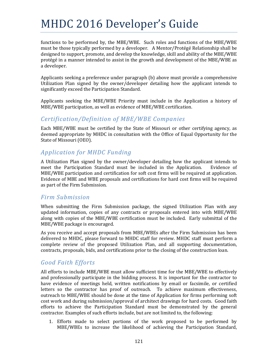functions to be performed by, the MBE/WBE. Such roles and functions of the MBE/WBE must be those typically performed by a developer. A Mentor/Protégé Relationship shall be designed to support, promote, and develop the knowledge, skill and ability of the MBE/WBE protégé in a manner intended to assist in the growth and development of the MBE/WBE as a developer.

Applicants seeking a preference under paragraph (b) above must provide a comprehensive Utilization Plan signed by the owner/developer detailing how the applicant intends to significantly exceed the Participation Standard.

Applicants seeking the MBE/WBE Priority must include in the Application a history of MBE/WBE participation, as well as evidence of MBE/WBE certification.

#### *Certification/Definition of MBE/WBE Companies*

Each MBE/WBE must be certified by the State of Missouri or other certifying agency, as deemed appropriate by MHDC in consultation with the Office of Equal Opportunity for the State of Missouri (OEO).

### *Application for MHDC Funding*

A Utilization Plan signed by the owner/developer detailing how the applicant intends to meet the Participation Standard must be included in the Application. Evidence of MBE/WBE participation and certification for soft cost firms will be required at application. Evidence of MBE and WBE proposals and certifications for hard cost firms will be required as part of the Firm Submission.

#### *Firm Submission*

When submitting the Firm Submission package, the signed Utilization Plan with any updated information, copies of any contracts or proposals entered into with MBE/WBE along with copies of the MBE/WBE certification must be included. Early submittal of the MBE/WBE package is encouraged.

As you receive and accept proposals from MBE/WBEs after the Firm Submission has been delivered to MHDC, please forward to MHDC staff for review. MHDC staff must perform a complete review of the proposed Utilization Plan, and all supporting documentation, contracts, proposals, bids, and certifications prior to the closing of the construction loan.

### *Good Faith Efforts*

All efforts to include MBE/WBE must allow sufficient time for the MBE/WBE to effectively and professionally participate in the bidding process. It is important for the contractor to have evidence of meetings held, written notifications by email or facsimile, or certified letters so the contractor has proof of outreach. To achieve maximum effectiveness, outreach to MBE/WBE should be done at the time of Application for firms performing soft cost work and during submission/approval of architect drawings for hard costs. Good faith efforts to achieve the Participation Standard must be demonstrated by the general contractor. Examples of such efforts include, but are not limited to, the following:

1. Efforts made to select portions of the work proposed to be performed by MBE/WBEs to increase the likelihood of achieving the Participation Standard,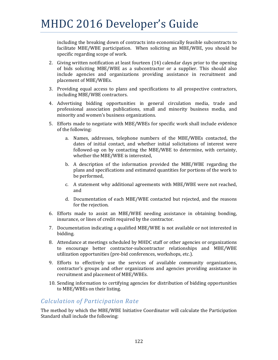including the breaking down of contracts into economically feasible subcontracts to facilitate MBE/WBE participation. When soliciting an MBE/WBE, you should be specific regarding scope of work.

- 2. Giving written notification at least fourteen  $(14)$  calendar days prior to the opening of bids soliciting MBE/WBE as a subcontractor or a supplier. This should also include agencies and organizations providing assistance in recruitment and placement of MBE/WBEs.
- 3. Providing equal access to plans and specifications to all prospective contractors, including MBE/WBE contractors.
- 4. Advertising bidding opportunities in general circulation media, trade and professional association publications, small and minority business media, and minority and women's business organizations.
- 5. Efforts made to negotiate with MBE/WBEs for specific work shall include evidence of the following:
	- a. Names, addresses, telephone numbers of the MBE/WBEs contacted, the dates of initial contact, and whether initial solicitations of interest were followed-up on by contacting the MBE/WBE to determine, with certainty, whether the MBE/WBE is interested,
	- b. A description of the information provided the  $MBE/WBE$  regarding the plans and specifications and estimated quantities for portions of the work to be performed,
	- c. A statement why additional agreements with MBE/WBE were not reached, and
	- d. Documentation of each MBE/WBE contacted but rejected, and the reasons for the rejection.
- 6. Efforts made to assist an MBE/WBE needing assistance in obtaining bonding, insurance, or lines of credit required by the contractor.
- 7. Documentation indicating a qualified MBE/WBE is not available or not interested in bidding.
- 8. Attendance at meetings scheduled by MHDC staff or other agencies or organizations to encourage better contractor-subcontractor relationships and MBE/WBE utilization opportunities (pre-bid conferences, workshops, etc.).
- 9. Efforts to effectively use the services of available community organizations, contractor's groups and other organizations and agencies providing assistance in recruitment and placement of MBE/WBEs.
- 10. Sending information to certifying agencies for distribution of bidding opportunities to MBE/WBEs on their listing.

#### *Calculation of Participation Rate*

The method by which the MBE/WBE Initiative Coordinator will calculate the Participation Standard shall include the following: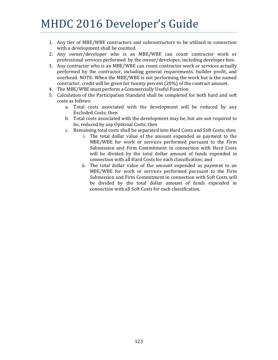- 1. Any tier of MBE/WBE contractors and subcontractors to be utilized in connection with a development shall be counted.
- 2. Any owner/developer who is an MBE/WBE can count contractor work or professional services performed by the owner/developer, including developer fees.
- 3. Any contractor who is an MBE/WBE can count contractor work or services actually performed by the contractor, including general requirements, builder profit, and overhead. NOTE: When the MBE/WBE is not performing the work but is the named contractor, credit will be given for twenty percent (20%) of the contract amount.
- 4. The MBE/WBE must perform a Commercially Useful Function.
- 5. Calculation of the Participation Standard shall be completed for both hard and soft costs as follows:
	- a. Total costs associated with the development will be reduced by any Excluded Costs; then
	- b. Total costs associated with the development may be, but are not required to be, reduced by any Optional Costs; then
	- c. Remaining total costs shall be separated into Hard Costs and Soft Costs; then
		- i. The total dollar value of the amount expended as payment to the MBE/WBE for work or services performed pursuant to the Firm Submission and Firm Commitment in connection with Hard Costs will be divided by the total dollar amount of funds expended in connection with all Hard Costs for each classification; and
		- ii. The total dollar value of the amount expended as payment to an MBE/WBE for work or services performed pursuant to the Firm Submission and Firm Commitment in connection with Soft Costs will be divided by the total dollar amount of funds expended in connection with all Soft Costs for each classification.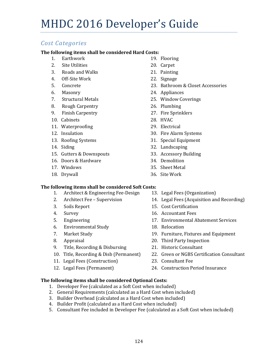### *Cost Categories*

#### **The following items shall be considered Hard Costs:**

- 1. Earthwork 19. Flooring
- 2. Site Utilities 20. Carpet
- 3. Roads and Walks 21. Painting
- 4. Off-Site Work 22. Signage
- 
- 
- 
- 8. Rough Carpentry 26. Plumbing
- 9. Finish Carpentry 27. Fire Sprinklers
- 10. Cabinets 28. HVAC
- 11. Waterproofing 29. Electrical
- 
- 
- 
- 15. Gutters & Downspouts 33. Accessory Building
- 16. Doors & Hardware 34. Demolition
- 
- 
- 
- 
- 
- 
- 5. Concrete **23. Bathroom & Closet Accessories**
- 6. Masonry 24. Appliances
- 7. Structural Metals 25. Window Coverings
	-
	-
	-
	-
- 12. Insulation 30. Fire Alarm Systems
- 13. Roofing Systems 31. Special Equipment
- 14. Siding 32. Landscaping
	-
	-
- 17. Windows 35. Sheet Metal
- 18. Drywall 36. Site Work

#### **The following items shall be considered Soft Costs:**

- 1. Architect & Engineering Fee-Design 13. Legal Fees (Organization)
- 
- 
- 
- 
- 6. Environmental Study 18. Relocation
- 
- 
- 9. Title, Recording & Disbursing 21. Historic Consultant
- 
- 11. Legal Fees (Construction) 23. Consultant Fee
- 
- 
- 2. Architect Fee Supervision 14. Legal Fees (Acquisition and Recording)
- 3. Soils Report 15. Cost Certification
- 4. Survey 2012 16. Accountant Fees
- 5. Engineering **17. Environmental Abatement Services** 
	-
- 7. Market Study **19. Furniture, Fixtures** and Equipment
- 8. Appraisal 20. Third Party Inspection
- 10. Title, Recording & Disb (Permanent) 22. Green or NGBS Certification Consultant
	-
- 12. Legal Fees (Permanent) 24. Construction Period Insurance

#### **The following items shall be considered Optional Costs:**

- 1. Developer Fee (calculated as a Soft Cost when included)
- 2. General Requirements (calculated as a Hard Cost when included)
- 3. Builder Overhead (calculated as a Hard Cost when included)
- 4. Builder Profit (calculated as a Hard Cost when included)
- 5. Consultant Fee included in Developer Fee (calculated as a Soft Cost when included)
- -
	-
	-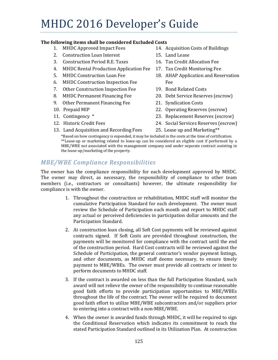#### **The following items shall be considered Excluded Costs**

- 1. MHDC Approved Impact Fees 14. Acquisition Costs of Buildings
- 2. Construction Loan Interest 15. Land Lease
- 3. Construction Period R.E. Taxes 16. Tax Credit Allocation Fee
- 4. MHDC Rental Production Application Fee 17. Tax Credit Monitoring Fee
- 
- 6. MHDC Construction Inspection Fee Fee
- 7. Other Construction Inspection Fee 19. Bond Related Costs
- 
- 9. Other Permanent Financing Fee 21. Syndication Costs
- 
- 
- 
- 
- 
- 
- 
- 5. MHDC Construction Loan Fee 18. AHAP Application and Reservation
	-
- 8. MHDC Permanent Financing Fee 20. Debt Service Reserves (escrow)
	-
- 10. Prepaid MIP **22. Operating Reserves** (escrow)
- 11. Contingency \* The continues are also continues as a continue of  $23$ . Replacement Reserves (escrow)
- 12. Historic Credit Fees (a) The Case of the Case of the Case of the Case of the Case of the Case of the Case o
- 13. Land Acquisition and Recording Fees 25. Lease up and Marketing\*\*

\*Based on how contingency is expended, it may be included in the costs at the time of certification. \*\*Lease-up or marketing related to lease-up can be considered an eligible cost if performed by a MBE/WBE not associated with the management company and under separate contract assisting in the lease-up/marketing of the property.

### *MBE/WBE Compliance Responsibilities*

The owner has the compliance responsibility for each development approved by MHDC. The owner may direct, as necessary, the responsibility of compliance to other team members (i.e., contractors or consultants) however, the ultimate responsibility for compliance is with the owner.

- 1. Throughout the construction or rehabilitation, MHDC staff will monitor the cumulative Participation Standard for each development. The owner must review the Schedule of Participation each month and report to MHDC staff any actual or perceived deficiencies in participation dollar amounts and the Participation Standard.
- 2. At construction loan closing, all Soft Cost payments will be reviewed against contracts signed. If Soft Costs are provided throughout construction, the payments will be monitored for compliance with the contract until the end of the construction period. Hard Cost contracts will be reviewed against the Schedule of Participation, the general contractor's vendor payment listings, and other documents, as MHDC staff deems necessary, to ensure timely payment to MBE/WBEs. The owner must provide all contracts or intent to perform documents to MHDC staff.
- 3. If the contract is awarded on less than the full Participation Standard, such award will not relieve the owner of the responsibility to continue reasonable good faith efforts to provide participation opportunities to MBE/WBEs throughout the life of the contract. The owner will be required to document good faith effort to utilize MBE/WBE subcontractors and/or suppliers prior to entering into a contract with a non-MBE/WBE.
- 4. When the owner is awarded funds through MHDC, it will be required to sign the Conditional Reservation which indicates its commitment to reach the stated Participation Standard outlined in its Utilization Plan. At construction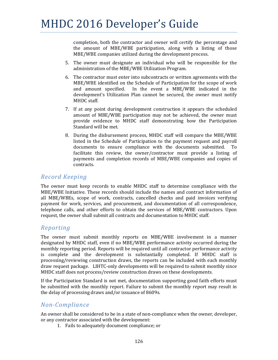completion, both the contractor and owner will certify the percentage and the amount of MBE/WBE participation, along with a listing of those MBE/WBE companies utilized during the development process.

- 5. The owner must designate an individual who will be responsible for the administration of the MBE/WBE Utilization Program.
- 6. The contractor must enter into subcontracts or written agreements with the MBE/WBE identified on the Schedule of Participation for the scope of work and amount specified. In the event a MBE/WBE indicated in the development's Utilization Plan cannot be secured, the owner must notify MHDC staff.
- 7. If at any point during development construction it appears the scheduled amount of MBE/WBE participation may not be achieved, the owner must provide evidence to MHDC staff demonstrating how the Participation Standard will be met.
- 8. During the disbursement process, MHDC staff will compare the MBE/WBE listed in the Schedule of Participation to the payment request and payroll documents to ensure compliance with the documents submitted. To facilitate this review, the owner/contractor must provide a listing of payments and completion records of MBE/WBE companies and copies of contracts.

#### *Record Keeping*

The owner must keep records to enable MHDC staff to determine compliance with the MBE/WBE Initiative. These records should include the names and contract information of all MBE/WBEs, scope of work, contracts, cancelled checks and paid invoices verifying payment for work, services, and procurement, and documentation of all correspondence, telephone calls, and other efforts to obtain the services of MBE/WBE contractors. Upon request, the owner shall submit all contracts and documentation to MHDC staff.

#### *Reporting*

The owner must submit monthly reports on MBE/WBE involvement in a manner designated by MHDC staff, even if no MBE/WBE performance activity occurred during the monthly reporting period. Reports will be required until all contractor performance activity is complete and the development is substantially completed. If MHDC staff is processing/reviewing construction draws, the reports can be included with each monthly draw request package. LIHTC-only developments will be required to submit monthly since MHDC staff does not process/review construction draws on these developments.

If the Participation Standard is not met, documentation supporting good faith efforts must be submitted with the monthly report. Failure to submit the monthly report may result in the delay of processing draws and/or issuance of 8609s.

### *Non‐Compliance*

An owner shall be considered to be in a state of non-compliance when the owner, developer, or any contractor associated with the development:

1. Fails to adequately document compliance; or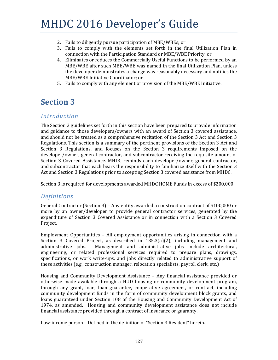- 2. Fails to diligently pursue participation of MBE/WBEs; or
- 3. Fails to comply with the elements set forth in the final Utilization Plan in connection with the Participation Standard or MBE/WBE Priority; or
- 4. Eliminates or reduces the Commercially Useful Functions to be performed by an MBE/WBE after such MBE/WBE was named in the final Utilization Plan, unless the developer demonstrates a change was reasonably necessary and notifies the MBE/WBE Initiative Coordinator; or
- 5. Fails to comply with any element or provision of the MBE/WBE Initiative.

### **Section 3**

#### *Introduction*

The Section 3 guidelines set forth in this section have been prepared to provide information and guidance to those developers/owners with an award of Section 3 covered assistance, and should not be treated as a comprehensive recitation of the Section 3 Act and Section 3 Regulations. This section is a summary of the pertinent provisions of the Section 3 Act and Section 3 Regulations, and focuses on the Section 3 requirements imposed on the developer/owner, general contractor, and subcontractor receiving the requisite amount of Section 3 Covered Assistance. MHDC reminds each developer/owner, general contractor, and subcontractor that each bears the responsibility to familiarize itself with the Section 3 Act and Section 3 Regulations prior to accepting Section 3 covered assistance from MHDC.

Section 3 is required for developments awarded MHDC HOME Funds in excess of \$200,000.

#### *Definitions*

General Contractor (Section 3) – Any entity awarded a construction contract of \$100,000 or more by an owner/developer to provide general contractor services, generated by the expenditure of Section 3 Covered Assistance or in connection with a Section 3 Covered Project. 

Employment Opportunities  $-$  All employment opportunities arising in connection with a Section 3 Covered Project, as described in  $135.3(a)(2)$ , including management and administrative jobs. Management and administrative jobs include architectural, engineering, or related professional services required to prepare plans, drawings, specifications, or work write-ups, and jobs directly related to administrative support of these activities (e.g., construction manager, relocation specialists, payroll clerk, etc.)

Housing and Community Development Assistance - Any financial assistance provided or otherwise made available through a HUD housing or community development program, through any grant, loan, loan guarantee, cooperative agreement, or contract, including community development funds in the form of community development block grants, and loans guaranteed under Section 108 of the Housing and Community Development Act of 1974, as amended. Housing and community development assistance does not include financial assistance provided through a contract of insurance or guaranty.

Low-income person - Defined in the definition of "Section 3 Resident" herein.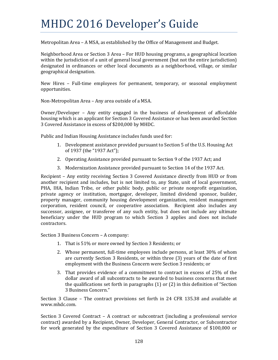Metropolitan Area - A MSA, as established by the Office of Management and Budget.

Neighborhood Area or Section 3 Area – For HUD housing programs, a geographical location within the jurisdiction of a unit of general local government (but not the entire jurisdiction) designated in ordinances or other local documents as a neighborhood, village, or similar geographical designation. 

New Hires – Full-time employees for permanent, temporary, or seasonal employment opportunities. 

Non-Metropolitan Area – Any area outside of a MSA.

Owner/Developer – Any entity engaged in the business of development of affordable housing which is an applicant for Section 3 Covered Assistance or has been awarded Section 3 Covered Assistance in excess of \$200,000 by MHDC.

Public and Indian Housing Assistance includes funds used for:

- 1. Development assistance provided pursuant to Section 5 of the U.S. Housing Act of 1937 (the "1937 Act");
- 2. Operating Assistance provided pursuant to Section 9 of the 1937 Act; and
- 3. Modernization Assistance provided pursuant to Section 14 of the 1937 Act.

Recipient – Any entity receiving Section 3 Covered Assistance directly from HUD or from another recipient and includes, but is not limited to, any State, unit of local government, PHA, IHA, Indian Tribe, or other public body, public or private nonprofit organization, private agency or institution, mortgagor, developer, limited dividend sponsor, builder, property manager, community housing development organization, resident management corporation, resident council, or cooperative association. Recipient also includes any successor, assignee, or transferee of any such entity, but does not include any ultimate beneficiary under the HUD program to which Section 3 applies and does not include contractors. 

Section 3 Business Concern - A company:

- 1. That is 51% or more owned by Section 3 Residents; or
- 2. Whose permanent, full-time employees include persons, at least 30% of whom are currently Section 3 Residents, or within three  $(3)$  years of the date of first employment with the Business Concern were Section 3 residents; or
- 3. That provides evidence of a commitment to contract in excess of 25% of the dollar award of all subcontracts to be awarded to business concerns that meet the qualifications set forth in paragraphs  $(1)$  or  $(2)$  in this definition of "Section" 3 Business Concern."

Section 3 Clause – The contract provisions set forth in 24 CFR 135.38 and available at www.mhdc.com. 

Section 3 Covered Contract – A contract or subcontract (including a professional service contract) awarded by a Recipient, Owner, Developer, General Contractor, or Subcontractor for work generated by the expenditure of Section 3 Covered Assistance of \$100,000 or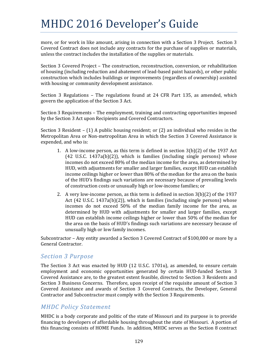more, or for work in like amount, arising in connection with a Section 3 Project. Section 3 Covered Contract does not include any contracts for the purchase of supplies or materials, unless the contract includes the installation of the supplies or materials.

Section 3 Covered Project – The construction, reconstruction, conversion, or rehabilitation of housing (including reduction and abatement of lead-based paint hazards), or other public construction which includes buildings or improvements (regardless of ownership) assisted with housing or community development assistance.

Section 3 Regulations - The regulations found at 24 CFR Part 135, as amended, which govern the application of the Section 3 Act.

Section 3 Requirements – The employment, training and contracting opportunities imposed by the Section 3 Act upon Recipients and Covered Contractors.

Section 3 Resident – (1) A public housing resident; or (2) an individual who resides in the Metropolitan Area or Non-metropolitan Area in which the Section 3 Covered Assistance is expended, and who is:

- 1. A low-income person, as this term is defined in section  $3(b)(2)$  of the 1937 Act  $(42 \text{ U.S.C. } 1437a(b)(2))$ , which is families (including single persons) whose incomes do not exceed 80% of the median income for the area, as determined by HUD, with adjustments for smaller and larger families, except HUD can establish income ceilings higher or lower than 80% of the median for the area on the basis of the HUD's findings such variations are necessary because of prevailing levels of construction costs or unusually high or low-income families; or
- 2. A very low-income person, as this term is defined in section  $3(b)(2)$  of the 1937 Act  $(42 \text{ U.S.C. } 1437a(b)(2))$ , which is families (including single persons) whose incomes do not exceed 50% of the median family income for the area, as determined by HUD with adjustments for smaller and larger families, except HUD can establish income ceilings higher or lower than  $50\%$  of the median for the area on the basis of HUD's findings such variations are necessary because of unusually high or low family incomes.

Subcontractor – Any entity awarded a Section 3 Covered Contract of \$100,000 or more by a General Contractor.

#### *Section 3 Purpose*

The Section 3 Act was enacted by HUD (12 U.S.C. 1701u), as amended, to ensure certain employment and economic opportunities generated by certain HUD-funded Section 3 Covered Assistance are, to the greatest extent feasible, directed to Section 3 Residents and Section 3 Business Concerns. Therefore, upon receipt of the requisite amount of Section 3 Covered Assistance and awards of Section 3 Covered Contracts, the Developer, General Contractor and Subcontractor must comply with the Section 3 Requirements.

### *MHDC Policy Statement*

MHDC is a body corporate and politic of the state of Missouri and its purpose is to provide financing to developers of affordable housing throughout the state of Missouri. A portion of this financing consists of HOME Funds. In addition, MHDC serves as the Section 8 contract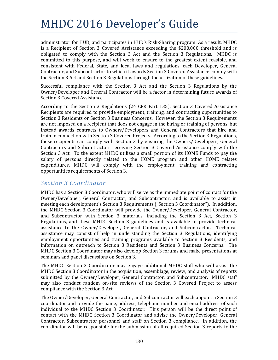administrator for HUD, and participates in HUD's Risk-Sharing program. As a result, MHDC is a Recipient of Section 3 Covered Assistance exceeding the  $$200,000$  threshold and is obligated to comply with the Section 3 Act and the Section 3 Regulations. MHDC is committed to this purpose, and will work to ensure to the greatest extent feasible, and consistent with Federal, State, and local laws and regulations, each Developer, General Contractor, and Subcontractor to which it awards Section 3 Covered Assistance comply with the Section 3 Act and Section 3 Regulations through the utilization of these guidelines.

Successful compliance with the Section  $3$  Act and the Section  $3$  Regulations by the Owner/Developer and General Contractor will be a factor in determining future awards of Section 3 Covered Assistance.

According to the Section 3 Regulations (24 CFR Part 135), Section 3 Covered Assistance Recipients are required to provide employment, training, and contracting opportunities to Section 3 Residents or Section 3 Business Concerns. However, the Section 3 Requirements are not imposed on a recipient that does not engage in the hiring or training of persons, but instead awards contracts to Owners/Developers and General Contractors that hire and train in connection with Section 3 Covered Projects. According to the Section 3 Regulations, these recipients can comply with Section 3 by ensuring the Owners/Developers, General Contractors and Subcontractors receiving Section 3 Covered Assistance comply with the Section 3 Act. To the extent MHDC utilizes a small portion of its HOME Funds to pay the salary of persons directly related to the HOME program and other HOME relates expenditures, MHDC will comply with the employment, training and contracting opportunities requirements of Section 3.

### *Section 3 Coordinator*

MHDC has a Section 3 Coordinator, who will serve as the immediate point of contact for the Owner/Developer, General Contractor, and Subcontractor, and is available to assist in meeting each development's Section 3 Requirements ("Section 3 Coordinator"). In addition, the MHDC Section 3 Coordinator will provide the Owner/Developer, General Contractor, and Subcontractor with Section 3 materials, including the Section 3 Act, Section 3 Regulations, and these MHDC Section 3 guidelines and is available to provide technical assistance to the Owner/Developer, General Contractor, and Subcontractor. Technical assistance may consist of help in understanding the Section 3 Regulations, identifying employment opportunities and training programs available to Section 3 Residents, and information on outreach to Section 3 Residents and Section 3 Business Concerns. The MHDC Section 3 Coordinator may also develop Section 3 forums and make presentations at seminars and panel discussions on Section 3.

The MHDC Section 3 Coordinator may engage additional MHDC staff who will assist the MHDC Section 3 Coordinator in the acquisition, assemblage, review, and analysis of reports submitted by the Owner/Developer, General Contractor, and Subcontractor. MHDC staff may also conduct random on-site reviews of the Section 3 Covered Project to assess compliance with the Section 3 Act.

The Owner/Developer, General Contractor, and Subcontractor will each appoint a Section 3 coordinator and provide the name, address, telephone number and email address of such individual to the MHDC Section 3 Coordinator. This person will be the direct point of contact with the MHDC Section 3 Coordinator and advise the Owner/Developer, General Contractor, Subcontractor personnel and staff on Section 3 compliance. In addition, the coordinator will be responsible for the submission of all required Section 3 reports to the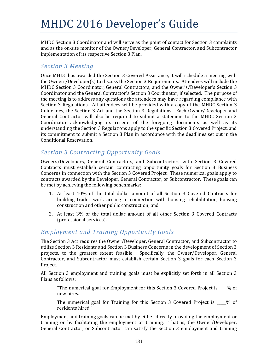MHDC Section 3 Coordinator and will serve as the point of contact for Section 3 complaints and as the on-site monitor of the Owner/Developer, General Contractor, and Subcontractor implementation of its respective Section 3 Plan.

#### *Section 3 Meeting*

Once MHDC has awarded the Section 3 Covered Assistance, it will schedule a meeting with the Owners/Developer(s) to discuss the Section 3 Requirements. Attendees will include the MHDC Section 3 Coordinator, General Contractors, and the Owner's/Developer's Section 3 Coordinator and the General Contractor's Section 3 Coordinator, if selected. The purpose of the meeting is to address any questions the attendees may have regarding compliance with Section 3 Regulations. All attendees will be provided with a copy of the MHDC Section 3 Guidelines, the Section 3 Act and the Section 3 Regulations. Each Owner/Developer and General Contractor will also be required to submit a statement to the MHDC Section 3 Coordinator acknowledging its receipt of the foregoing documents as well as its understanding the Section 3 Regulations apply to the specific Section 3 Covered Project, and its commitment to submit a Section 3 Plan in accordance with the deadlines set out in the Conditional Reservation.

### *Section 3 Contracting Opportunity Goals*

Owners/Developers, General Contractors, and Subcontractors with Section 3 Covered Contracts must establish certain contracting opportunity goals for Section 3 Business Concerns in connection with the Section 3 Covered Project. These numerical goals apply to contracts awarded by the Developer, General Contractor, or Subcontractor. These goals can be met by achieving the following benchmarks:

- 1. At least 10% of the total dollar amount of all Section 3 Covered Contracts for building trades work arising in connection with housing rehabilitation, housing construction and other public construction; and
- 2. At least 3% of the total dollar amount of all other Section 3 Covered Contracts (professional services).

### *Employment and Training Opportunity Goals*

The Section 3 Act requires the Owner/Developer, General Contractor, and Subcontractor to utilize Section 3 Residents and Section 3 Business Concerns in the development of Section 3 projects, to the greatest extent feasible. Specifically, the Owner/Developer, General Contractor, and Subcontractor must establish certain Section 3 goals for each Section 3 Project. 

All Section 3 employment and training goals must be explicitly set forth in all Section 3 Plans as follows:

"The numerical goal for Employment for this Section 3 Covered Project is  $\frac{1}{2}$  % of new hires. 

The numerical goal for Training for this Section 3 Covered Project is  $\_\_\_\%$  of residents hired."

Employment and training goals can be met by either directly providing the employment or training or by facilitating the employment or training. That is, the Owner/Developer, General Contractor, or Subcontractor can satisfy the Section 3 employment and training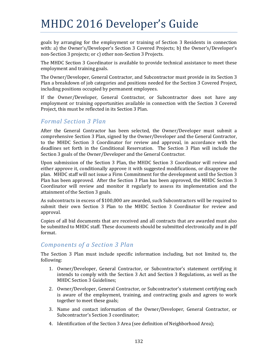goals by arranging for the employment or training of Section 3 Residents in connection with: a) the Owner's/Developer's Section 3 Covered Projects; b) the Owner's/Developer's non-Section 3 projects; or c) other non-Section 3 Projects.

The MHDC Section 3 Coordinator is available to provide technical assistance to meet these employment and training goals.

The Owner/Developer, General Contractor, and Subcontractor must provide in its Section 3 Plan a breakdown of job categories and positions needed for the Section 3 Covered Project, including positions occupied by permanent employees.

If the Owner/Developer, General Contractor, or Subcontractor does not have any employment or training opportunities available in connection with the Section 3 Covered Project, this must be reflected in its Section 3 Plan.

#### *Formal Section 3 Plan*

After the General Contractor has been selected, the Owner/Developer must submit a comprehensive Section 3 Plan, signed by the Owner/Developer and the General Contractor, to the MHDC Section 3 Coordinator for review and approval, in accordance with the deadlines set forth in the Conditional Reservation. The Section 3 Plan will include the Section 3 goals of the Owner/Developer and the General Contractor.

Upon submission of the Section 3 Plan, the MHDC Section 3 Coordinator will review and either approve it, conditionally approve it with suggested modifications, or disapprove the plan. MHDC staff will not issue a Firm Commitment for the development until the Section 3 Plan has been approved. After the Section 3 Plan has been approved, the MHDC Section 3 Coordinator will review and monitor it regularly to assess its implementation and the attainment of the Section 3 goals.

As subcontracts in excess of \$100,000 are awarded, such Subcontractors will be required to submit their own Section 3 Plan to the MHDC Section 3 Coordinator for review and approval. 

Copies of all bid documents that are received and all contracts that are awarded must also be submitted to MHDC staff. These documents should be submitted electronically and in pdf format. 

### *Components of a Section 3 Plan*

The Section 3 Plan must include specific information including, but not limited to, the following: 

- 1. Owner/Developer, General Contractor, or Subcontractor's statement certifying it intends to comply with the Section 3 Act and Section 3 Regulations, as well as the MHDC Section 3 Guidelines;
- 2. Owner/Developer, General Contractor, or Subcontractor's statement certifying each is aware of the employment, training, and contracting goals and agrees to work together to meet these goals;
- 3. Name and contact information of the Owner/Developer, General Contractor, or Subcontractor's Section 3 coordinator;
- 4. Identification of the Section 3 Area (see definition of Neighborhood Area);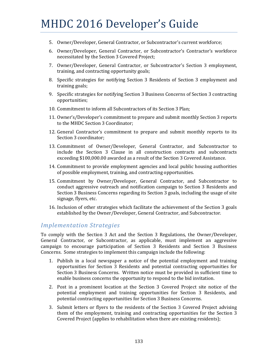- 5. Owner/Developer, General Contractor, or Subcontractor's current workforce;
- 6. Owner/Developer, General Contractor, or Subcontractor's Contractor's workforce necessitated by the Section 3 Covered Project;
- 7. Owner/Developer, General Contractor, or Subcontractor's Section 3 employment, training, and contracting opportunity goals;
- 8. Specific strategies for notifying Section 3 Residents of Section 3 employment and training goals;
- 9. Specific strategies for notifying Section 3 Business Concerns of Section 3 contracting opportunities;
- 10. Commitment to inform all Subcontractors of its Section 3 Plan;
- 11. Owner's/Developer's commitment to prepare and submit monthly Section 3 reports to the MHDC Section 3 Coordinator;
- 12. General Contractor's commitment to prepare and submit monthly reports to its Section 3 coordinator;
- 13. Commitment of Owner/Developer, General Contractor, and Subcontractor to include the Section 3 Clause in all construction contracts and subcontracts exceeding \$100,000.00 awarded as a result of the Section 3 Covered Assistance.
- 14. Commitment to provide employment agencies and local public housing authorities of possible employment, training, and contracting opportunities.
- 15. Commitment by Owner/Developer, General Contractor, and Subcontractor to conduct aggressive outreach and notification campaign to Section 3 Residents and Section 3 Business Concerns regarding its Section 3 goals, including the usage of site signage, flyers, etc.
- 16. Inclusion of other strategies which facilitate the achievement of the Section 3 goals established by the Owner/Developer, General Contractor, and Subcontractor.

#### *Implementation Strategies*

To comply with the Section 3 Act and the Section 3 Regulations, the Owner/Developer, General Contractor, or Subcontractor, as applicable, must implement an aggressive campaign to encourage participation of Section 3 Residents and Section 3 Business Concerns. Some strategies to implement this campaign include the following:

- 1. Publish in a local newspaper a notice of the potential employment and training opportunities for Section 3 Residents and potential contracting opportunities for Section 3 Business Concerns. Written notice must be provided in sufficient time to enable business concerns the opportunity to respond to the bid invitation.
- 2. Post in a prominent location at the Section 3 Covered Project site notice of the potential employment and training opportunities for Section 3 Residents, and potential contracting opportunities for Section 3 Business Concerns.
- 3. Submit letters or flyers to the residents of the Section 3 Covered Project advising them of the employment, training and contracting opportunities for the Section 3 Covered Project (applies to rehabilitation when there are existing residents);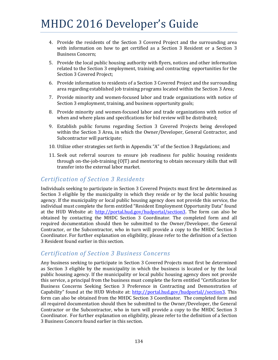- 4. Provide the residents of the Section 3 Covered Project and the surrounding area with information on how to get certified as a Section 3 Resident or a Section 3 Business Concern;
- 5. Provide the local public housing authority with flyers, notices and other information related to the Section 3 employment, training and contracting opportunities for the Section 3 Covered Project;
- 6. Provide information to residents of a Section 3 Covered Project and the surrounding area regarding established job training programs located within the Section 3 Area;
- 7. Provide minority and women-focused labor and trade organizations with notice of Section 3 employment, training, and business opportunity goals;
- 8. Provide minority and women-focused labor and trade organizations with notice of when and where plans and specifications for bid review will be distributed;
- 9. Establish public forums regarding Section 3 Covered Projects being developed within the Section 3 Area, in which the Owner/Developer, General Contractor, and Subcontractor will participate;
- 10. Utilize other strategies set forth in Appendix "A" of the Section 3 Regulations; and
- 11. Seek out referral sources to ensure job readiness for public housing residents through on-the-job-training  $(O|T)$  and mentoring to obtain necessary skills that will transfer into the external labor market.

### *Certification of Section 3 Residents*

Individuals seeking to participate in Section 3 Covered Projects must first be determined as Section 3 eligible by the municipality in which they reside or by the local public housing agency. If the municipality or local public housing agency does not provide this service, the individual must complete the form entitled "Resident Employment Opportunity Data" found at the HUD Website at: http://portal.hud.gov/hudportal/section3. The form can also be obtained by contacting the MHDC Section 3 Coordinator. The completed form and all required documentation should then be submitted to the Owner/Developer, the General Contractor, or the Subcontractor, who in turn will provide a copy to the MHDC Section 3 Coordinator. For further explanation on eligibility, please refer to the definition of a Section 3 Resident found earlier in this section.

#### *Certification of Section 3 Business Concerns*

Any business seeking to participate in Section 3 Covered Projects must first be determined as Section 3 eligible by the municipality in which the business is located or by the local public housing agency. If the municipality or local public housing agency does not provide this service, a principal from the business must complete the form entitled "Certification for Business Concerns Seeking Section 3 Preference in Contracting and Demonstration of Capability" found at the HUD Website at: http://portal.hud.gov/hudportal//section3. This form can also be obtained from the MHDC Section 3 Coordinator. The completed form and all required documentation should then be submitted to the Owner/Developer, the General Contractor or the Subcontractor, who in turn will provide a copy to the MHDC Section 3 Coordinator. For further explanation on eligibility, please refer to the definition of a Section 3 Business Concern found earlier in this section.